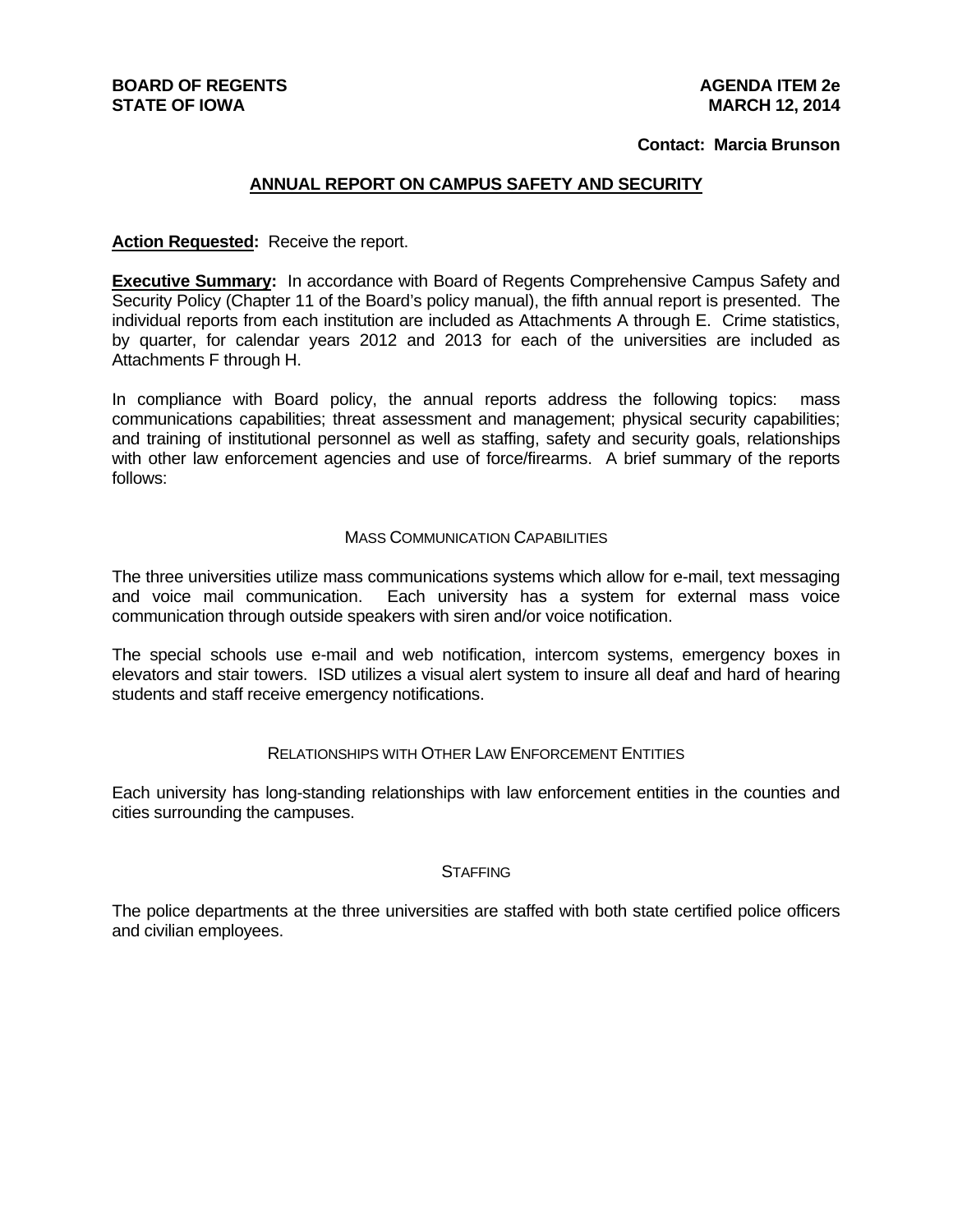#### **BOARD OF REGENTS STATE OF IOWA**

#### **Contact: Marcia Brunson**

#### **ANNUAL REPORT ON CAMPUS SAFETY AND SECURITY**

#### **Action Requested:** Receive the report.

**Executive Summary:** In accordance with Board of Regents Comprehensive Campus Safety and Security Policy (Chapter 11 of the Board's policy manual), the fifth annual report is presented. The individual reports from each institution are included as Attachments A through E. Crime statistics, by quarter, for calendar years 2012 and 2013 for each of the universities are included as Attachments F through H.

In compliance with Board policy, the annual reports address the following topics: mass communications capabilities; threat assessment and management; physical security capabilities; and training of institutional personnel as well as staffing, safety and security goals, relationships with other law enforcement agencies and use of force/firearms. A brief summary of the reports follows:

#### MASS COMMUNICATION CAPABILITIES

The three universities utilize mass communications systems which allow for e-mail, text messaging and voice mail communication. Each university has a system for external mass voice communication through outside speakers with siren and/or voice notification.

The special schools use e-mail and web notification, intercom systems, emergency boxes in elevators and stair towers. ISD utilizes a visual alert system to insure all deaf and hard of hearing students and staff receive emergency notifications.

#### RELATIONSHIPS WITH OTHER LAW ENFORCEMENT ENTITIES

Each university has long-standing relationships with law enforcement entities in the counties and cities surrounding the campuses.

#### **STAFFING**

The police departments at the three universities are staffed with both state certified police officers and civilian employees.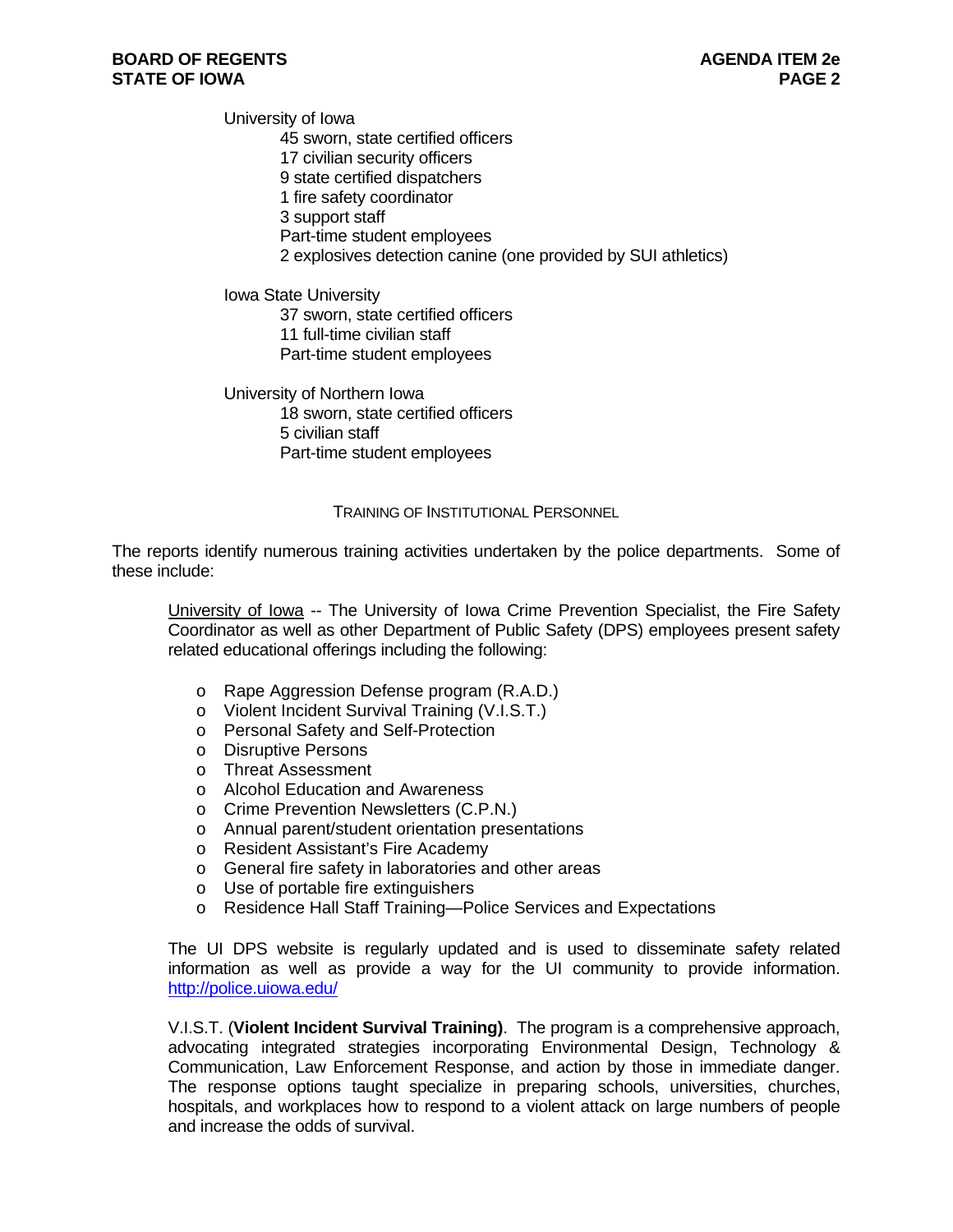University of Iowa 45 sworn, state certified officers 17 civilian security officers 9 state certified dispatchers 1 fire safety coordinator 3 support staff Part-time student employees 2 explosives detection canine (one provided by SUI athletics)

Iowa State University 37 sworn, state certified officers 11 full-time civilian staff Part-time student employees

University of Northern Iowa 18 sworn, state certified officers 5 civilian staff Part-time student employees

#### TRAINING OF INSTITUTIONAL PERSONNEL

The reports identify numerous training activities undertaken by the police departments. Some of these include:

University of Iowa -- The University of Iowa Crime Prevention Specialist, the Fire Safety Coordinator as well as other Department of Public Safety (DPS) employees present safety related educational offerings including the following:

- o Rape Aggression Defense program (R.A.D.)
- o Violent Incident Survival Training (V.I.S.T.)
- o Personal Safety and Self-Protection
- o Disruptive Persons
- o Threat Assessment
- o Alcohol Education and Awareness
- o Crime Prevention Newsletters (C.P.N.)
- o Annual parent/student orientation presentations
- o Resident Assistant's Fire Academy
- o General fire safety in laboratories and other areas
- o Use of portable fire extinguishers
- o Residence Hall Staff Training—Police Services and Expectations

The UI DPS website is regularly updated and is used to disseminate safety related information as well as provide a way for the UI community to provide information. http://police.uiowa.edu/

V.I.S.T. (**Violent Incident Survival Training)**. The program is a comprehensive approach, advocating integrated strategies incorporating Environmental Design, Technology & Communication, Law Enforcement Response, and action by those in immediate danger. The response options taught specialize in preparing schools, universities, churches, hospitals, and workplaces how to respond to a violent attack on large numbers of people and increase the odds of survival.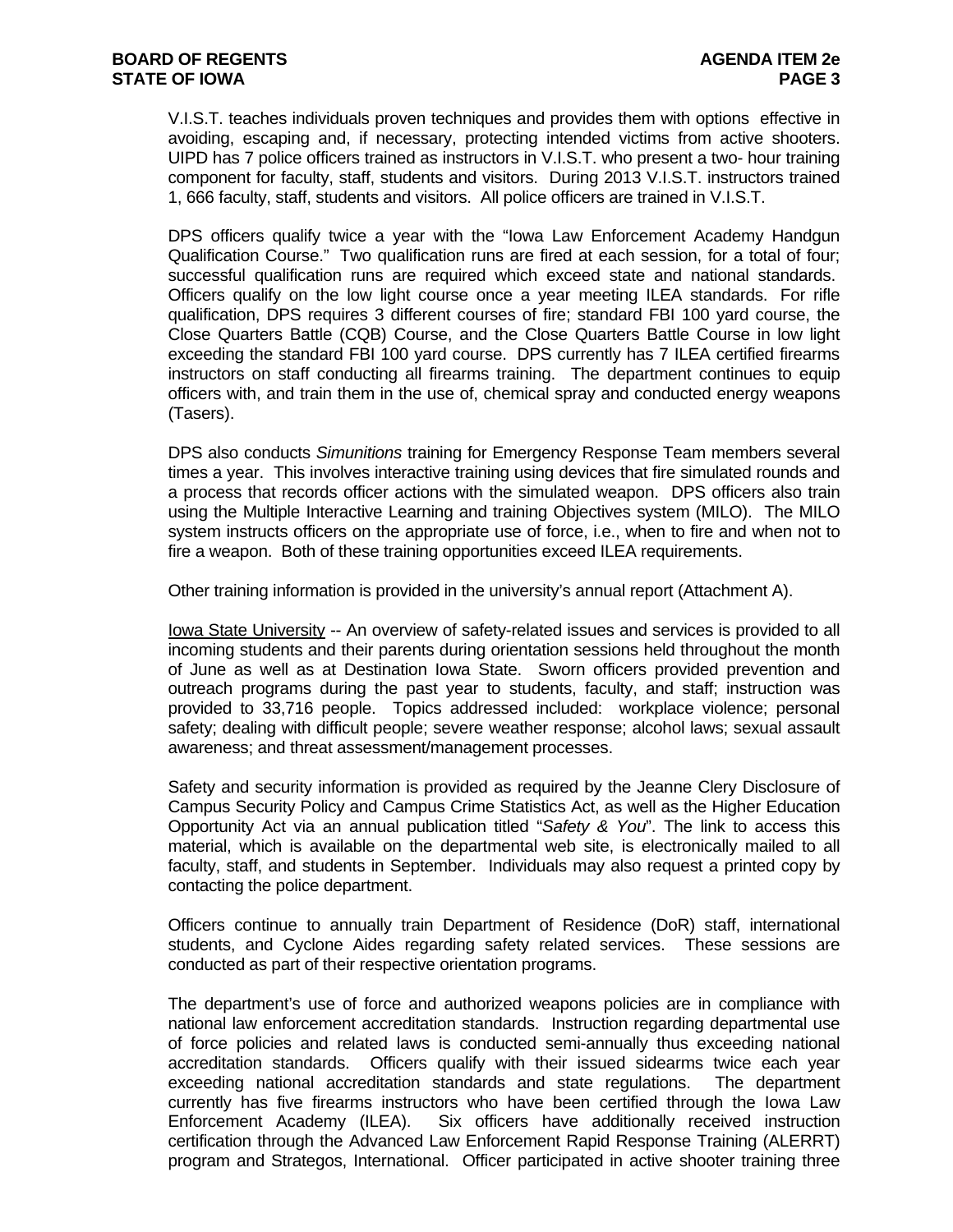V.I.S.T. teaches individuals proven techniques and provides them with options effective in avoiding, escaping and, if necessary, protecting intended victims from active shooters. UIPD has 7 police officers trained as instructors in V.I.S.T. who present a two- hour training component for faculty, staff, students and visitors. During 2013 V.I.S.T. instructors trained 1, 666 faculty, staff, students and visitors. All police officers are trained in V.I.S.T.

DPS officers qualify twice a year with the "Iowa Law Enforcement Academy Handgun Qualification Course." Two qualification runs are fired at each session, for a total of four; successful qualification runs are required which exceed state and national standards. Officers qualify on the low light course once a year meeting ILEA standards. For rifle qualification, DPS requires 3 different courses of fire; standard FBI 100 yard course, the Close Quarters Battle (CQB) Course, and the Close Quarters Battle Course in low light exceeding the standard FBI 100 yard course. DPS currently has 7 ILEA certified firearms instructors on staff conducting all firearms training. The department continues to equip officers with, and train them in the use of, chemical spray and conducted energy weapons (Tasers).

DPS also conducts *Simunitions* training for Emergency Response Team members several times a year. This involves interactive training using devices that fire simulated rounds and a process that records officer actions with the simulated weapon. DPS officers also train using the Multiple Interactive Learning and training Objectives system (MILO). The MILO system instructs officers on the appropriate use of force, i.e., when to fire and when not to fire a weapon. Both of these training opportunities exceed ILEA requirements.

Other training information is provided in the university's annual report (Attachment A).

Iowa State University -- An overview of safety-related issues and services is provided to all incoming students and their parents during orientation sessions held throughout the month of June as well as at Destination Iowa State. Sworn officers provided prevention and outreach programs during the past year to students, faculty, and staff; instruction was provided to 33,716 people. Topics addressed included: workplace violence; personal safety; dealing with difficult people; severe weather response; alcohol laws; sexual assault awareness; and threat assessment/management processes.

Safety and security information is provided as required by the Jeanne Clery Disclosure of Campus Security Policy and Campus Crime Statistics Act, as well as the Higher Education Opportunity Act via an annual publication titled "*Safety & You*". The link to access this material, which is available on the departmental web site, is electronically mailed to all faculty, staff, and students in September. Individuals may also request a printed copy by contacting the police department.

Officers continue to annually train Department of Residence (DoR) staff, international students, and Cyclone Aides regarding safety related services. These sessions are conducted as part of their respective orientation programs.

The department's use of force and authorized weapons policies are in compliance with national law enforcement accreditation standards. Instruction regarding departmental use of force policies and related laws is conducted semi-annually thus exceeding national accreditation standards. Officers qualify with their issued sidearms twice each year exceeding national accreditation standards and state regulations. The department currently has five firearms instructors who have been certified through the Iowa Law Enforcement Academy (ILEA). Six officers have additionally received instruction certification through the Advanced Law Enforcement Rapid Response Training (ALERRT) program and Strategos, International. Officer participated in active shooter training three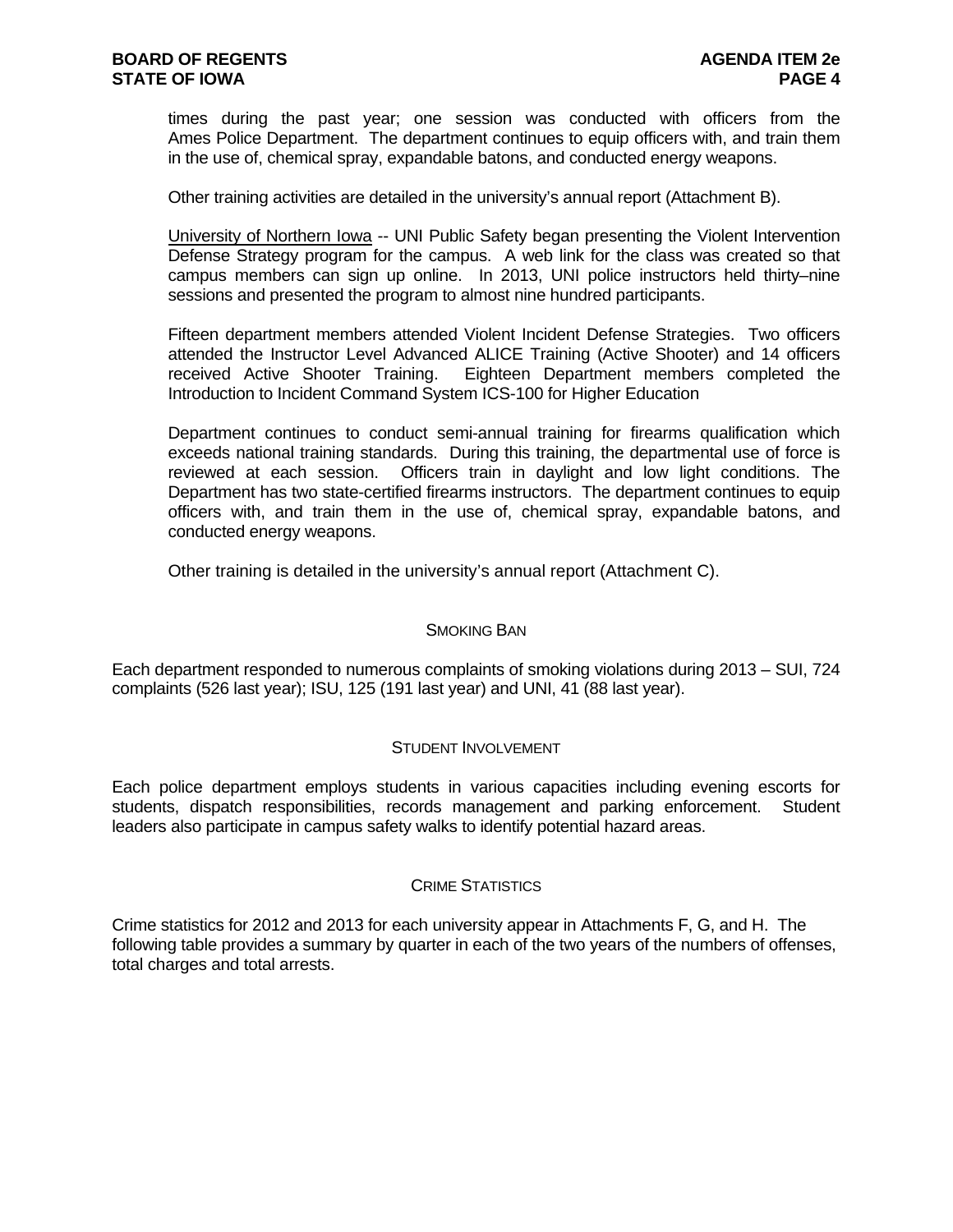times during the past year; one session was conducted with officers from the Ames Police Department. The department continues to equip officers with, and train them in the use of, chemical spray, expandable batons, and conducted energy weapons.

Other training activities are detailed in the university's annual report (Attachment B).

University of Northern Iowa -- UNI Public Safety began presenting the Violent Intervention Defense Strategy program for the campus. A web link for the class was created so that campus members can sign up online. In 2013, UNI police instructors held thirty–nine sessions and presented the program to almost nine hundred participants.

Fifteen department members attended Violent Incident Defense Strategies. Two officers attended the Instructor Level Advanced ALICE Training (Active Shooter) and 14 officers received Active Shooter Training. Eighteen Department members completed the Introduction to Incident Command System ICS-100 for Higher Education

Department continues to conduct semi-annual training for firearms qualification which exceeds national training standards. During this training, the departmental use of force is reviewed at each session. Officers train in daylight and low light conditions. The Department has two state-certified firearms instructors. The department continues to equip officers with, and train them in the use of, chemical spray, expandable batons, and conducted energy weapons.

Other training is detailed in the university's annual report (Attachment C).

#### SMOKING BAN

Each department responded to numerous complaints of smoking violations during 2013 – SUI, 724 complaints (526 last year); ISU, 125 (191 last year) and UNI, 41 (88 last year).

#### STUDENT INVOLVEMENT

Each police department employs students in various capacities including evening escorts for students, dispatch responsibilities, records management and parking enforcement. Student leaders also participate in campus safety walks to identify potential hazard areas.

#### CRIME STATISTICS

Crime statistics for 2012 and 2013 for each university appear in Attachments F, G, and H. The following table provides a summary by quarter in each of the two years of the numbers of offenses, total charges and total arrests.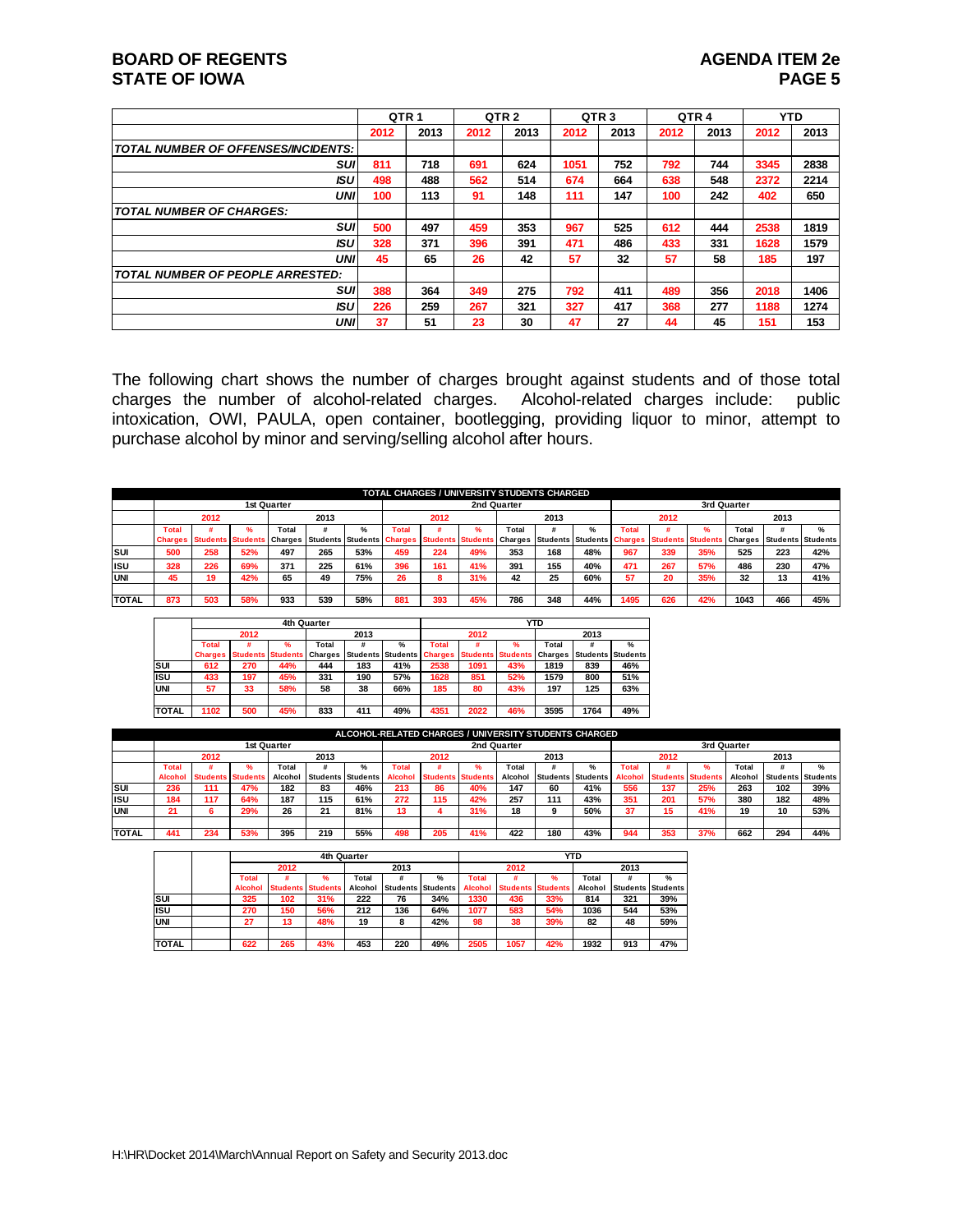#### **BOARD OF REGENTS AGENUS AGENDA ITEM 2e STATE OF IOWA** PAGE 5

|                                         | QTR <sub>1</sub> |      |      | QTR <sub>2</sub> |      | QTR <sub>3</sub> | QTR <sub>4</sub> |      |      | <b>YTD</b> |
|-----------------------------------------|------------------|------|------|------------------|------|------------------|------------------|------|------|------------|
|                                         | 2012             | 2013 | 2012 | 2013             | 2012 | 2013             | 2012             | 2013 | 2012 | 2013       |
| TOTAL NUMBER OF OFFENSES/INCIDENTS:     |                  |      |      |                  |      |                  |                  |      |      |            |
| suı                                     | 811              | 718  | 691  | 624              | 1051 | 752              | 792              | 744  | 3345 | 2838       |
| ISU                                     | 498              | 488  | 562  | 514              | 674  | 664              | 638              | 548  | 2372 | 2214       |
| <b>UNI</b>                              | 100              | 113  | 91   | 148              | 111  | 147              | 100              | 242  | 402  | 650        |
| <b>TOTAL NUMBER OF CHARGES:</b>         |                  |      |      |                  |      |                  |                  |      |      |            |
| SUI                                     | 500              | 497  | 459  | 353              | 967  | 525              | 612              | 444  | 2538 | 1819       |
| <b>ISU</b>                              | 328              | 371  | 396  | 391              | 471  | 486              | 433              | 331  | 1628 | 1579       |
| <b>UNI</b>                              | 45               | 65   | 26   | 42               | 57   | 32               | 57               | 58   | 185  | 197        |
| <b>TOTAL NUMBER OF PEOPLE ARRESTED:</b> |                  |      |      |                  |      |                  |                  |      |      |            |
| SUI                                     | 388              | 364  | 349  | 275              | 792  | 411              | 489              | 356  | 2018 | 1406       |
| <b>ISU</b>                              | 226              | 259  | 267  | 321              | 327  | 417              | 368              | 277  | 1188 | 1274       |
| <b>UNI</b>                              | 37               | 51   | 23   | 30               | 47   | 27               | 44               | 45   | 151  | 153        |

The following chart shows the number of charges brought against students and of those total charges the number of alcohol-related charges. Alcohol-related charges include: public intoxication, OWI, PAULA, open container, bootlegging, providing liquor to minor, attempt to purchase alcohol by minor and serving/selling alcohol after hours.

|              |                |      |                          |             |                           |               |       |                          | <b>TOTAL CHARGES / UNIVERSITY STUDENTS CHARGED</b> |             |      |               |      |                                                     |     |             |                   |               |
|--------------|----------------|------|--------------------------|-------------|---------------------------|---------------|-------|--------------------------|----------------------------------------------------|-------------|------|---------------|------|-----------------------------------------------------|-----|-------------|-------------------|---------------|
|              |                |      |                          | 1st Quarter |                           |               |       |                          |                                                    | 2nd Quarter |      |               |      |                                                     |     | 3rd Quarter |                   |               |
|              |                | 2012 |                          |             | 2013                      |               |       | 2012                     |                                                    |             | 2013 |               |      | 2012                                                |     |             | 2013              |               |
|              | <b>Total</b>   |      | $\mathbf{a}$             | Total       |                           | $\frac{9}{6}$ | Total |                          |                                                    | Total       |      | $\frac{9}{6}$ | Tota |                                                     |     | Total       |                   | $\frac{9}{6}$ |
|              | <b>Charges</b> |      | <b>Students Students</b> | Charges     | Students Students Charges |               |       | <b>Students Students</b> |                                                    | Charges     |      |               |      | Students Students Charges Students Students Charges |     |             | Students Students |               |
| lsuı         | 500            | 258  | 52%                      | 497         | 265                       | 53%           | 459   | 224                      | 49%                                                | 353         | 168  | 48%           | 967  | 339                                                 | 35% | 525         | 223               | 42%           |
| lisu         | 328            | 226  | 69%                      | 371         | 225                       | 61%           | 396   | 161                      | 41%                                                | 391         | 155  | 40%           | 471  | 267                                                 | 57% | 486         | 230               | 47%           |
| IUNI         | 45             | 19   | 42%                      | 65          | 49                        | 75%           | 26    |                          | 31%                                                | 42          | 25   | 60%           | 57   | 20                                                  | 35% | 32          | 13                | 41%           |
|              |                |      |                          |             |                           |               |       |                          |                                                    |             |      |               |      |                                                     |     |             |                   |               |
| <b>TOTAL</b> | 873            | 503  | 58%                      | 933         | 539                       | 58%           | 881   | 393                      | 45%                                                | 786         | 348  | 44%           | 1495 | 626                                                 | 42% | 1043        | 466               | 45%           |

|               |                |      |                          | 4th Quarter    |                          |               |                |                          |     | YTD     |                   |               |
|---------------|----------------|------|--------------------------|----------------|--------------------------|---------------|----------------|--------------------------|-----|---------|-------------------|---------------|
|               |                | 2012 |                          |                | 2013                     |               |                | 2012                     |     |         | 2013              |               |
|               | <b>Total</b>   |      | ℀                        | Total          |                          | $\frac{9}{6}$ | <b>Total</b>   |                          | ℀   | Total   |                   | $\frac{9}{6}$ |
|               | <b>Charges</b> |      | <b>Students Students</b> | <b>Charges</b> | <b>Students Students</b> |               | <b>Charges</b> | <b>Students Students</b> |     | Charges | Students Students |               |
| Isuı          | 612            | 270  | 44%                      | 444            | 183                      | 41%           | 2538           | 1091                     | 43% | 1819    | 839               | 46%           |
| lisu          | 433            | 197  | 45%                      | 331            | 190                      | 57%           | 1628           | 851                      | 52% | 1579    | 800               | 51%           |
| <b>UNI</b>    | 57             | 33   | 58%                      | 58             | 38                       | 66%           | 185            | 80                       | 43% | 197     | 125               | 63%           |
|               |                |      |                          |                |                          |               |                |                          |     |         |                   |               |
| <b>ITOTAL</b> | 1102           | 500  | 45%                      | 833            | 411                      | 49%           | 4351           | 2022                     | 46% | 3595    | 1764              | 49%           |

|              |                |                          |     |             |           |                          |        |                   |             |         |                 | ALCOHOL-RELATED CHARGES / UNIVERSITY STUDENTS CHARGED |                |                          |     |             |      |                          |
|--------------|----------------|--------------------------|-----|-------------|-----------|--------------------------|--------|-------------------|-------------|---------|-----------------|-------------------------------------------------------|----------------|--------------------------|-----|-------------|------|--------------------------|
|              |                |                          |     | 1st Quarter |           |                          |        |                   | 2nd Quarter |         |                 |                                                       |                |                          |     | 3rd Quarter |      |                          |
|              |                | 2012                     |     |             | 2013      |                          |        | 2012              |             |         | 2013            |                                                       |                | 2012                     |     |             | 2013 |                          |
|              | Total          |                          |     | Total       |           | $\frac{9}{6}$            | Total  |                   |             | Total   |                 | $\frac{9}{6}$                                         | Total          |                          |     | Total       |      | $\frac{9}{6}$            |
|              | <b>Alcohol</b> | <b>Students Students</b> |     | Alcohol     |           | <b>Students Students</b> | Alcoho | Students Students |             | Alcohol | <b>Students</b> | <b>Students</b>                                       | <b>Alcohol</b> | <b>Students Students</b> |     | Alcohol     |      | <b>Students Students</b> |
| Isui         | 236            | 111                      | 47% | 182         | 83        | 46%                      | 213    | 86                | 40%         | 147     | 60              | 41%                                                   | 556            | 137                      | 25% | 263         | 102  | 39%                      |
| lisu         | 184            | 117                      | 64% | 187         | 115       | 61%                      | 272    | 115               | 42%         | 257     | 111             | 43%                                                   | 351            | 201                      | 57% | 380         | 182  | 48%                      |
| IUNI         | 21             |                          | 29% | 26          | - 24<br>◢ | 81%                      | 13     |                   | 31%         | 18      |                 | 50%                                                   | 37             | 15                       | 41% | 19          | 10   | 53%                      |
|              |                |                          |     |             |           |                          |        |                   |             |         |                 |                                                       |                |                          |     |             |      |                          |
| <b>TOTAL</b> | 441            | 234                      | 53% | 395         | 219       | 55%                      | 498    | 205               | 41%         | 422     | 180             | 43%                                                   | 944            | 353                      | 37% | 662         | 294  | 44%                      |

|              |                |                          | 4th Quarter |         |          |                 |                |                          |               | <b>YTD</b> |      |                          |
|--------------|----------------|--------------------------|-------------|---------|----------|-----------------|----------------|--------------------------|---------------|------------|------|--------------------------|
|              |                | 2012                     |             |         | 2013     |                 |                | 2012                     |               |            | 2013 |                          |
|              | <b>Total</b>   |                          | %           | Total   | #        | %               | <b>Total</b>   |                          | $\frac{9}{6}$ | Total      |      | $\frac{9}{6}$            |
|              | <b>Alcohol</b> | <b>Students Students</b> |             | Alcohol | Students | <b>Students</b> | <b>Alcohol</b> | <b>Students Students</b> |               | Alcohol    |      | <b>Students Students</b> |
| <b>ISUI</b>  | 325            | 102                      | 31%         | 222     | 76       | 34%             | 1330           | 436                      | 33%           | 814        | 321  | 39%                      |
| <b>IISU</b>  | 270            | 150                      | 56%         | 212     | 136      | 64%             | 1077           | 583                      | 54%           | 1036       | 544  | 53%                      |
| <b>UNI</b>   | 27             | 13                       | 48%         | 19      | 8        | 42%             | 98             | 38                       | 39%           | 82         | 48   | 59%                      |
|              |                |                          |             |         |          |                 |                |                          |               |            |      |                          |
| <b>TOTAL</b> | 622            | 265                      | 43%         | 453     | 220      | 49%             | 2505           | 1057                     | 42%           | 1932       | 913  | 47%                      |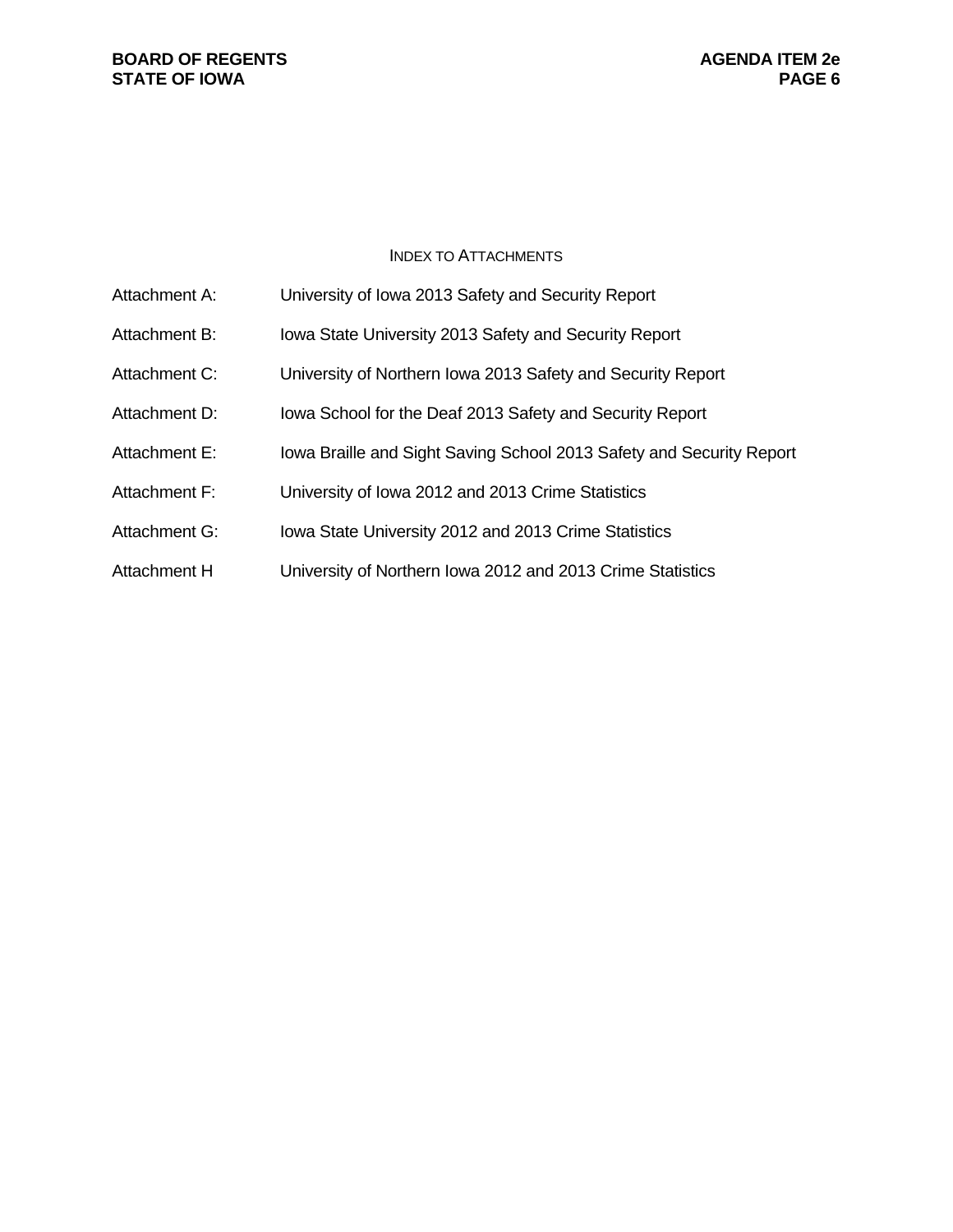#### **BOARD OF REGENTS**<br> **BOARD OF REGENTS**<br> **BOARD OF IOWA**<br>
PAGE 6 **STATE OF IOWA**

#### INDEX TO ATTACHMENTS

| Attachment A: | University of Iowa 2013 Safety and Security Report                   |
|---------------|----------------------------------------------------------------------|
| Attachment B: | Iowa State University 2013 Safety and Security Report                |
| Attachment C: | University of Northern Iowa 2013 Safety and Security Report          |
| Attachment D: | lowa School for the Deaf 2013 Safety and Security Report             |
| Attachment E: | lowa Braille and Sight Saving School 2013 Safety and Security Report |
| Attachment F: | University of Iowa 2012 and 2013 Crime Statistics                    |
| Attachment G: | Iowa State University 2012 and 2013 Crime Statistics                 |
| Attachment H  | University of Northern Iowa 2012 and 2013 Crime Statistics           |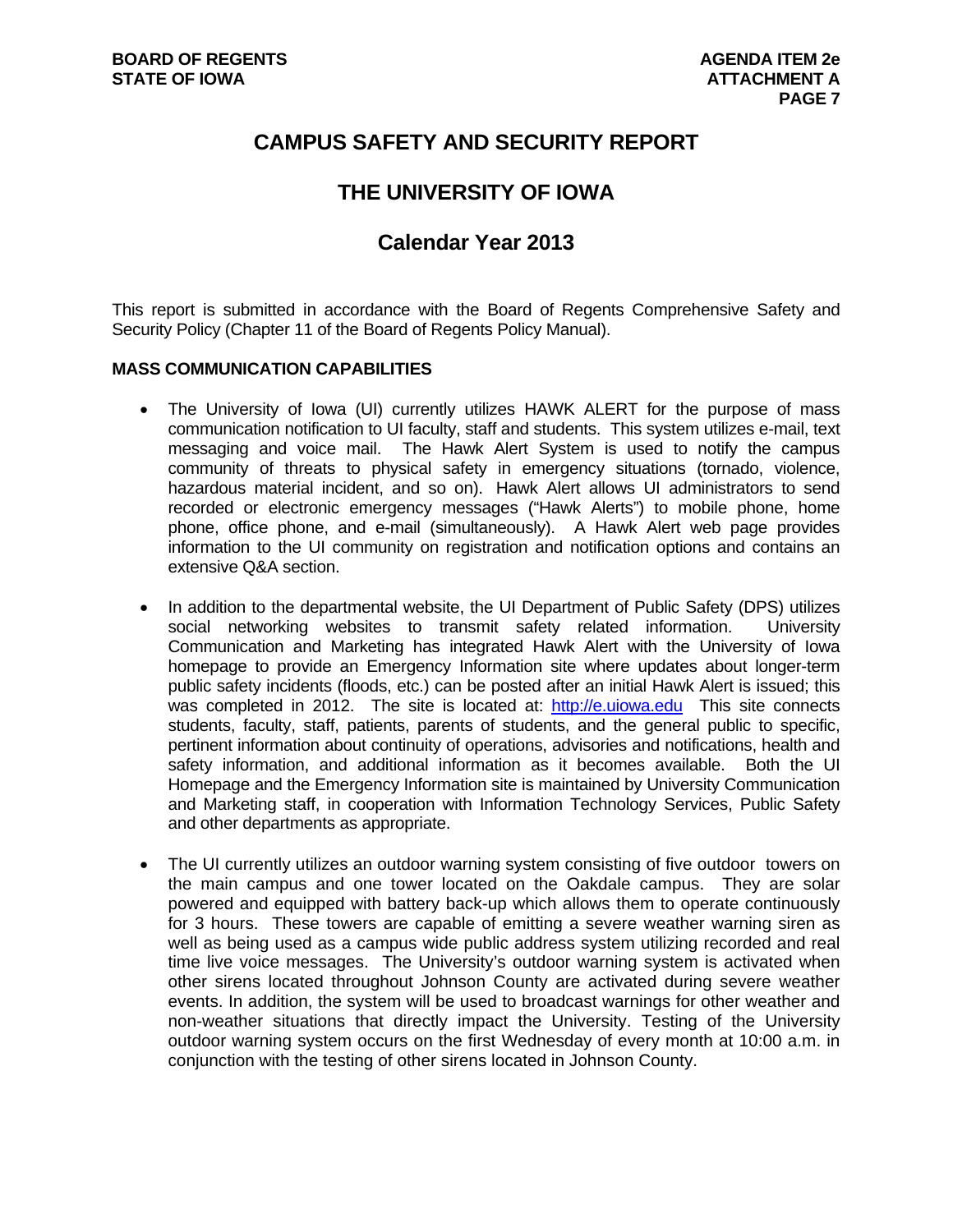## **CAMPUS SAFETY AND SECURITY REPORT**

## **THE UNIVERSITY OF IOWA**

## **Calendar Year 2013**

This report is submitted in accordance with the Board of Regents Comprehensive Safety and Security Policy (Chapter 11 of the Board of Regents Policy Manual).

#### **MASS COMMUNICATION CAPABILITIES**

- The University of Iowa (UI) currently utilizes HAWK ALERT for the purpose of mass communication notification to UI faculty, staff and students. This system utilizes e-mail, text messaging and voice mail. The Hawk Alert System is used to notify the campus community of threats to physical safety in emergency situations (tornado, violence, hazardous material incident, and so on). Hawk Alert allows UI administrators to send recorded or electronic emergency messages ("Hawk Alerts") to mobile phone, home phone, office phone, and e-mail (simultaneously). A Hawk Alert web page provides information to the UI community on registration and notification options and contains an extensive Q&A section.
- In addition to the departmental website, the UI Department of Public Safety (DPS) utilizes social networking websites to transmit safety related information. University Communication and Marketing has integrated Hawk Alert with the University of Iowa homepage to provide an Emergency Information site where updates about longer-term public safety incidents (floods, etc.) can be posted after an initial Hawk Alert is issued; this was completed in 2012. The site is located at: http://e.uiowa.edu This site connects students, faculty, staff, patients, parents of students, and the general public to specific, pertinent information about continuity of operations, advisories and notifications, health and safety information, and additional information as it becomes available. Both the UI Homepage and the Emergency Information site is maintained by University Communication and Marketing staff, in cooperation with Information Technology Services, Public Safety and other departments as appropriate.
- The UI currently utilizes an outdoor warning system consisting of five outdoor towers on the main campus and one tower located on the Oakdale campus. They are solar powered and equipped with battery back-up which allows them to operate continuously for 3 hours. These towers are capable of emitting a severe weather warning siren as well as being used as a campus wide public address system utilizing recorded and real time live voice messages. The University's outdoor warning system is activated when other sirens located throughout Johnson County are activated during severe weather events. In addition, the system will be used to broadcast warnings for other weather and non-weather situations that directly impact the University. Testing of the University outdoor warning system occurs on the first Wednesday of every month at 10:00 a.m. in conjunction with the testing of other sirens located in Johnson County.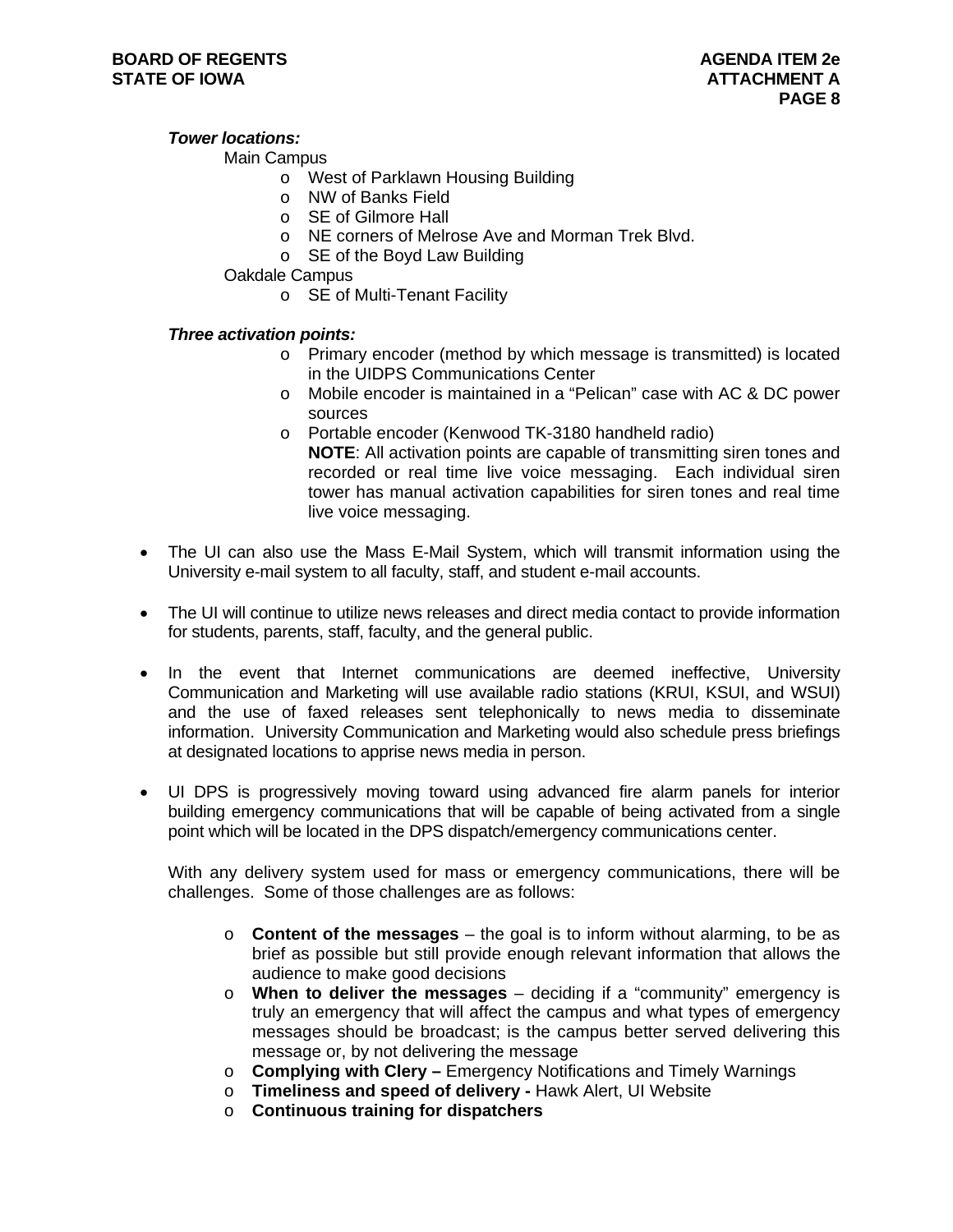#### *Tower locations:*

#### Main Campus

- o West of Parklawn Housing Building
- o NW of Banks Field
- o SE of Gilmore Hall
- o NE corners of Melrose Ave and Morman Trek Blvd.
- o SE of the Boyd Law Building

Oakdale Campus

o SE of Multi-Tenant Facility

#### *Three activation points:*

- o Primary encoder (method by which message is transmitted) is located in the UIDPS Communications Center
- o Mobile encoder is maintained in a "Pelican" case with AC & DC power sources
- o Portable encoder (Kenwood TK-3180 handheld radio) **NOTE**: All activation points are capable of transmitting siren tones and recorded or real time live voice messaging. Each individual siren tower has manual activation capabilities for siren tones and real time live voice messaging.
- The UI can also use the Mass E-Mail System, which will transmit information using the University e-mail system to all faculty, staff, and student e-mail accounts.
- The UI will continue to utilize news releases and direct media contact to provide information for students, parents, staff, faculty, and the general public.
- In the event that Internet communications are deemed ineffective, University Communication and Marketing will use available radio stations (KRUI, KSUI, and WSUI) and the use of faxed releases sent telephonically to news media to disseminate information. University Communication and Marketing would also schedule press briefings at designated locations to apprise news media in person.
- UI DPS is progressively moving toward using advanced fire alarm panels for interior building emergency communications that will be capable of being activated from a single point which will be located in the DPS dispatch/emergency communications center.

With any delivery system used for mass or emergency communications, there will be challenges. Some of those challenges are as follows:

- o **Content of the messages** the goal is to inform without alarming, to be as brief as possible but still provide enough relevant information that allows the audience to make good decisions
- o **When to deliver the messages** deciding if a "community" emergency is truly an emergency that will affect the campus and what types of emergency messages should be broadcast; is the campus better served delivering this message or, by not delivering the message
- o **Complying with Clery** Emergency Notifications and Timely Warnings
- o **Timeliness and speed of delivery** Hawk Alert, UI Website
- o **Continuous training for dispatchers**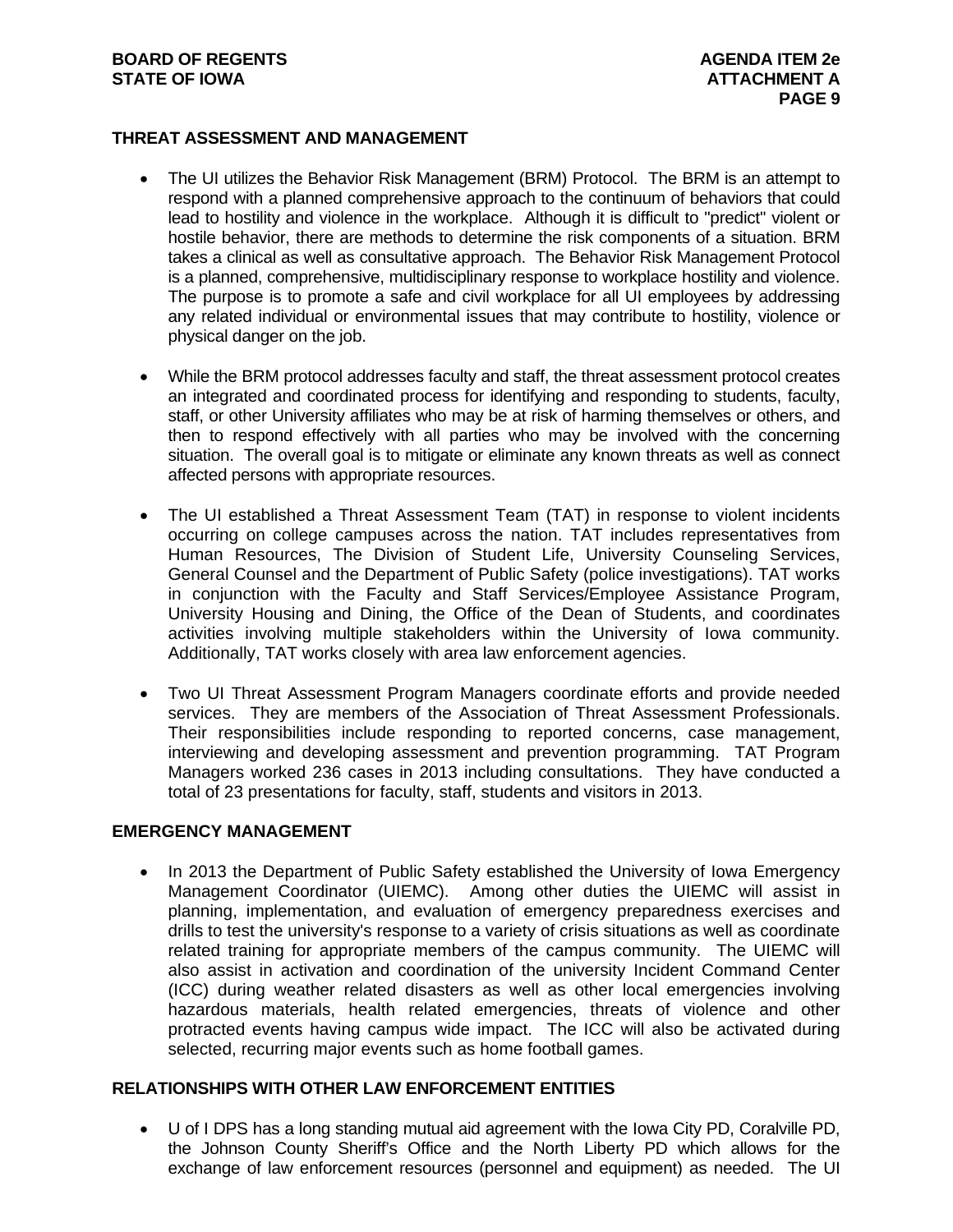#### **BOARD OF REGENTS AGENUS AGENDA ITEM 2e STATE OF IOWA** AND **ATTACHMENT A**

#### **THREAT ASSESSMENT AND MANAGEMENT**

- The UI utilizes the Behavior Risk Management (BRM) Protocol. The BRM is an attempt to respond with a planned comprehensive approach to the continuum of behaviors that could lead to hostility and violence in the workplace. Although it is difficult to "predict" violent or hostile behavior, there are methods to determine the risk components of a situation. BRM takes a clinical as well as consultative approach. The Behavior Risk Management Protocol is a planned, comprehensive, multidisciplinary response to workplace hostility and violence. The purpose is to promote a safe and civil workplace for all UI employees by addressing any related individual or environmental issues that may contribute to hostility, violence or physical danger on the job.
- While the BRM protocol addresses faculty and staff, the threat assessment protocol creates an integrated and coordinated process for identifying and responding to students, faculty, staff, or other University affiliates who may be at risk of harming themselves or others, and then to respond effectively with all parties who may be involved with the concerning situation. The overall goal is to mitigate or eliminate any known threats as well as connect affected persons with appropriate resources.
- The UI established a Threat Assessment Team (TAT) in response to violent incidents occurring on college campuses across the nation. TAT includes representatives from Human Resources, The Division of Student Life, University Counseling Services, General Counsel and the Department of Public Safety (police investigations). TAT works in conjunction with the Faculty and Staff Services/Employee Assistance Program, University Housing and Dining, the Office of the Dean of Students, and coordinates activities involving multiple stakeholders within the University of Iowa community. Additionally, TAT works closely with area law enforcement agencies.
- Two UI Threat Assessment Program Managers coordinate efforts and provide needed services. They are members of the Association of Threat Assessment Professionals. Their responsibilities include responding to reported concerns, case management, interviewing and developing assessment and prevention programming. TAT Program Managers worked 236 cases in 2013 including consultations. They have conducted a total of 23 presentations for faculty, staff, students and visitors in 2013.

### **EMERGENCY MANAGEMENT**

 In 2013 the Department of Public Safety established the University of Iowa Emergency Management Coordinator (UIEMC). Among other duties the UIEMC will assist in planning, implementation, and evaluation of emergency preparedness exercises and drills to test the university's response to a variety of crisis situations as well as coordinate related training for appropriate members of the campus community. The UIEMC will also assist in activation and coordination of the university Incident Command Center (ICC) during weather related disasters as well as other local emergencies involving hazardous materials, health related emergencies, threats of violence and other protracted events having campus wide impact. The ICC will also be activated during selected, recurring major events such as home football games.

#### **RELATIONSHIPS WITH OTHER LAW ENFORCEMENT ENTITIES**

 U of I DPS has a long standing mutual aid agreement with the Iowa City PD, Coralville PD, the Johnson County Sheriff's Office and the North Liberty PD which allows for the exchange of law enforcement resources (personnel and equipment) as needed. The UI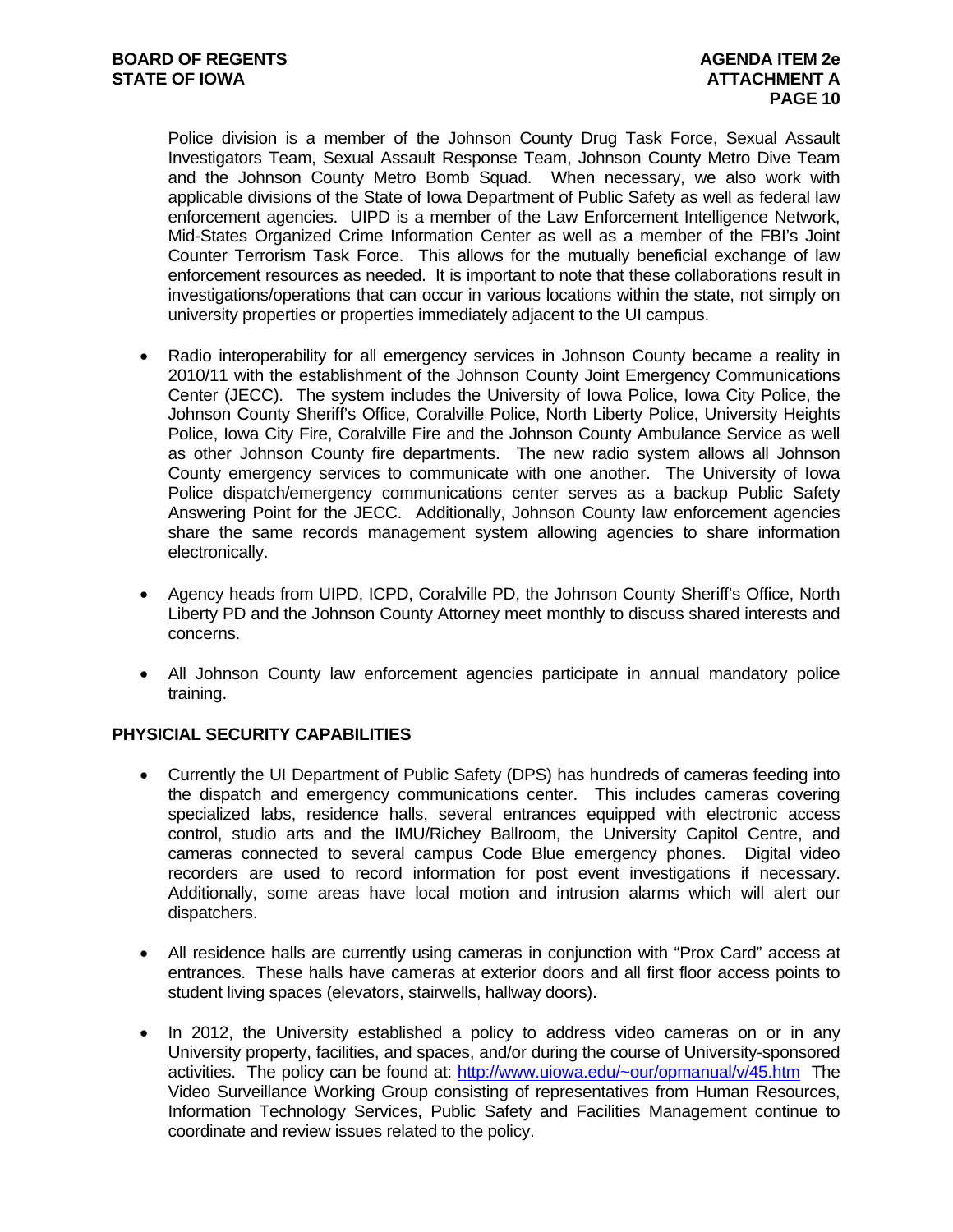Police division is a member of the Johnson County Drug Task Force, Sexual Assault Investigators Team, Sexual Assault Response Team, Johnson County Metro Dive Team and the Johnson County Metro Bomb Squad. When necessary, we also work with applicable divisions of the State of Iowa Department of Public Safety as well as federal law enforcement agencies. UIPD is a member of the Law Enforcement Intelligence Network, Mid-States Organized Crime Information Center as well as a member of the FBI's Joint Counter Terrorism Task Force. This allows for the mutually beneficial exchange of law enforcement resources as needed. It is important to note that these collaborations result in investigations/operations that can occur in various locations within the state, not simply on university properties or properties immediately adjacent to the UI campus.

- Radio interoperability for all emergency services in Johnson County became a reality in 2010/11 with the establishment of the Johnson County Joint Emergency Communications Center (JECC). The system includes the University of Iowa Police, Iowa City Police, the Johnson County Sheriff's Office, Coralville Police, North Liberty Police, University Heights Police, Iowa City Fire, Coralville Fire and the Johnson County Ambulance Service as well as other Johnson County fire departments. The new radio system allows all Johnson County emergency services to communicate with one another. The University of Iowa Police dispatch/emergency communications center serves as a backup Public Safety Answering Point for the JECC. Additionally, Johnson County law enforcement agencies share the same records management system allowing agencies to share information electronically.
- Agency heads from UIPD, ICPD, Coralville PD, the Johnson County Sheriff's Office, North Liberty PD and the Johnson County Attorney meet monthly to discuss shared interests and concerns.
- All Johnson County law enforcement agencies participate in annual mandatory police training.

#### **PHYSICIAL SECURITY CAPABILITIES**

- Currently the UI Department of Public Safety (DPS) has hundreds of cameras feeding into the dispatch and emergency communications center. This includes cameras covering specialized labs, residence halls, several entrances equipped with electronic access control, studio arts and the IMU/Richey Ballroom, the University Capitol Centre, and cameras connected to several campus Code Blue emergency phones. Digital video recorders are used to record information for post event investigations if necessary. Additionally, some areas have local motion and intrusion alarms which will alert our dispatchers.
- All residence halls are currently using cameras in conjunction with "Prox Card" access at entrances. These halls have cameras at exterior doors and all first floor access points to student living spaces (elevators, stairwells, hallway doors).
- In 2012, the University established a policy to address video cameras on or in any University property, facilities, and spaces, and/or during the course of University-sponsored activities. The policy can be found at: http://www.uiowa.edu/~our/opmanual/v/45.htm The Video Surveillance Working Group consisting of representatives from Human Resources, Information Technology Services, Public Safety and Facilities Management continue to coordinate and review issues related to the policy.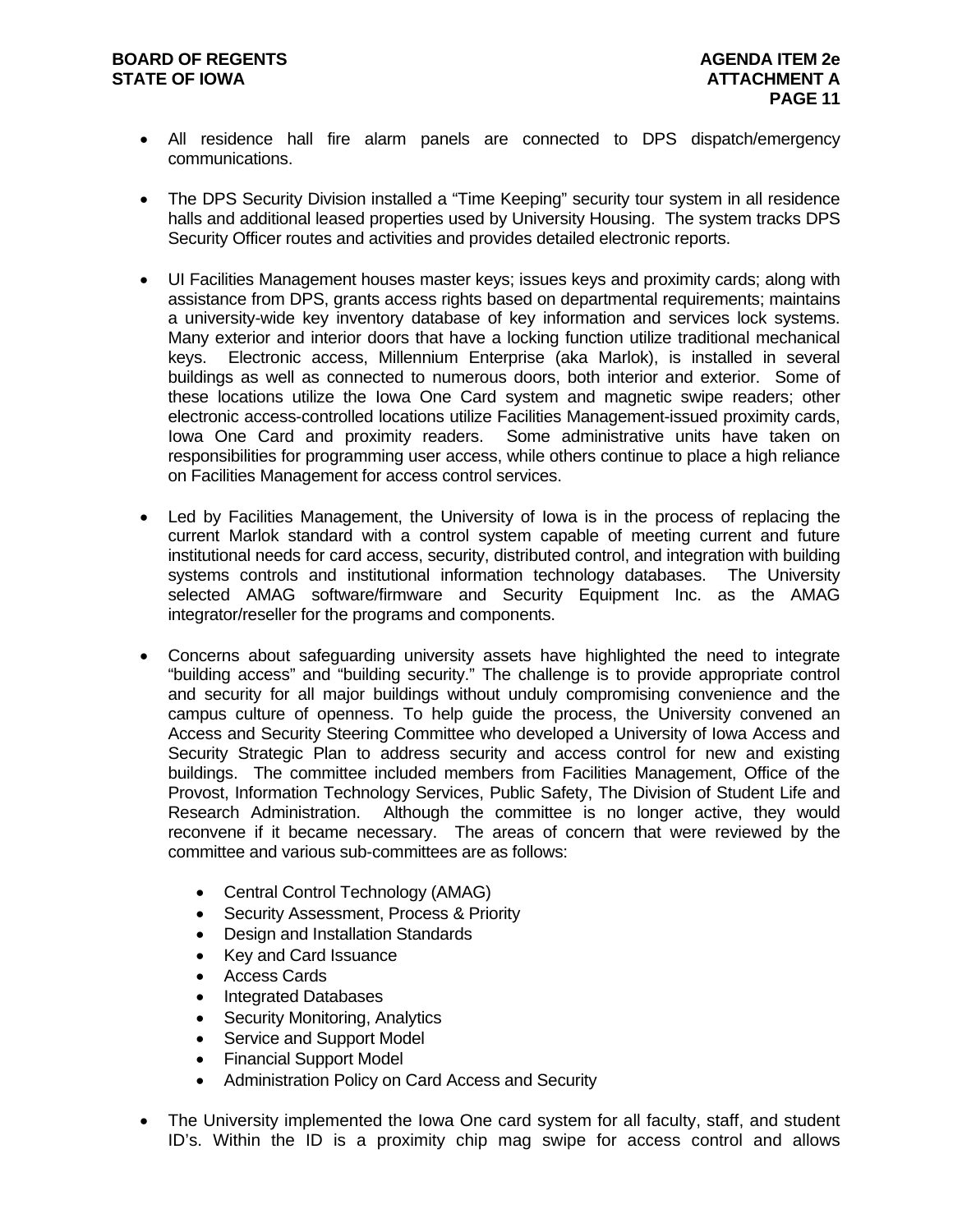#### **BOARD OF REGENTS AGENUS AGENDA ITEM 2e STATE OF IOWA** AND **ATTACHMENT A**

- All residence hall fire alarm panels are connected to DPS dispatch/emergency communications.
- The DPS Security Division installed a "Time Keeping" security tour system in all residence halls and additional leased properties used by University Housing. The system tracks DPS Security Officer routes and activities and provides detailed electronic reports.
- UI Facilities Management houses master keys; issues keys and proximity cards; along with assistance from DPS, grants access rights based on departmental requirements; maintains a university-wide key inventory database of key information and services lock systems. Many exterior and interior doors that have a locking function utilize traditional mechanical keys. Electronic access, Millennium Enterprise (aka Marlok), is installed in several buildings as well as connected to numerous doors, both interior and exterior. Some of these locations utilize the Iowa One Card system and magnetic swipe readers; other electronic access-controlled locations utilize Facilities Management-issued proximity cards, Iowa One Card and proximity readers. Some administrative units have taken on responsibilities for programming user access, while others continue to place a high reliance on Facilities Management for access control services.
- Led by Facilities Management, the University of Iowa is in the process of replacing the current Marlok standard with a control system capable of meeting current and future institutional needs for card access, security, distributed control, and integration with building systems controls and institutional information technology databases. The University selected AMAG software/firmware and Security Equipment Inc. as the AMAG integrator/reseller for the programs and components.
- Concerns about safeguarding university assets have highlighted the need to integrate "building access" and "building security." The challenge is to provide appropriate control and security for all major buildings without unduly compromising convenience and the campus culture of openness. To help guide the process, the University convened an Access and Security Steering Committee who developed a University of Iowa Access and Security Strategic Plan to address security and access control for new and existing buildings. The committee included members from Facilities Management, Office of the Provost, Information Technology Services, Public Safety, The Division of Student Life and Research Administration. Although the committee is no longer active, they would reconvene if it became necessary. The areas of concern that were reviewed by the committee and various sub-committees are as follows:
	- Central Control Technology (AMAG)
	- Security Assessment, Process & Priority
	- Design and Installation Standards
	- Key and Card Issuance
	- Access Cards
	- Integrated Databases
	- Security Monitoring, Analytics
	- Service and Support Model
	- Financial Support Model
	- Administration Policy on Card Access and Security
- The University implemented the Iowa One card system for all faculty, staff, and student ID's. Within the ID is a proximity chip mag swipe for access control and allows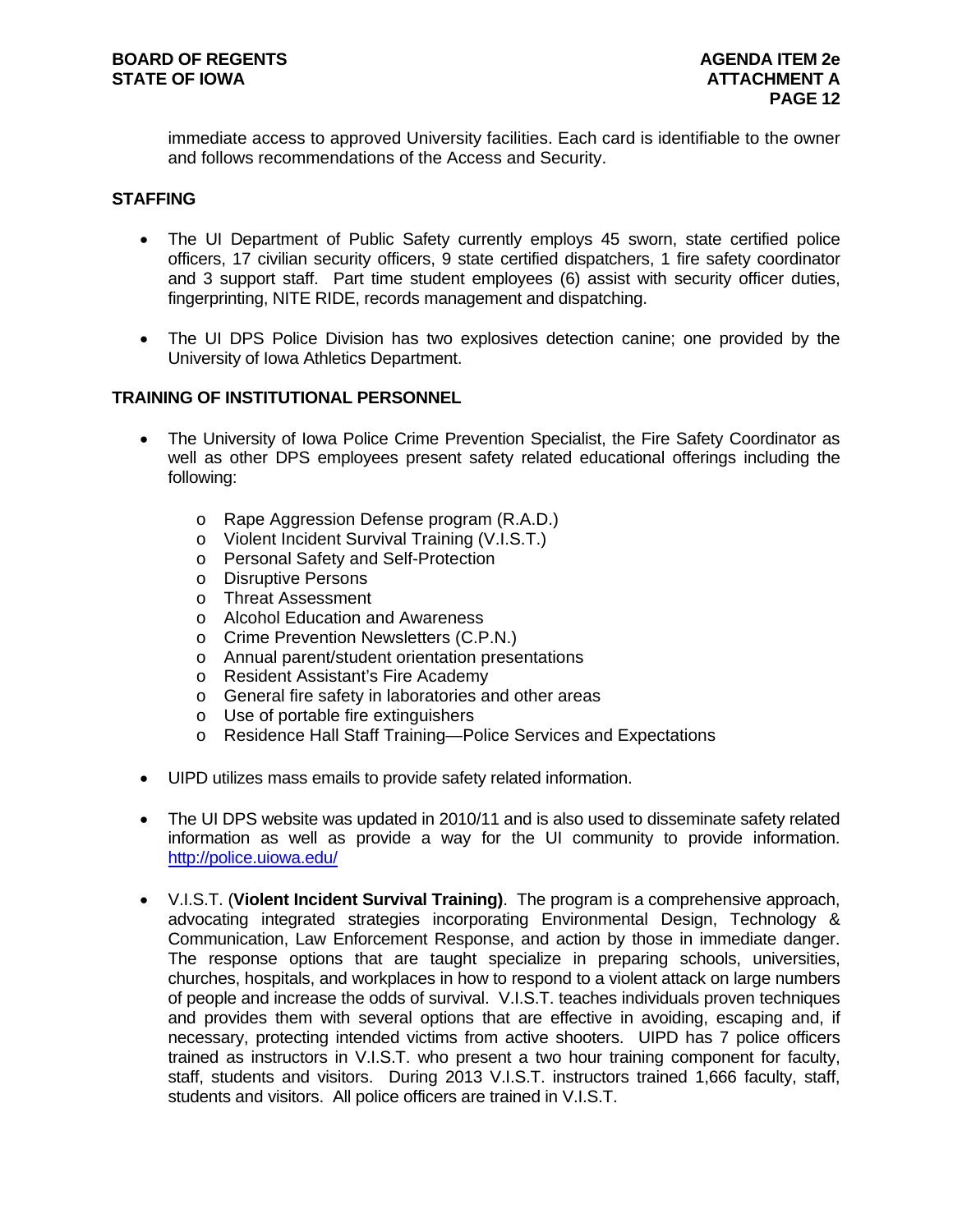immediate access to approved University facilities. Each card is identifiable to the owner and follows recommendations of the Access and Security.

#### **STAFFING**

- The UI Department of Public Safety currently employs 45 sworn, state certified police officers, 17 civilian security officers, 9 state certified dispatchers, 1 fire safety coordinator and 3 support staff. Part time student employees (6) assist with security officer duties, fingerprinting, NITE RIDE, records management and dispatching.
- The UI DPS Police Division has two explosives detection canine; one provided by the University of Iowa Athletics Department.

#### **TRAINING OF INSTITUTIONAL PERSONNEL**

- The University of Iowa Police Crime Prevention Specialist, the Fire Safety Coordinator as well as other DPS employees present safety related educational offerings including the following:
	- o Rape Aggression Defense program (R.A.D.)
	- o Violent Incident Survival Training (V.I.S.T.)
	- o Personal Safety and Self-Protection
	- o Disruptive Persons
	- o Threat Assessment
	- o Alcohol Education and Awareness
	- o Crime Prevention Newsletters (C.P.N.)
	- o Annual parent/student orientation presentations
	- o Resident Assistant's Fire Academy
	- o General fire safety in laboratories and other areas
	- o Use of portable fire extinguishers
	- o Residence Hall Staff Training—Police Services and Expectations
- UIPD utilizes mass emails to provide safety related information.
- The UI DPS website was updated in 2010/11 and is also used to disseminate safety related information as well as provide a way for the UI community to provide information. http://police.uiowa.edu/
- V.I.S.T. (**Violent Incident Survival Training)**. The program is a comprehensive approach, advocating integrated strategies incorporating Environmental Design, Technology & Communication, Law Enforcement Response, and action by those in immediate danger. The response options that are taught specialize in preparing schools, universities, churches, hospitals, and workplaces in how to respond to a violent attack on large numbers of people and increase the odds of survival. V.I.S.T. teaches individuals proven techniques and provides them with several options that are effective in avoiding, escaping and, if necessary, protecting intended victims from active shooters. UIPD has 7 police officers trained as instructors in V.I.S.T. who present a two hour training component for faculty, staff, students and visitors. During 2013 V.I.S.T. instructors trained 1,666 faculty, staff, students and visitors. All police officers are trained in V.I.S.T.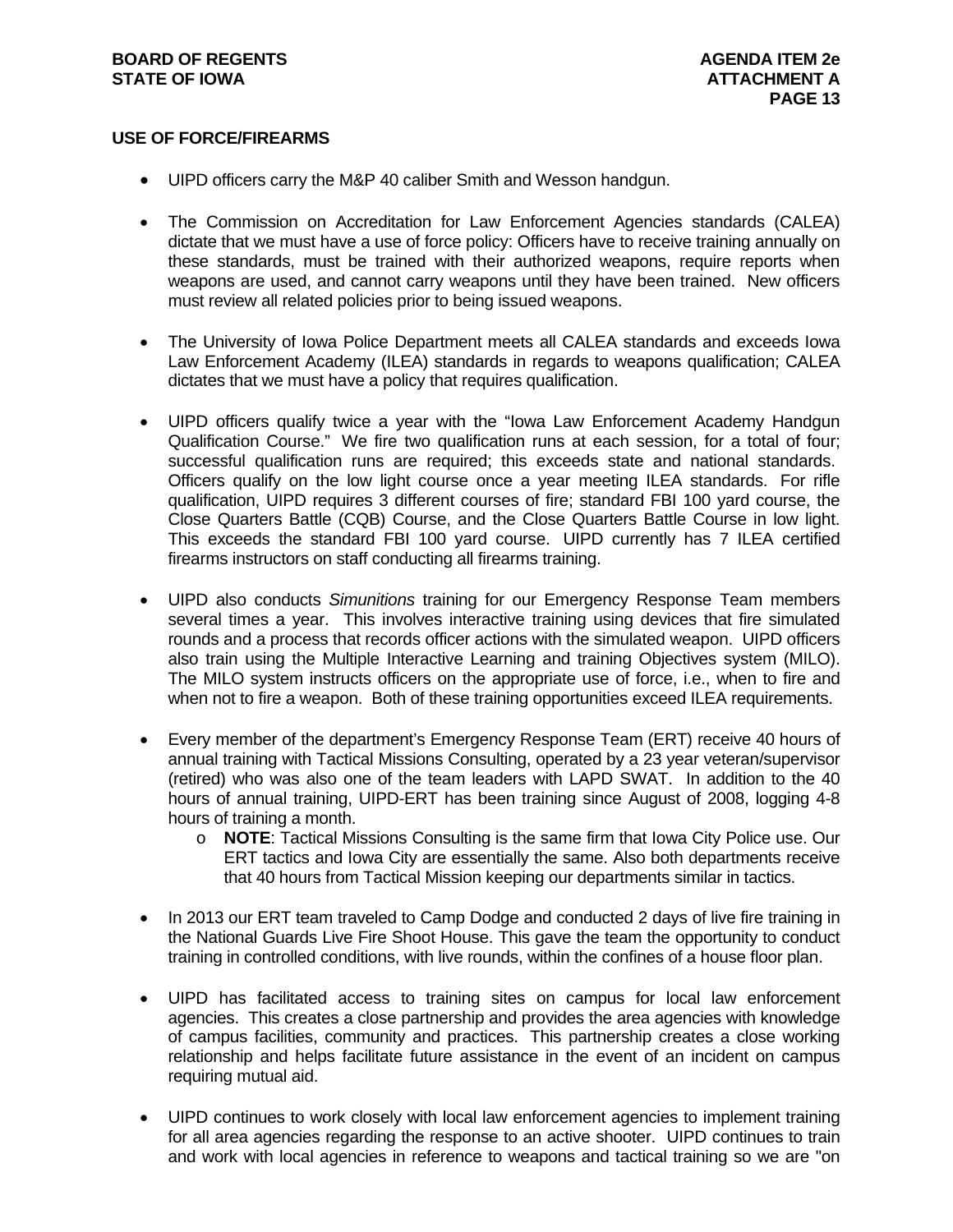#### **BOARD OF REGENTS AGENUS AGENDA ITEM 2e STATE OF IOWA** AND **ATTACHMENT A**

#### **USE OF FORCE/FIREARMS**

- UIPD officers carry the M&P 40 caliber Smith and Wesson handgun.
- The Commission on Accreditation for Law Enforcement Agencies standards (CALEA) dictate that we must have a use of force policy: Officers have to receive training annually on these standards, must be trained with their authorized weapons, require reports when weapons are used, and cannot carry weapons until they have been trained. New officers must review all related policies prior to being issued weapons.
- The University of Iowa Police Department meets all CALEA standards and exceeds Iowa Law Enforcement Academy (ILEA) standards in regards to weapons qualification; CALEA dictates that we must have a policy that requires qualification.
- UIPD officers qualify twice a year with the "Iowa Law Enforcement Academy Handgun Qualification Course." We fire two qualification runs at each session, for a total of four; successful qualification runs are required; this exceeds state and national standards. Officers qualify on the low light course once a year meeting ILEA standards. For rifle qualification, UIPD requires 3 different courses of fire; standard FBI 100 yard course, the Close Quarters Battle (CQB) Course, and the Close Quarters Battle Course in low light. This exceeds the standard FBI 100 yard course. UIPD currently has 7 ILEA certified firearms instructors on staff conducting all firearms training.
- UIPD also conducts *Simunitions* training for our Emergency Response Team members several times a year. This involves interactive training using devices that fire simulated rounds and a process that records officer actions with the simulated weapon. UIPD officers also train using the Multiple Interactive Learning and training Objectives system (MILO). The MILO system instructs officers on the appropriate use of force, i.e., when to fire and when not to fire a weapon. Both of these training opportunities exceed ILEA requirements.
- Every member of the department's Emergency Response Team (ERT) receive 40 hours of annual training with Tactical Missions Consulting, operated by a 23 year veteran/supervisor (retired) who was also one of the team leaders with LAPD SWAT. In addition to the 40 hours of annual training, UIPD-ERT has been training since August of 2008, logging 4-8 hours of training a month.
	- o **NOTE**: Tactical Missions Consulting is the same firm that Iowa City Police use. Our ERT tactics and Iowa City are essentially the same. Also both departments receive that 40 hours from Tactical Mission keeping our departments similar in tactics.
- In 2013 our ERT team traveled to Camp Dodge and conducted 2 days of live fire training in the National Guards Live Fire Shoot House. This gave the team the opportunity to conduct training in controlled conditions, with live rounds, within the confines of a house floor plan.
- UIPD has facilitated access to training sites on campus for local law enforcement agencies. This creates a close partnership and provides the area agencies with knowledge of campus facilities, community and practices. This partnership creates a close working relationship and helps facilitate future assistance in the event of an incident on campus requiring mutual aid.
- UIPD continues to work closely with local law enforcement agencies to implement training for all area agencies regarding the response to an active shooter. UIPD continues to train and work with local agencies in reference to weapons and tactical training so we are "on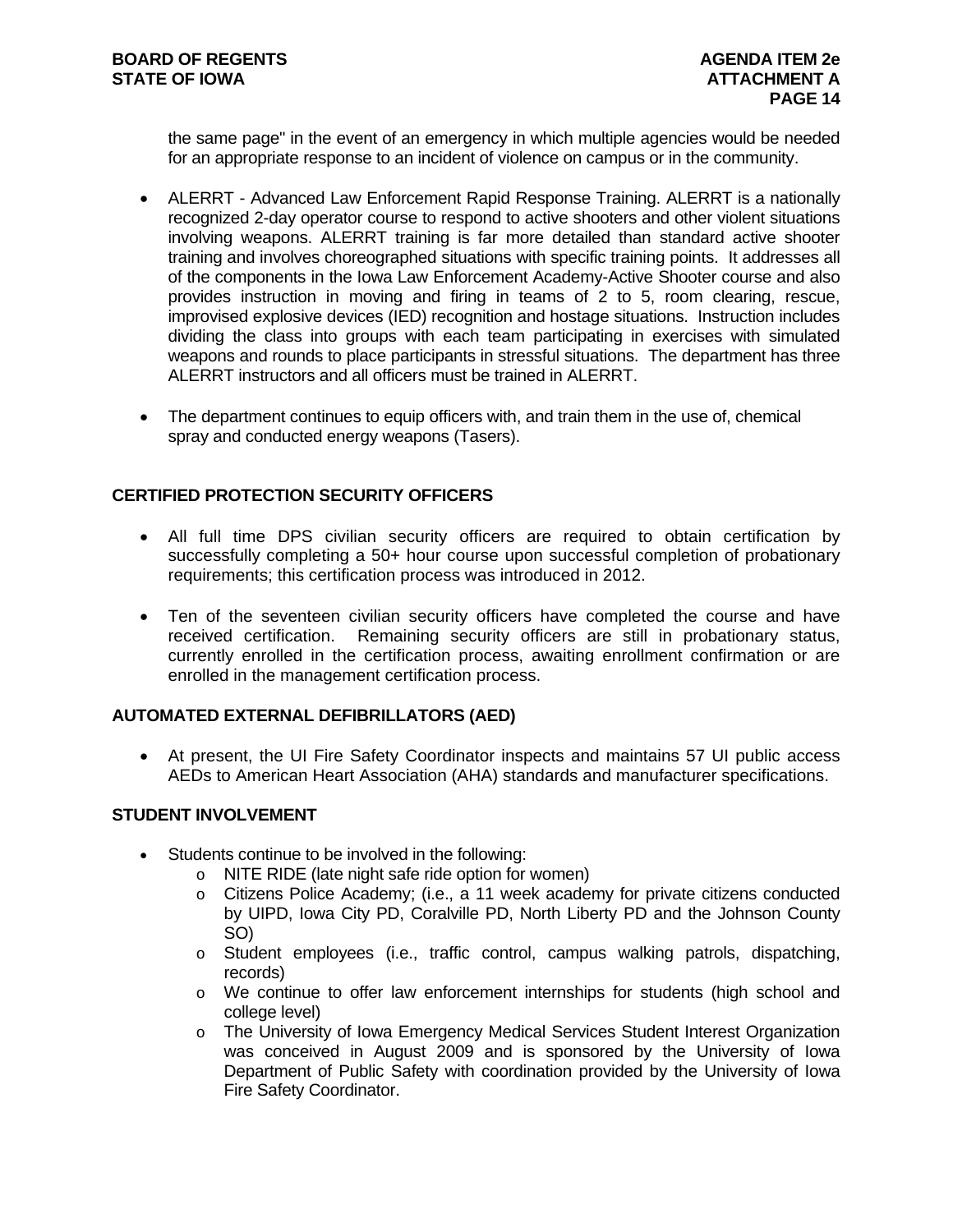the same page" in the event of an emergency in which multiple agencies would be needed for an appropriate response to an incident of violence on campus or in the community.

- ALERRT Advanced Law Enforcement Rapid Response Training. ALERRT is a nationally recognized 2-day operator course to respond to active shooters and other violent situations involving weapons. ALERRT training is far more detailed than standard active shooter training and involves choreographed situations with specific training points. It addresses all of the components in the Iowa Law Enforcement Academy-Active Shooter course and also provides instruction in moving and firing in teams of 2 to 5, room clearing, rescue, improvised explosive devices (IED) recognition and hostage situations. Instruction includes dividing the class into groups with each team participating in exercises with simulated weapons and rounds to place participants in stressful situations. The department has three ALERRT instructors and all officers must be trained in ALERRT.
- The department continues to equip officers with, and train them in the use of, chemical spray and conducted energy weapons (Tasers).

#### **CERTIFIED PROTECTION SECURITY OFFICERS**

- All full time DPS civilian security officers are required to obtain certification by successfully completing a 50+ hour course upon successful completion of probationary requirements; this certification process was introduced in 2012.
- Ten of the seventeen civilian security officers have completed the course and have received certification. Remaining security officers are still in probationary status, currently enrolled in the certification process, awaiting enrollment confirmation or are enrolled in the management certification process.

#### **AUTOMATED EXTERNAL DEFIBRILLATORS (AED)**

 At present, the UI Fire Safety Coordinator inspects and maintains 57 UI public access AEDs to American Heart Association (AHA) standards and manufacturer specifications.

#### **STUDENT INVOLVEMENT**

- Students continue to be involved in the following:
	- o NITE RIDE (late night safe ride option for women)
	- o Citizens Police Academy; (i.e., a 11 week academy for private citizens conducted by UIPD, Iowa City PD, Coralville PD, North Liberty PD and the Johnson County SO)
	- o Student employees (i.e., traffic control, campus walking patrols, dispatching, records)
	- o We continue to offer law enforcement internships for students (high school and college level)
	- o The University of Iowa Emergency Medical Services Student Interest Organization was conceived in August 2009 and is sponsored by the University of Iowa Department of Public Safety with coordination provided by the University of Iowa Fire Safety Coordinator.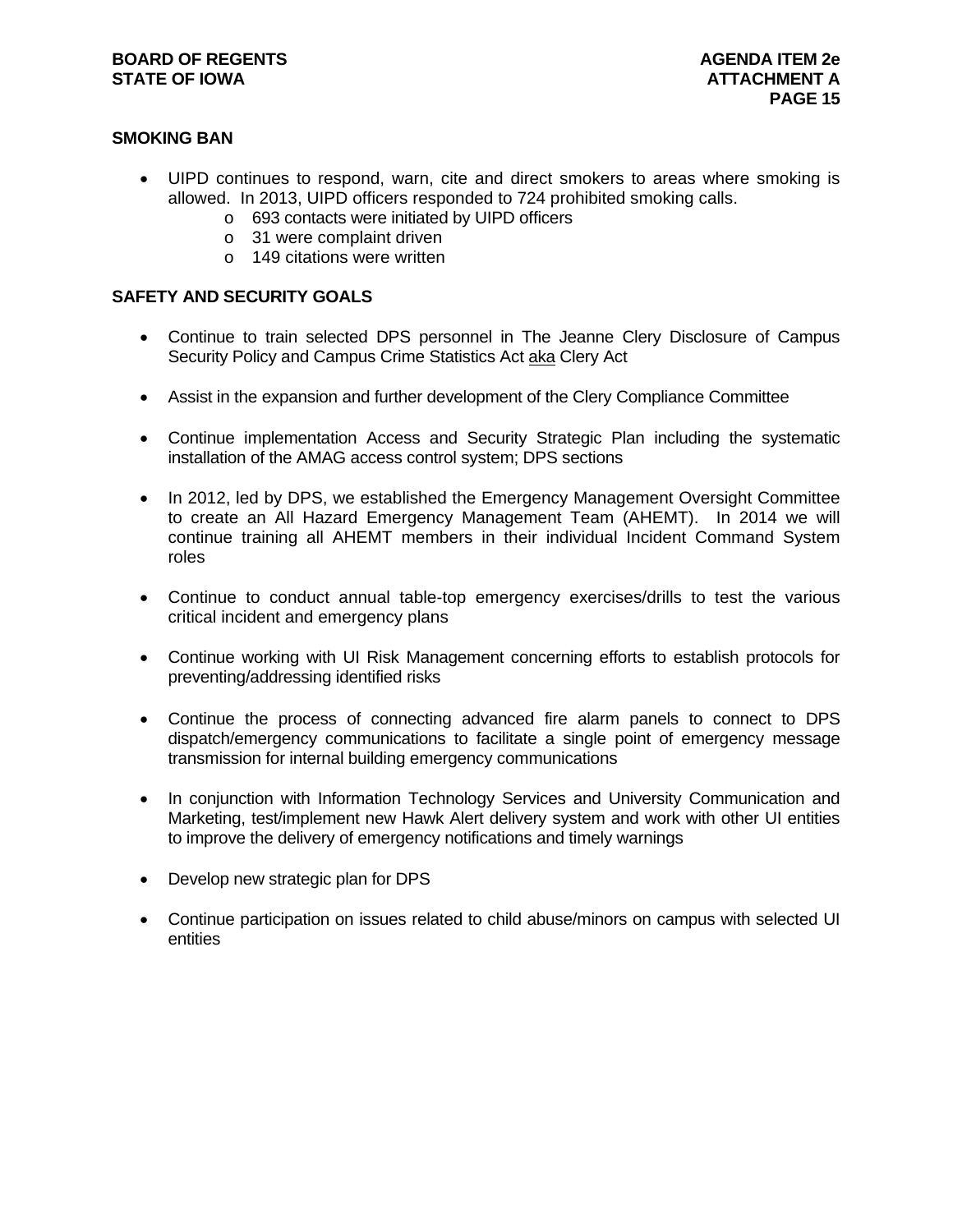### **SMOKING BAN**

- UIPD continues to respond, warn, cite and direct smokers to areas where smoking is allowed. In 2013, UIPD officers responded to 724 prohibited smoking calls.
	- o 693 contacts were initiated by UIPD officers
	- o 31 were complaint driven
	- o 149 citations were written

#### **SAFETY AND SECURITY GOALS**

- Continue to train selected DPS personnel in The Jeanne Clery Disclosure of Campus Security Policy and Campus Crime Statistics Act aka Clery Act
- Assist in the expansion and further development of the Clery Compliance Committee
- Continue implementation Access and Security Strategic Plan including the systematic installation of the AMAG access control system; DPS sections
- In 2012, led by DPS, we established the Emergency Management Oversight Committee to create an All Hazard Emergency Management Team (AHEMT). In 2014 we will continue training all AHEMT members in their individual Incident Command System roles
- Continue to conduct annual table-top emergency exercises/drills to test the various critical incident and emergency plans
- Continue working with UI Risk Management concerning efforts to establish protocols for preventing/addressing identified risks
- Continue the process of connecting advanced fire alarm panels to connect to DPS dispatch/emergency communications to facilitate a single point of emergency message transmission for internal building emergency communications
- In conjunction with Information Technology Services and University Communication and Marketing, test/implement new Hawk Alert delivery system and work with other UI entities to improve the delivery of emergency notifications and timely warnings
- Develop new strategic plan for DPS
- Continue participation on issues related to child abuse/minors on campus with selected UI entities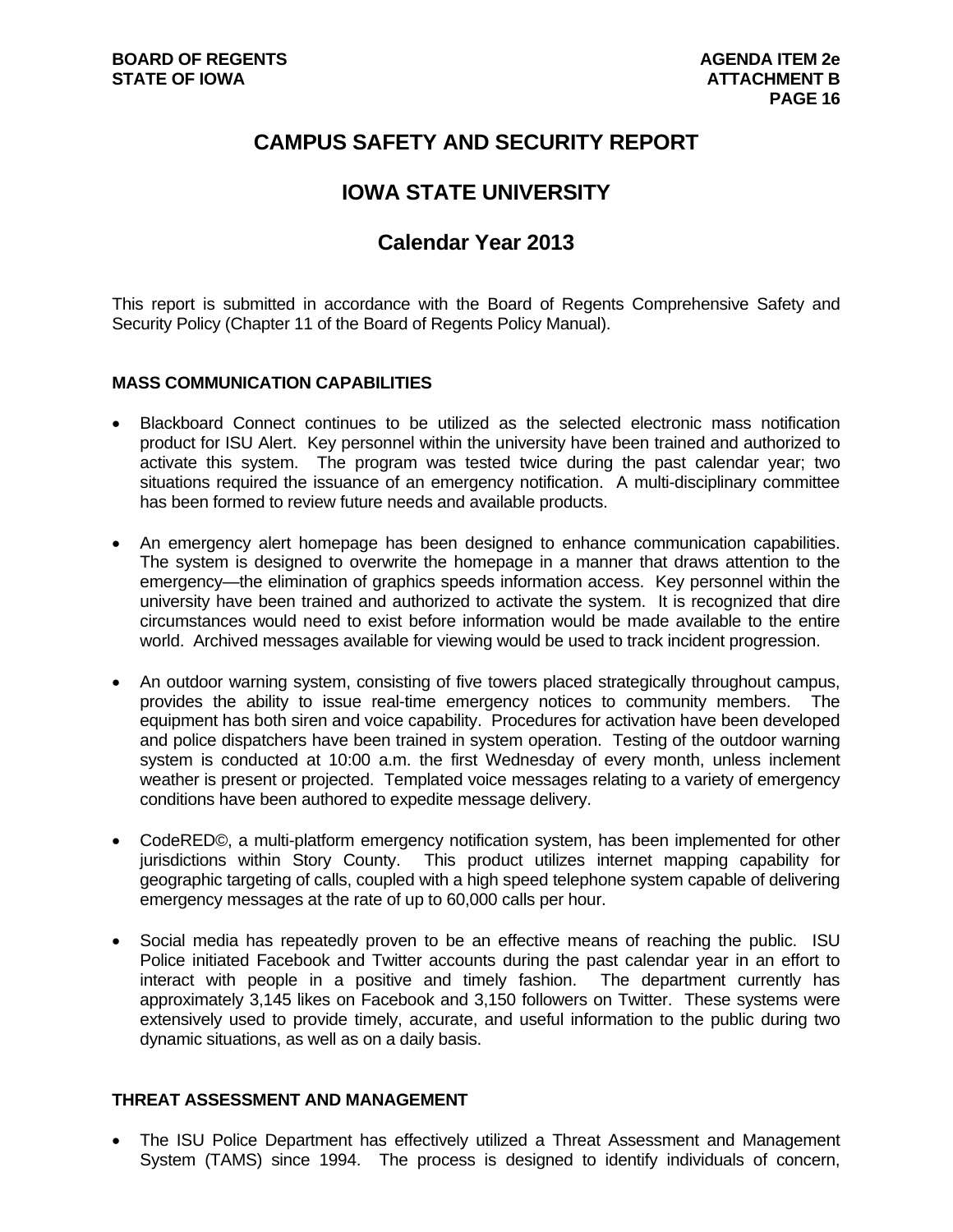## **CAMPUS SAFETY AND SECURITY REPORT**

## **IOWA STATE UNIVERSITY**

## **Calendar Year 2013**

This report is submitted in accordance with the Board of Regents Comprehensive Safety and Security Policy (Chapter 11 of the Board of Regents Policy Manual).

#### **MASS COMMUNICATION CAPABILITIES**

- Blackboard Connect continues to be utilized as the selected electronic mass notification product for ISU Alert. Key personnel within the university have been trained and authorized to activate this system. The program was tested twice during the past calendar year; two situations required the issuance of an emergency notification. A multi-disciplinary committee has been formed to review future needs and available products.
- An emergency alert homepage has been designed to enhance communication capabilities. The system is designed to overwrite the homepage in a manner that draws attention to the emergency—the elimination of graphics speeds information access. Key personnel within the university have been trained and authorized to activate the system. It is recognized that dire circumstances would need to exist before information would be made available to the entire world. Archived messages available for viewing would be used to track incident progression.
- An outdoor warning system, consisting of five towers placed strategically throughout campus, provides the ability to issue real-time emergency notices to community members. The equipment has both siren and voice capability. Procedures for activation have been developed and police dispatchers have been trained in system operation. Testing of the outdoor warning system is conducted at 10:00 a.m. the first Wednesday of every month, unless inclement weather is present or projected. Templated voice messages relating to a variety of emergency conditions have been authored to expedite message delivery.
- CodeRED©, a multi-platform emergency notification system, has been implemented for other jurisdictions within Story County. This product utilizes internet mapping capability for geographic targeting of calls, coupled with a high speed telephone system capable of delivering emergency messages at the rate of up to 60,000 calls per hour.
- Social media has repeatedly proven to be an effective means of reaching the public. ISU Police initiated Facebook and Twitter accounts during the past calendar year in an effort to interact with people in a positive and timely fashion. The department currently has approximately 3,145 likes on Facebook and 3,150 followers on Twitter. These systems were extensively used to provide timely, accurate, and useful information to the public during two dynamic situations, as well as on a daily basis.

#### **THREAT ASSESSMENT AND MANAGEMENT**

• The ISU Police Department has effectively utilized a Threat Assessment and Management System (TAMS) since 1994. The process is designed to identify individuals of concern,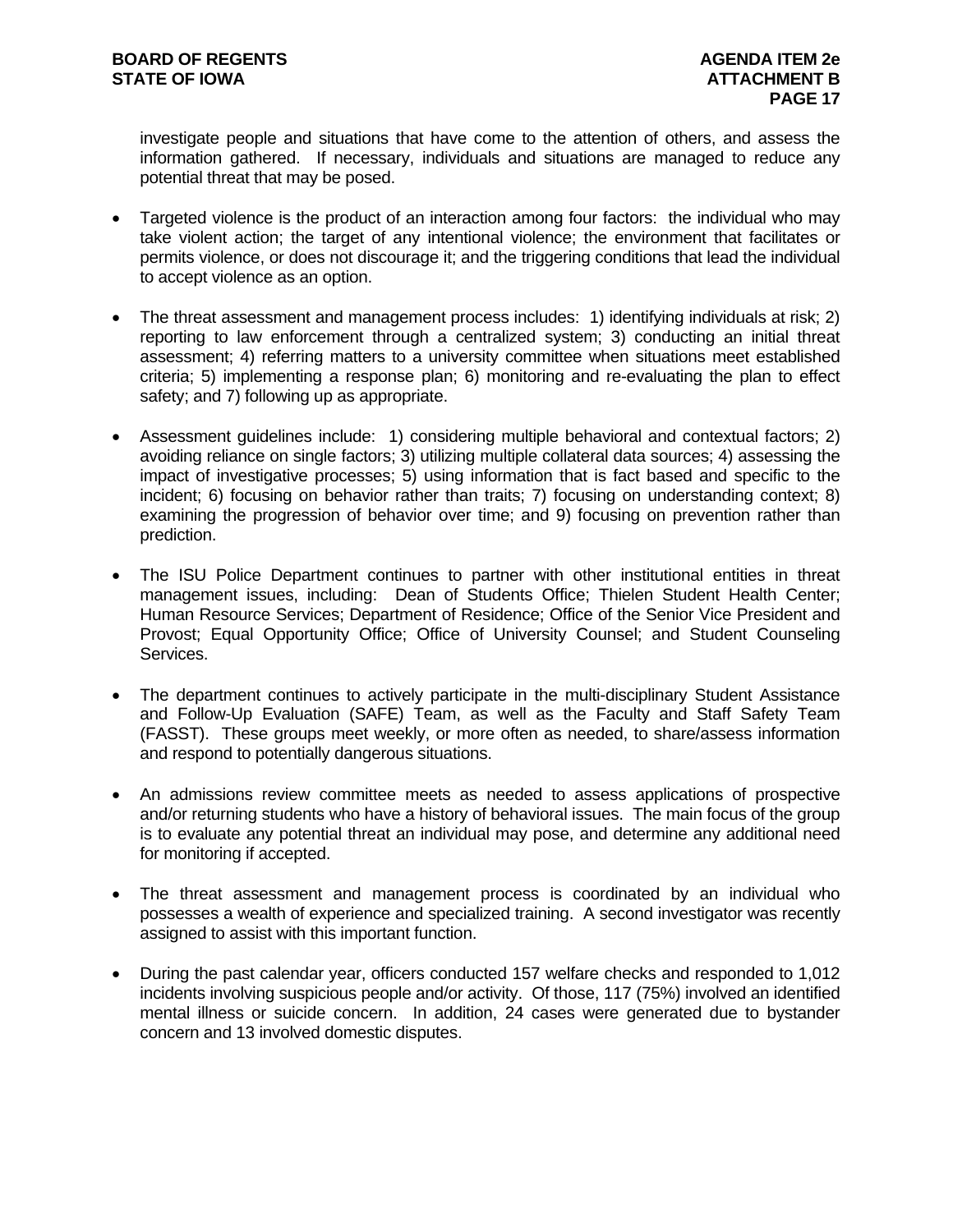investigate people and situations that have come to the attention of others, and assess the information gathered. If necessary, individuals and situations are managed to reduce any potential threat that may be posed.

- Targeted violence is the product of an interaction among four factors: the individual who may take violent action; the target of any intentional violence; the environment that facilitates or permits violence, or does not discourage it; and the triggering conditions that lead the individual to accept violence as an option.
- The threat assessment and management process includes: 1) identifying individuals at risk; 2) reporting to law enforcement through a centralized system; 3) conducting an initial threat assessment; 4) referring matters to a university committee when situations meet established criteria; 5) implementing a response plan; 6) monitoring and re-evaluating the plan to effect safety; and 7) following up as appropriate.
- Assessment guidelines include: 1) considering multiple behavioral and contextual factors; 2) avoiding reliance on single factors; 3) utilizing multiple collateral data sources; 4) assessing the impact of investigative processes; 5) using information that is fact based and specific to the incident; 6) focusing on behavior rather than traits; 7) focusing on understanding context; 8) examining the progression of behavior over time; and 9) focusing on prevention rather than prediction.
- The ISU Police Department continues to partner with other institutional entities in threat management issues, including: Dean of Students Office; Thielen Student Health Center; Human Resource Services; Department of Residence; Office of the Senior Vice President and Provost; Equal Opportunity Office; Office of University Counsel; and Student Counseling Services.
- The department continues to actively participate in the multi-disciplinary Student Assistance and Follow-Up Evaluation (SAFE) Team, as well as the Faculty and Staff Safety Team (FASST). These groups meet weekly, or more often as needed, to share/assess information and respond to potentially dangerous situations.
- An admissions review committee meets as needed to assess applications of prospective and/or returning students who have a history of behavioral issues. The main focus of the group is to evaluate any potential threat an individual may pose, and determine any additional need for monitoring if accepted.
- The threat assessment and management process is coordinated by an individual who possesses a wealth of experience and specialized training. A second investigator was recently assigned to assist with this important function.
- During the past calendar year, officers conducted 157 welfare checks and responded to 1,012 incidents involving suspicious people and/or activity. Of those, 117 (75%) involved an identified mental illness or suicide concern. In addition, 24 cases were generated due to bystander concern and 13 involved domestic disputes.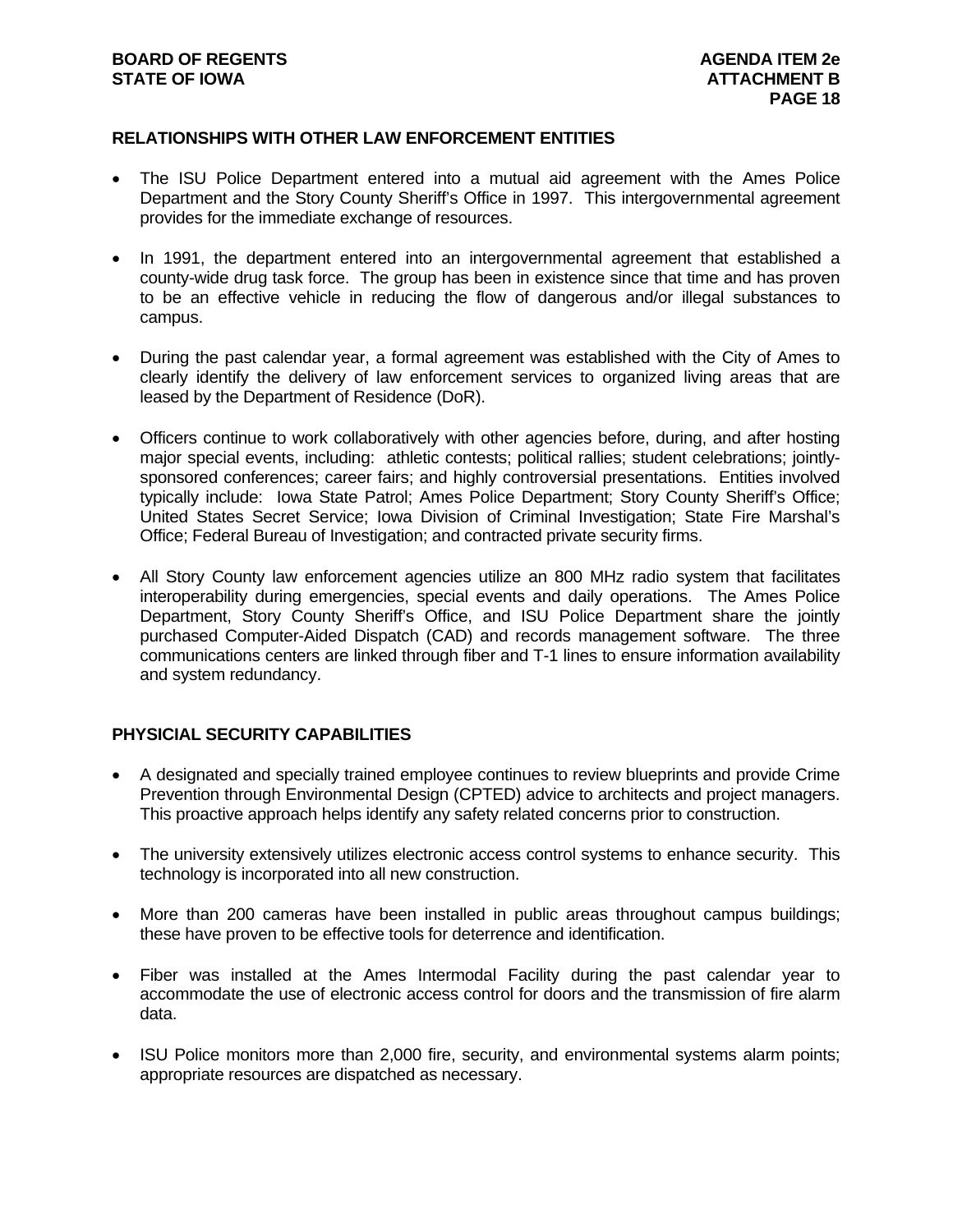#### **RELATIONSHIPS WITH OTHER LAW ENFORCEMENT ENTITIES**

- The ISU Police Department entered into a mutual aid agreement with the Ames Police Department and the Story County Sheriff's Office in 1997. This intergovernmental agreement provides for the immediate exchange of resources.
- In 1991, the department entered into an intergovernmental agreement that established a county-wide drug task force. The group has been in existence since that time and has proven to be an effective vehicle in reducing the flow of dangerous and/or illegal substances to campus.
- During the past calendar year, a formal agreement was established with the City of Ames to clearly identify the delivery of law enforcement services to organized living areas that are leased by the Department of Residence (DoR).
- Officers continue to work collaboratively with other agencies before, during, and after hosting major special events, including: athletic contests; political rallies; student celebrations; jointlysponsored conferences; career fairs; and highly controversial presentations. Entities involved typically include: Iowa State Patrol; Ames Police Department; Story County Sheriff's Office; United States Secret Service; Iowa Division of Criminal Investigation; State Fire Marshal's Office; Federal Bureau of Investigation; and contracted private security firms.
- All Story County law enforcement agencies utilize an 800 MHz radio system that facilitates interoperability during emergencies, special events and daily operations. The Ames Police Department, Story County Sheriff's Office, and ISU Police Department share the jointly purchased Computer-Aided Dispatch (CAD) and records management software. The three communications centers are linked through fiber and T-1 lines to ensure information availability and system redundancy.

#### **PHYSICIAL SECURITY CAPABILITIES**

- A designated and specially trained employee continues to review blueprints and provide Crime Prevention through Environmental Design (CPTED) advice to architects and project managers. This proactive approach helps identify any safety related concerns prior to construction.
- The university extensively utilizes electronic access control systems to enhance security. This technology is incorporated into all new construction.
- More than 200 cameras have been installed in public areas throughout campus buildings; these have proven to be effective tools for deterrence and identification.
- Fiber was installed at the Ames Intermodal Facility during the past calendar year to accommodate the use of electronic access control for doors and the transmission of fire alarm data.
- ISU Police monitors more than 2,000 fire, security, and environmental systems alarm points; appropriate resources are dispatched as necessary.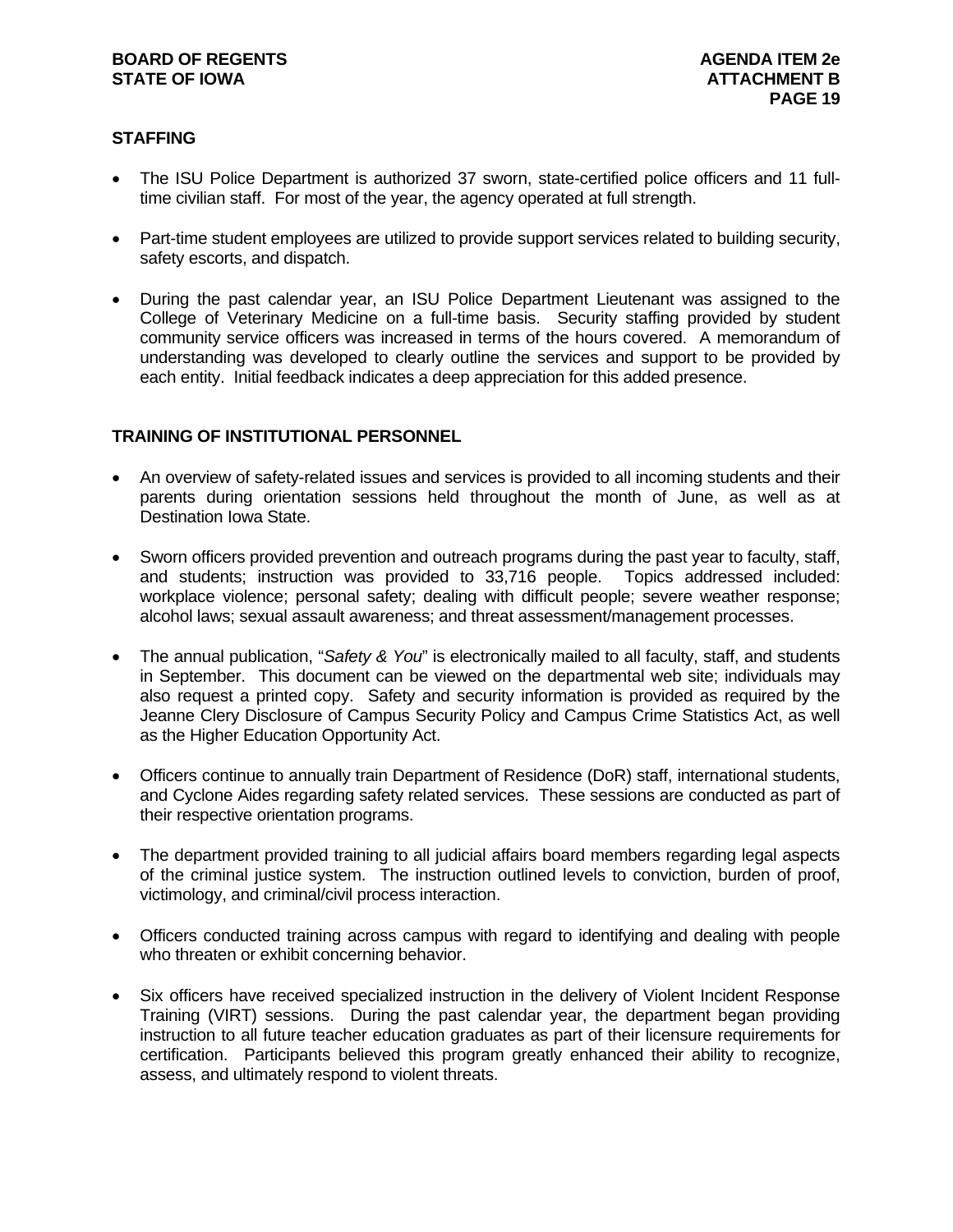#### **STAFFING**

- The ISU Police Department is authorized 37 sworn, state-certified police officers and 11 fulltime civilian staff. For most of the year, the agency operated at full strength.
- Part-time student employees are utilized to provide support services related to building security, safety escorts, and dispatch.
- During the past calendar year, an ISU Police Department Lieutenant was assigned to the College of Veterinary Medicine on a full-time basis. Security staffing provided by student community service officers was increased in terms of the hours covered. A memorandum of understanding was developed to clearly outline the services and support to be provided by each entity. Initial feedback indicates a deep appreciation for this added presence.

#### **TRAINING OF INSTITUTIONAL PERSONNEL**

- An overview of safety-related issues and services is provided to all incoming students and their parents during orientation sessions held throughout the month of June, as well as at Destination Iowa State.
- Sworn officers provided prevention and outreach programs during the past year to faculty, staff, and students; instruction was provided to 33,716 people. Topics addressed included: workplace violence; personal safety; dealing with difficult people; severe weather response; alcohol laws; sexual assault awareness; and threat assessment/management processes.
- The annual publication, "*Safety & You*" is electronically mailed to all faculty, staff, and students in September. This document can be viewed on the departmental web site; individuals may also request a printed copy. Safety and security information is provided as required by the Jeanne Clery Disclosure of Campus Security Policy and Campus Crime Statistics Act, as well as the Higher Education Opportunity Act.
- Officers continue to annually train Department of Residence (DoR) staff, international students, and Cyclone Aides regarding safety related services. These sessions are conducted as part of their respective orientation programs.
- The department provided training to all judicial affairs board members regarding legal aspects of the criminal justice system. The instruction outlined levels to conviction, burden of proof, victimology, and criminal/civil process interaction.
- Officers conducted training across campus with regard to identifying and dealing with people who threaten or exhibit concerning behavior.
- Six officers have received specialized instruction in the delivery of Violent Incident Response Training (VIRT) sessions. During the past calendar year, the department began providing instruction to all future teacher education graduates as part of their licensure requirements for certification. Participants believed this program greatly enhanced their ability to recognize, assess, and ultimately respond to violent threats.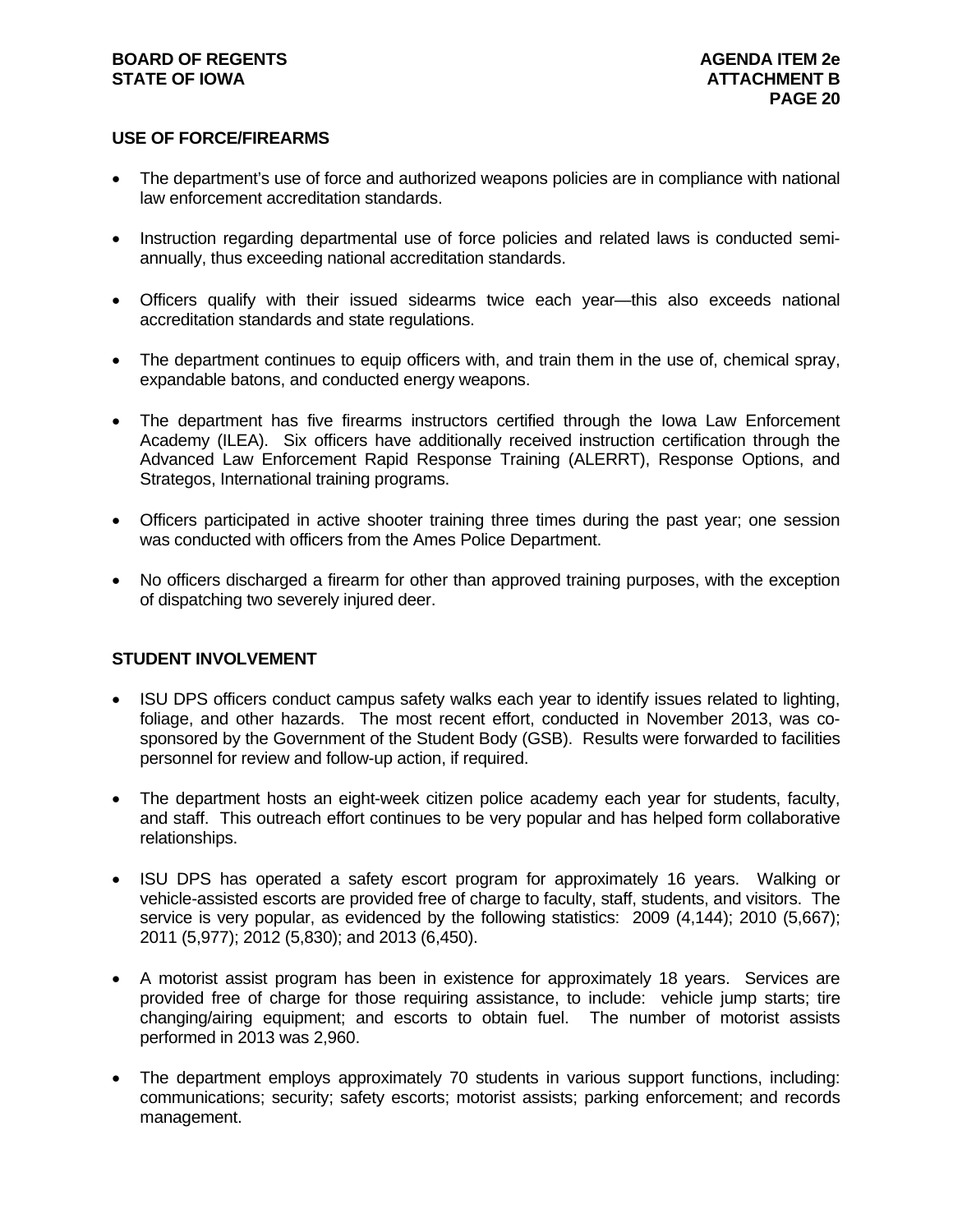#### **BOARD OF REGENTS AGENUS AGENDA ITEM 2e STATE OF IOWA** AND **ATTACHMENT B**

#### **USE OF FORCE/FIREARMS**

- The department's use of force and authorized weapons policies are in compliance with national law enforcement accreditation standards.
- Instruction regarding departmental use of force policies and related laws is conducted semiannually, thus exceeding national accreditation standards.
- Officers qualify with their issued sidearms twice each year—this also exceeds national accreditation standards and state regulations.
- The department continues to equip officers with, and train them in the use of, chemical spray, expandable batons, and conducted energy weapons.
- The department has five firearms instructors certified through the Iowa Law Enforcement Academy (ILEA). Six officers have additionally received instruction certification through the Advanced Law Enforcement Rapid Response Training (ALERRT), Response Options, and Strategos, International training programs.
- Officers participated in active shooter training three times during the past year; one session was conducted with officers from the Ames Police Department.
- No officers discharged a firearm for other than approved training purposes, with the exception of dispatching two severely injured deer.

#### **STUDENT INVOLVEMENT**

- ISU DPS officers conduct campus safety walks each year to identify issues related to lighting, foliage, and other hazards. The most recent effort, conducted in November 2013, was cosponsored by the Government of the Student Body (GSB). Results were forwarded to facilities personnel for review and follow-up action, if required.
- The department hosts an eight-week citizen police academy each year for students, faculty, and staff. This outreach effort continues to be very popular and has helped form collaborative relationships.
- ISU DPS has operated a safety escort program for approximately 16 years. Walking or vehicle-assisted escorts are provided free of charge to faculty, staff, students, and visitors. The service is very popular, as evidenced by the following statistics: 2009 (4,144); 2010 (5,667); 2011 (5,977); 2012 (5,830); and 2013 (6,450).
- A motorist assist program has been in existence for approximately 18 years. Services are provided free of charge for those requiring assistance, to include: vehicle jump starts; tire changing/airing equipment; and escorts to obtain fuel. The number of motorist assists performed in 2013 was 2,960.
- The department employs approximately 70 students in various support functions, including: communications; security; safety escorts; motorist assists; parking enforcement; and records management.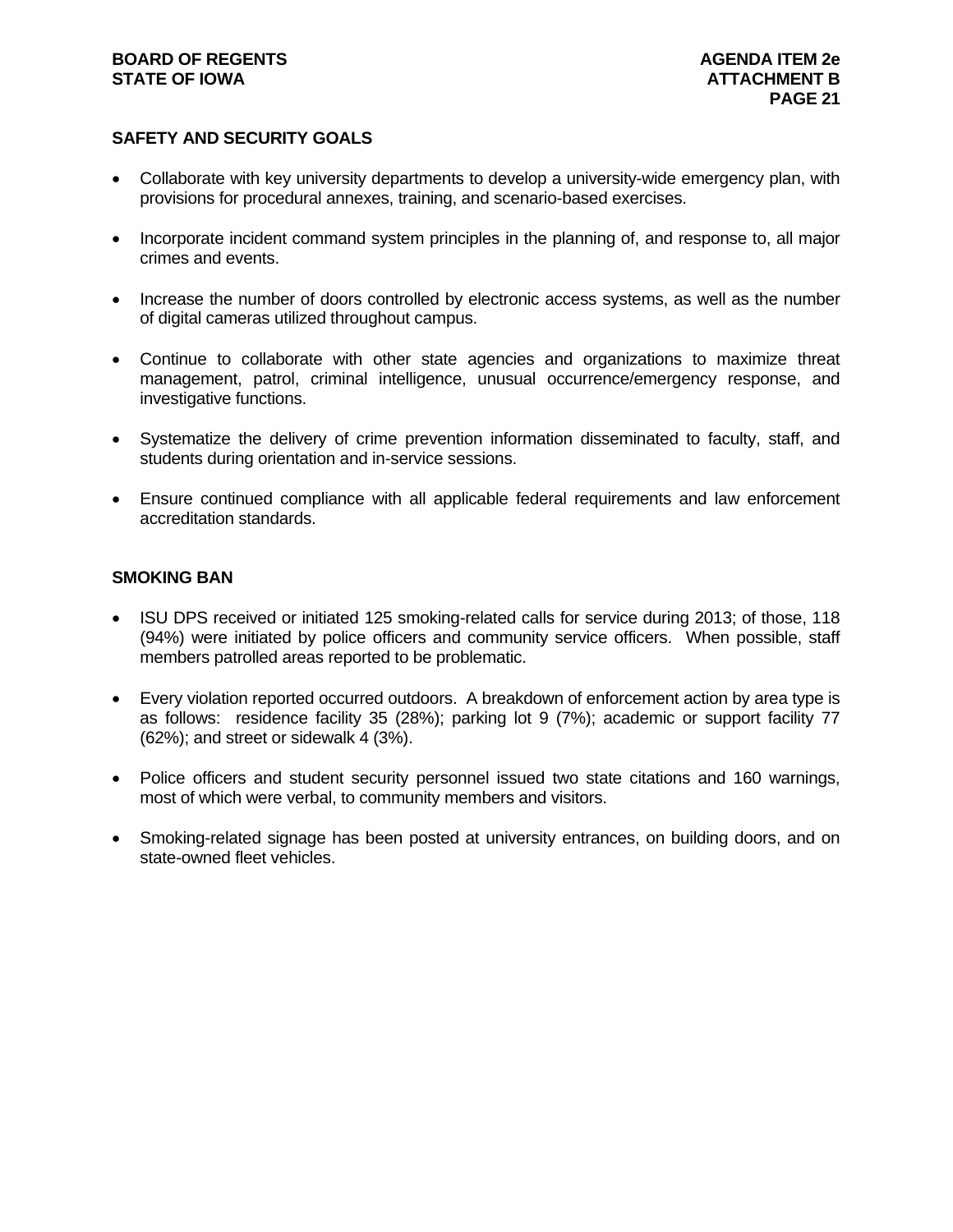#### **BOARD OF REGENTS AGENUS AGENDA ITEM 2e STATE OF IOWA** AND **ATTACHMENT B**

### **SAFETY AND SECURITY GOALS**

- Collaborate with key university departments to develop a university-wide emergency plan, with provisions for procedural annexes, training, and scenario-based exercises.
- Incorporate incident command system principles in the planning of, and response to, all major crimes and events.
- Increase the number of doors controlled by electronic access systems, as well as the number of digital cameras utilized throughout campus.
- Continue to collaborate with other state agencies and organizations to maximize threat management, patrol, criminal intelligence, unusual occurrence/emergency response, and investigative functions.
- Systematize the delivery of crime prevention information disseminated to faculty, staff, and students during orientation and in-service sessions.
- Ensure continued compliance with all applicable federal requirements and law enforcement accreditation standards.

#### **SMOKING BAN**

- ISU DPS received or initiated 125 smoking-related calls for service during 2013; of those, 118 (94%) were initiated by police officers and community service officers. When possible, staff members patrolled areas reported to be problematic.
- Every violation reported occurred outdoors. A breakdown of enforcement action by area type is as follows: residence facility 35 (28%); parking lot 9 (7%); academic or support facility 77 (62%); and street or sidewalk 4 (3%).
- Police officers and student security personnel issued two state citations and 160 warnings, most of which were verbal, to community members and visitors.
- Smoking-related signage has been posted at university entrances, on building doors, and on state-owned fleet vehicles.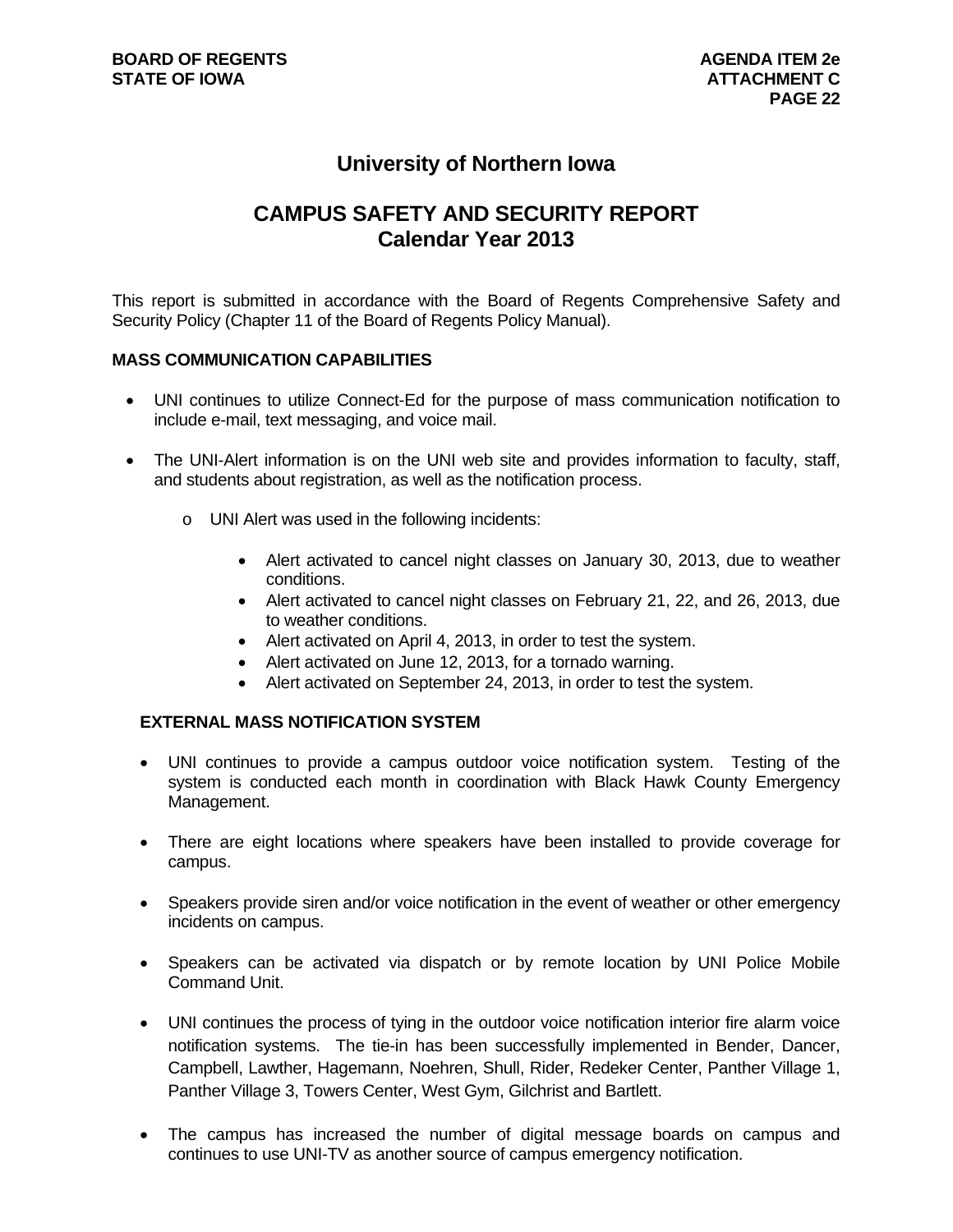## **University of Northern Iowa**

## **CAMPUS SAFETY AND SECURITY REPORT Calendar Year 2013**

This report is submitted in accordance with the Board of Regents Comprehensive Safety and Security Policy (Chapter 11 of the Board of Regents Policy Manual).

#### **MASS COMMUNICATION CAPABILITIES**

- UNI continues to utilize Connect-Ed for the purpose of mass communication notification to include e-mail, text messaging, and voice mail.
- The UNI-Alert information is on the UNI web site and provides information to faculty, staff, and students about registration, as well as the notification process.
	- o UNI Alert was used in the following incidents:
		- Alert activated to cancel night classes on January 30, 2013, due to weather conditions.
		- Alert activated to cancel night classes on February 21, 22, and 26, 2013, due to weather conditions.
		- Alert activated on April 4, 2013, in order to test the system.
		- Alert activated on June 12, 2013, for a tornado warning.
		- Alert activated on September 24, 2013, in order to test the system.

#### **EXTERNAL MASS NOTIFICATION SYSTEM**

- UNI continues to provide a campus outdoor voice notification system. Testing of the system is conducted each month in coordination with Black Hawk County Emergency Management.
- There are eight locations where speakers have been installed to provide coverage for campus.
- Speakers provide siren and/or voice notification in the event of weather or other emergency incidents on campus.
- Speakers can be activated via dispatch or by remote location by UNI Police Mobile Command Unit.
- UNI continues the process of tying in the outdoor voice notification interior fire alarm voice notification systems. The tie-in has been successfully implemented in Bender, Dancer, Campbell, Lawther, Hagemann, Noehren, Shull, Rider, Redeker Center, Panther Village 1, Panther Village 3, Towers Center, West Gym, Gilchrist and Bartlett.
- The campus has increased the number of digital message boards on campus and continues to use UNI-TV as another source of campus emergency notification.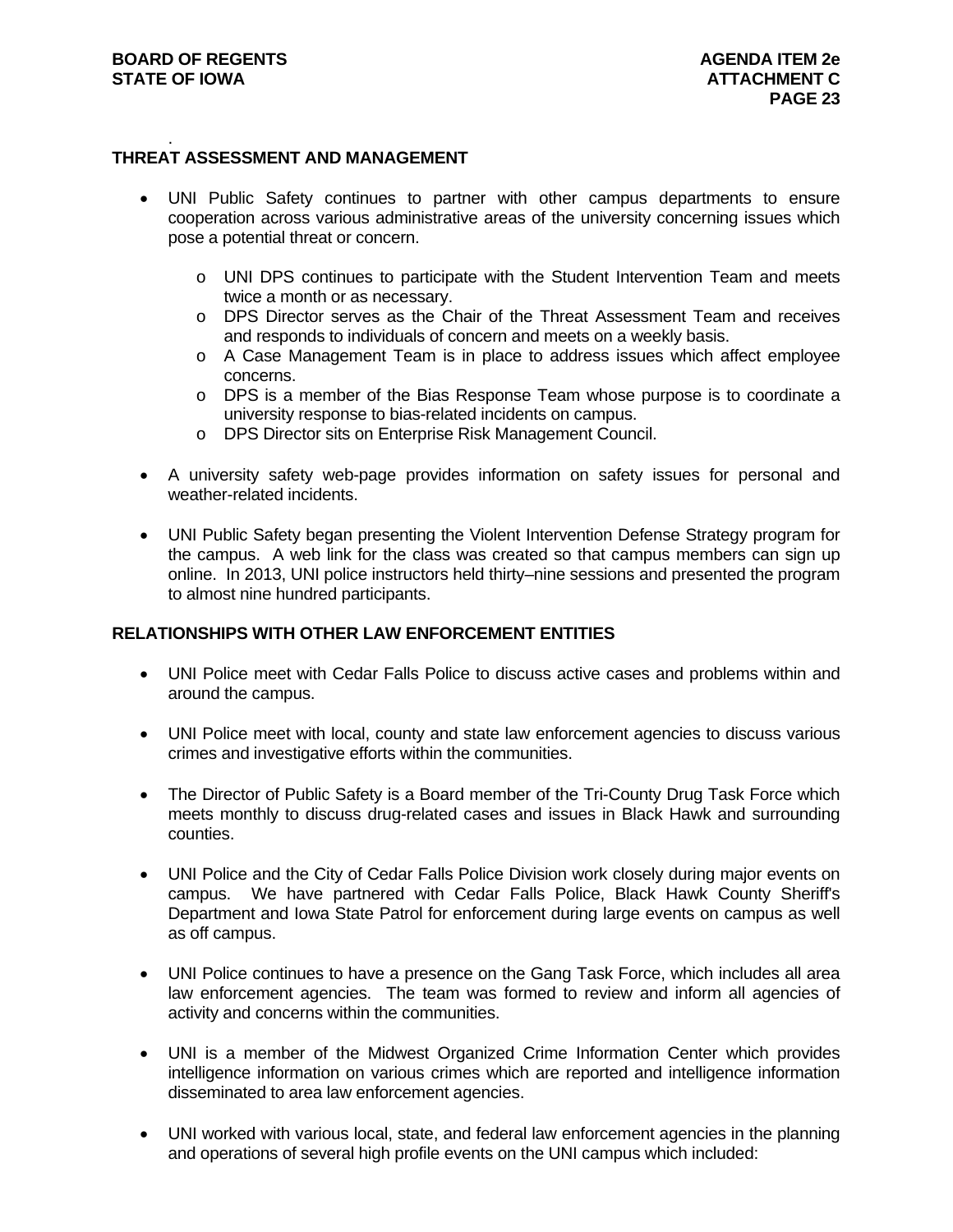#### . **THREAT ASSESSMENT AND MANAGEMENT**

- UNI Public Safety continues to partner with other campus departments to ensure cooperation across various administrative areas of the university concerning issues which pose a potential threat or concern.
	- o UNI DPS continues to participate with the Student Intervention Team and meets twice a month or as necessary.
	- o DPS Director serves as the Chair of the Threat Assessment Team and receives and responds to individuals of concern and meets on a weekly basis.
	- o A Case Management Team is in place to address issues which affect employee concerns.
	- o DPS is a member of the Bias Response Team whose purpose is to coordinate a university response to bias-related incidents on campus.
	- o DPS Director sits on Enterprise Risk Management Council.
- A university safety web-page provides information on safety issues for personal and weather-related incidents.
- UNI Public Safety began presenting the Violent Intervention Defense Strategy program for the campus. A web link for the class was created so that campus members can sign up online. In 2013, UNI police instructors held thirty–nine sessions and presented the program to almost nine hundred participants.

#### **RELATIONSHIPS WITH OTHER LAW ENFORCEMENT ENTITIES**

- UNI Police meet with Cedar Falls Police to discuss active cases and problems within and around the campus.
- UNI Police meet with local, county and state law enforcement agencies to discuss various crimes and investigative efforts within the communities.
- The Director of Public Safety is a Board member of the Tri-County Drug Task Force which meets monthly to discuss drug-related cases and issues in Black Hawk and surrounding counties.
- UNI Police and the City of Cedar Falls Police Division work closely during major events on campus. We have partnered with Cedar Falls Police, Black Hawk County Sheriff's Department and Iowa State Patrol for enforcement during large events on campus as well as off campus.
- UNI Police continues to have a presence on the Gang Task Force, which includes all area law enforcement agencies. The team was formed to review and inform all agencies of activity and concerns within the communities.
- UNI is a member of the Midwest Organized Crime Information Center which provides intelligence information on various crimes which are reported and intelligence information disseminated to area law enforcement agencies.
- UNI worked with various local, state, and federal law enforcement agencies in the planning and operations of several high profile events on the UNI campus which included: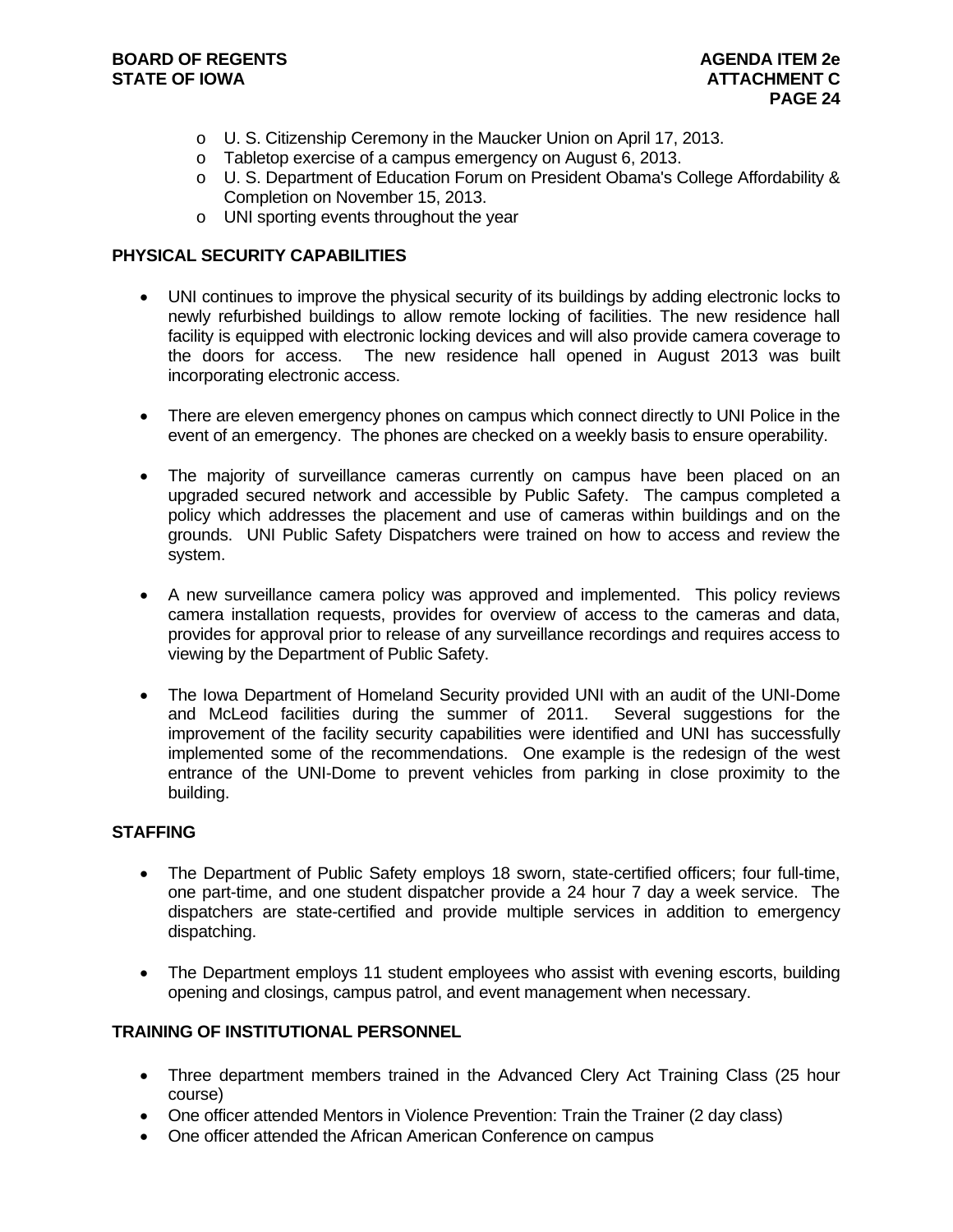- o U. S. Citizenship Ceremony in the Maucker Union on April 17, 2013.
- o Tabletop exercise of a campus emergency on August 6, 2013.
- $\circ$  U. S. Department of Education Forum on President Obama's College Affordability & Completion on November 15, 2013.
- o UNI sporting events throughout the year

#### **PHYSICAL SECURITY CAPABILITIES**

- UNI continues to improve the physical security of its buildings by adding electronic locks to newly refurbished buildings to allow remote locking of facilities. The new residence hall facility is equipped with electronic locking devices and will also provide camera coverage to the doors for access. The new residence hall opened in August 2013 was built incorporating electronic access.
- There are eleven emergency phones on campus which connect directly to UNI Police in the event of an emergency. The phones are checked on a weekly basis to ensure operability.
- The majority of surveillance cameras currently on campus have been placed on an upgraded secured network and accessible by Public Safety. The campus completed a policy which addresses the placement and use of cameras within buildings and on the grounds. UNI Public Safety Dispatchers were trained on how to access and review the system.
- A new surveillance camera policy was approved and implemented. This policy reviews camera installation requests, provides for overview of access to the cameras and data, provides for approval prior to release of any surveillance recordings and requires access to viewing by the Department of Public Safety.
- The Iowa Department of Homeland Security provided UNI with an audit of the UNI-Dome and McLeod facilities during the summer of 2011. Several suggestions for the improvement of the facility security capabilities were identified and UNI has successfully implemented some of the recommendations. One example is the redesign of the west entrance of the UNI-Dome to prevent vehicles from parking in close proximity to the building.

#### **STAFFING**

- The Department of Public Safety employs 18 sworn, state-certified officers; four full-time, one part-time, and one student dispatcher provide a 24 hour 7 day a week service. The dispatchers are state-certified and provide multiple services in addition to emergency dispatching.
- The Department employs 11 student employees who assist with evening escorts, building opening and closings, campus patrol, and event management when necessary.

#### **TRAINING OF INSTITUTIONAL PERSONNEL**

- Three department members trained in the Advanced Clery Act Training Class (25 hour course)
- One officer attended Mentors in Violence Prevention: Train the Trainer (2 day class)
- One officer attended the African American Conference on campus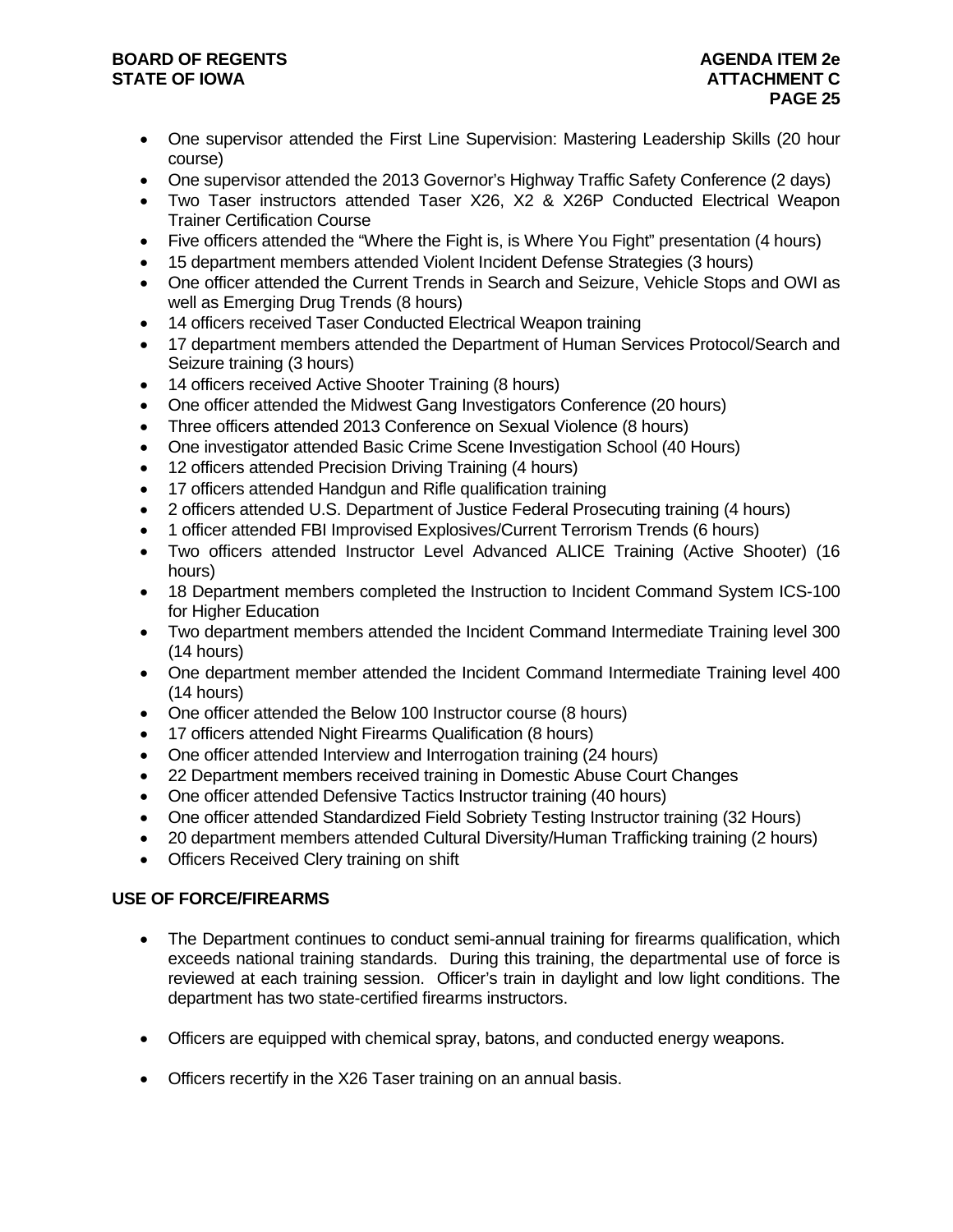#### **BOARD OF REGENTS AGENUS AGENDA ITEM 2e STATE OF IOWA** AND **ATTACHMENT C ATTACHMENT C**

- One supervisor attended the First Line Supervision: Mastering Leadership Skills (20 hour course)
- One supervisor attended the 2013 Governor's Highway Traffic Safety Conference (2 days)
- Two Taser instructors attended Taser X26, X2 & X26P Conducted Electrical Weapon Trainer Certification Course
- Five officers attended the "Where the Fight is, is Where You Fight" presentation (4 hours)
- 15 department members attended Violent Incident Defense Strategies (3 hours)
- One officer attended the Current Trends in Search and Seizure, Vehicle Stops and OWI as well as Emerging Drug Trends (8 hours)
- 14 officers received Taser Conducted Electrical Weapon training
- 17 department members attended the Department of Human Services Protocol/Search and Seizure training (3 hours)
- 14 officers received Active Shooter Training (8 hours)
- One officer attended the Midwest Gang Investigators Conference (20 hours)
- Three officers attended 2013 Conference on Sexual Violence (8 hours)
- One investigator attended Basic Crime Scene Investigation School (40 Hours)
- 12 officers attended Precision Driving Training (4 hours)
- 17 officers attended Handgun and Rifle qualification training
- 2 officers attended U.S. Department of Justice Federal Prosecuting training (4 hours)
- 1 officer attended FBI Improvised Explosives/Current Terrorism Trends (6 hours)
- Two officers attended Instructor Level Advanced ALICE Training (Active Shooter) (16 hours)
- 18 Department members completed the Instruction to Incident Command System ICS-100 for Higher Education
- Two department members attended the Incident Command Intermediate Training level 300 (14 hours)
- One department member attended the Incident Command Intermediate Training level 400 (14 hours)
- One officer attended the Below 100 Instructor course (8 hours)
- 17 officers attended Night Firearms Qualification (8 hours)
- One officer attended Interview and Interrogation training (24 hours)
- 22 Department members received training in Domestic Abuse Court Changes
- One officer attended Defensive Tactics Instructor training (40 hours)
- One officer attended Standardized Field Sobriety Testing Instructor training (32 Hours)
- 20 department members attended Cultural Diversity/Human Trafficking training (2 hours)
- Officers Received Clery training on shift

### **USE OF FORCE/FIREARMS**

- The Department continues to conduct semi-annual training for firearms qualification, which exceeds national training standards. During this training, the departmental use of force is reviewed at each training session. Officer's train in daylight and low light conditions. The department has two state-certified firearms instructors.
- Officers are equipped with chemical spray, batons, and conducted energy weapons.
- Officers recertify in the X26 Taser training on an annual basis.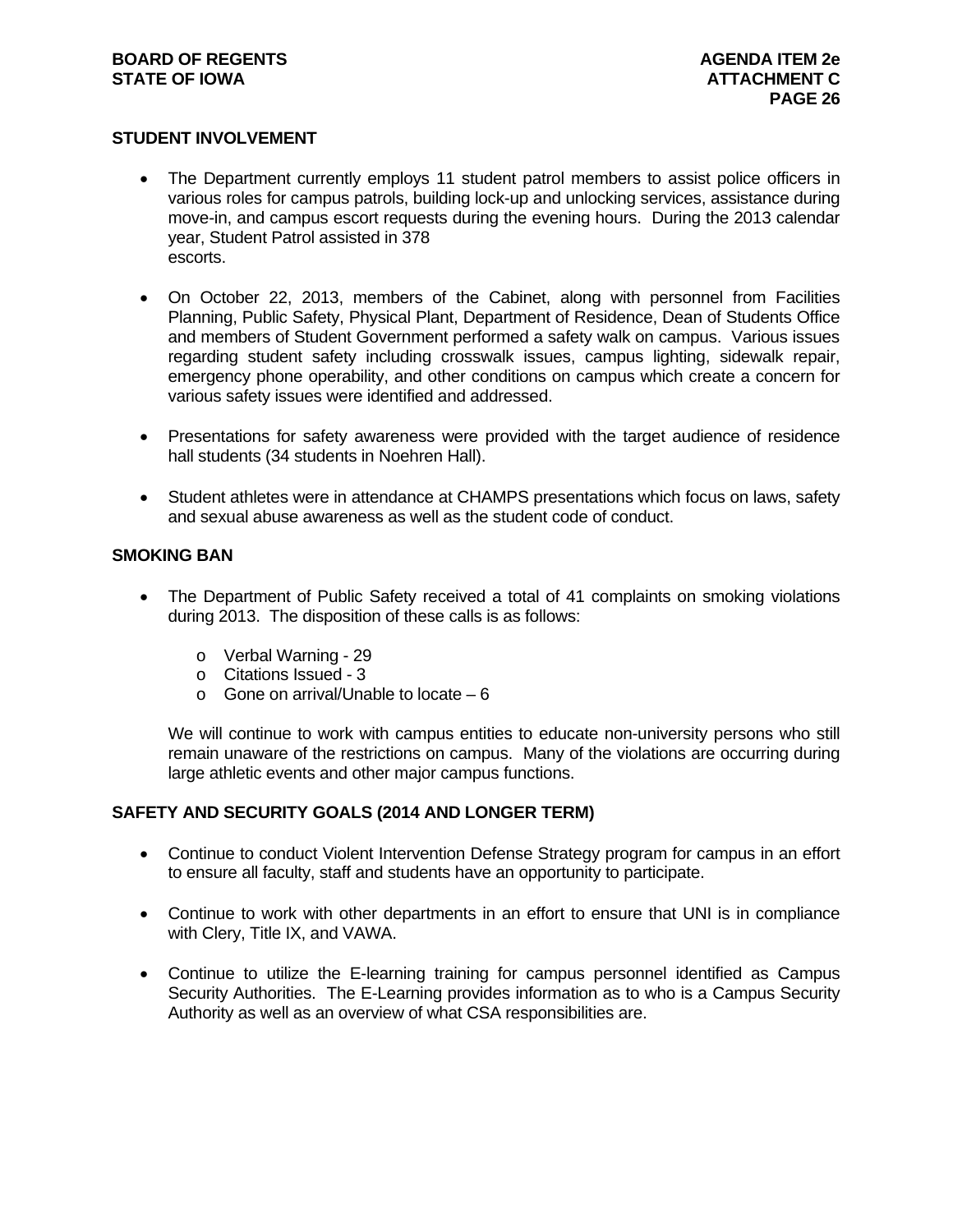#### **BOARD OF REGENTS AGENUS AGENDA ITEM 2e STATE OF IOWA** AND **ATTACHMENT C ATTACHMENT C**

#### **STUDENT INVOLVEMENT**

- The Department currently employs 11 student patrol members to assist police officers in various roles for campus patrols, building lock-up and unlocking services, assistance during move-in, and campus escort requests during the evening hours. During the 2013 calendar year, Student Patrol assisted in 378 escorts.
- On October 22, 2013, members of the Cabinet, along with personnel from Facilities Planning, Public Safety, Physical Plant, Department of Residence, Dean of Students Office and members of Student Government performed a safety walk on campus. Various issues regarding student safety including crosswalk issues, campus lighting, sidewalk repair, emergency phone operability, and other conditions on campus which create a concern for various safety issues were identified and addressed.
- Presentations for safety awareness were provided with the target audience of residence hall students (34 students in Noehren Hall).
- Student athletes were in attendance at CHAMPS presentations which focus on laws, safety and sexual abuse awareness as well as the student code of conduct.

#### **SMOKING BAN**

- The Department of Public Safety received a total of 41 complaints on smoking violations during 2013. The disposition of these calls is as follows:
	- o Verbal Warning 29
	- o Citations Issued 3
	- o Gone on arrival/Unable to locate 6

We will continue to work with campus entities to educate non-university persons who still remain unaware of the restrictions on campus. Many of the violations are occurring during large athletic events and other major campus functions.

#### **SAFETY AND SECURITY GOALS (2014 AND LONGER TERM)**

- Continue to conduct Violent Intervention Defense Strategy program for campus in an effort to ensure all faculty, staff and students have an opportunity to participate.
- Continue to work with other departments in an effort to ensure that UNI is in compliance with Clery, Title IX, and VAWA.
- Continue to utilize the E-learning training for campus personnel identified as Campus Security Authorities. The E-Learning provides information as to who is a Campus Security Authority as well as an overview of what CSA responsibilities are.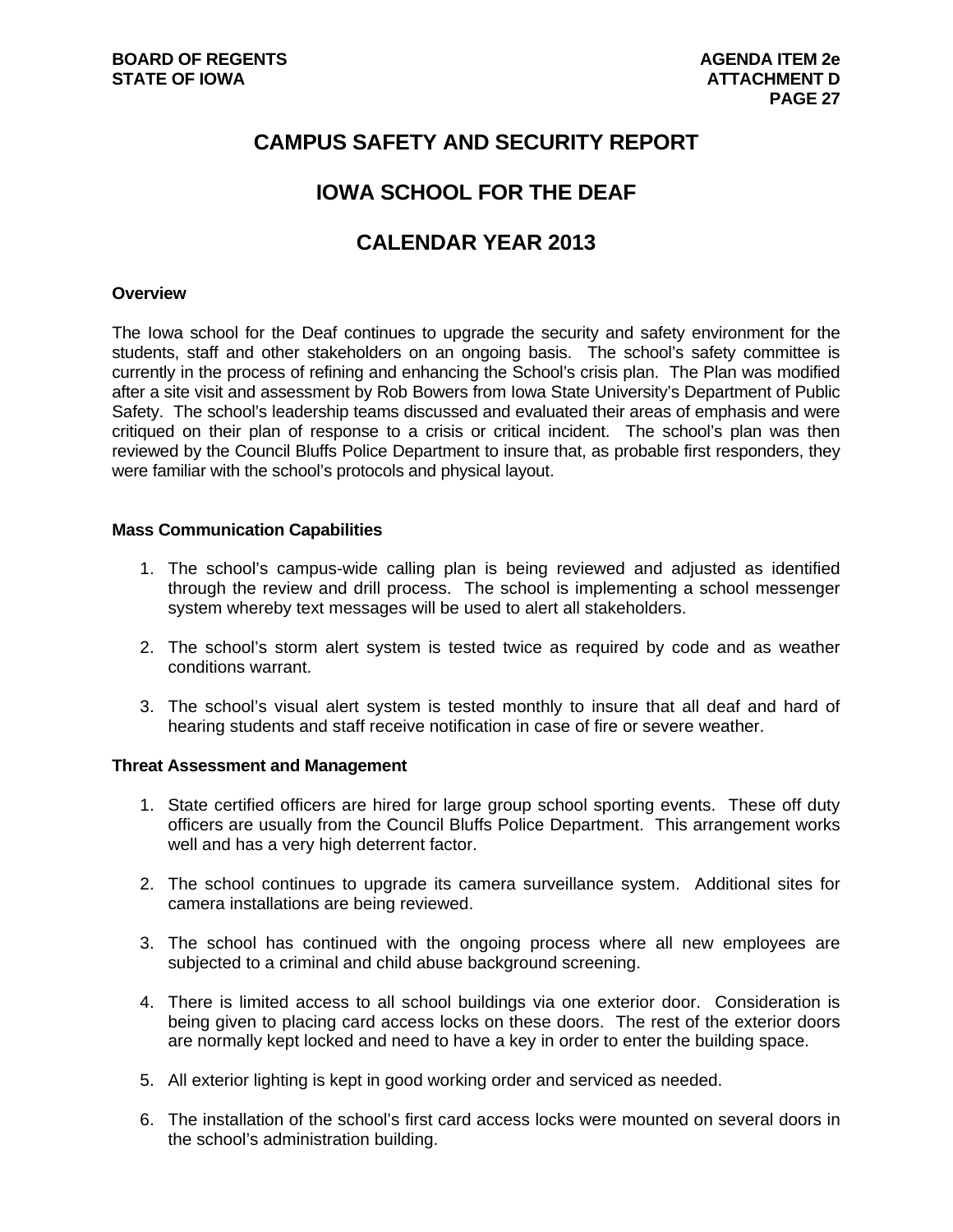## **CAMPUS SAFETY AND SECURITY REPORT**

## **IOWA SCHOOL FOR THE DEAF**

## **CALENDAR YEAR 2013**

#### **Overview**

The Iowa school for the Deaf continues to upgrade the security and safety environment for the students, staff and other stakeholders on an ongoing basis. The school's safety committee is currently in the process of refining and enhancing the School's crisis plan. The Plan was modified after a site visit and assessment by Rob Bowers from Iowa State University's Department of Public Safety. The school's leadership teams discussed and evaluated their areas of emphasis and were critiqued on their plan of response to a crisis or critical incident. The school's plan was then reviewed by the Council Bluffs Police Department to insure that, as probable first responders, they were familiar with the school's protocols and physical layout.

#### **Mass Communication Capabilities**

- 1. The school's campus-wide calling plan is being reviewed and adjusted as identified through the review and drill process. The school is implementing a school messenger system whereby text messages will be used to alert all stakeholders.
- 2. The school's storm alert system is tested twice as required by code and as weather conditions warrant.
- 3. The school's visual alert system is tested monthly to insure that all deaf and hard of hearing students and staff receive notification in case of fire or severe weather.

#### **Threat Assessment and Management**

- 1. State certified officers are hired for large group school sporting events. These off duty officers are usually from the Council Bluffs Police Department. This arrangement works well and has a very high deterrent factor.
- 2. The school continues to upgrade its camera surveillance system. Additional sites for camera installations are being reviewed.
- 3. The school has continued with the ongoing process where all new employees are subjected to a criminal and child abuse background screening.
- 4. There is limited access to all school buildings via one exterior door. Consideration is being given to placing card access locks on these doors. The rest of the exterior doors are normally kept locked and need to have a key in order to enter the building space.
- 5. All exterior lighting is kept in good working order and serviced as needed.
- 6. The installation of the school's first card access locks were mounted on several doors in the school's administration building.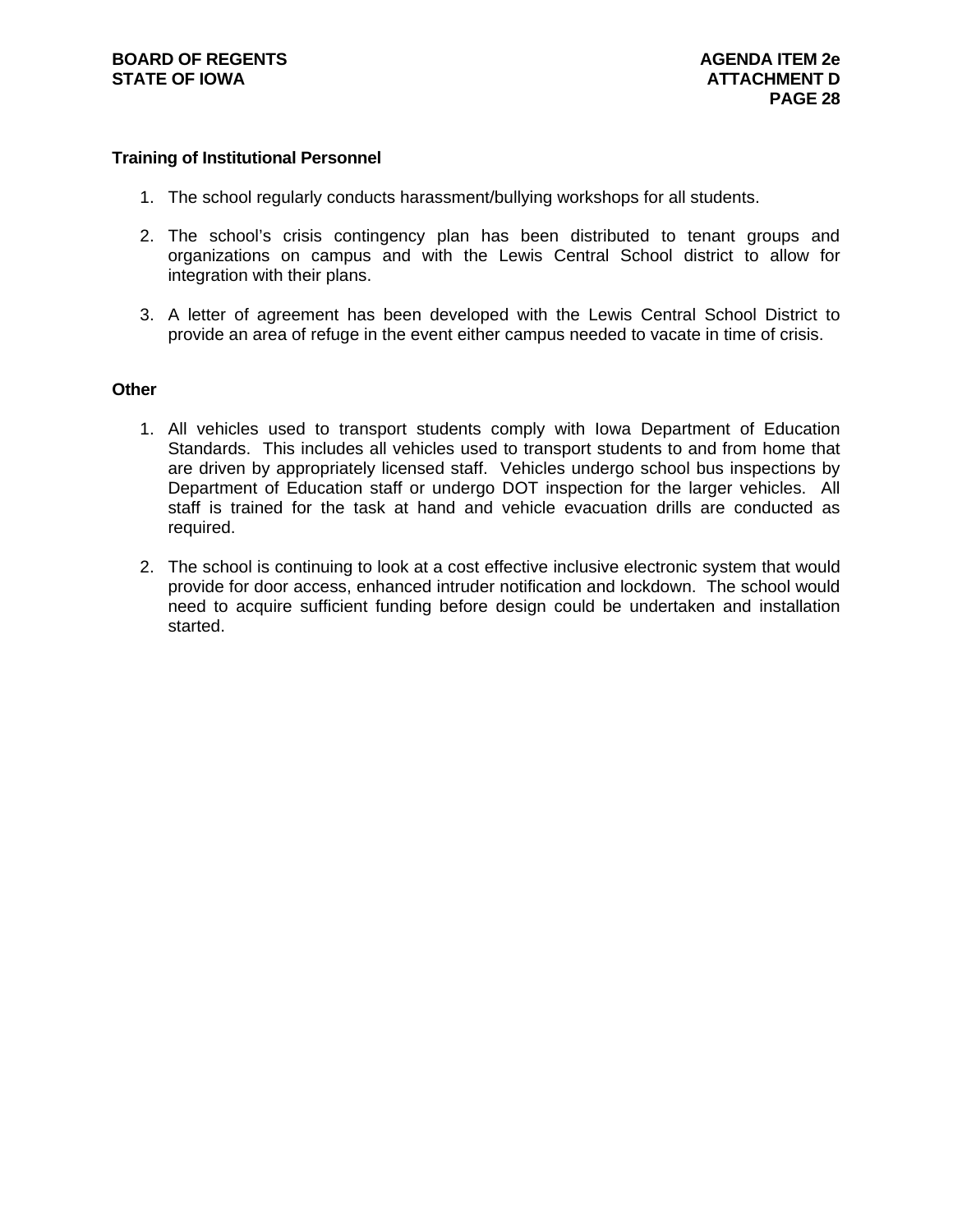#### **Training of Institutional Personnel**

- 1. The school regularly conducts harassment/bullying workshops for all students.
- 2. The school's crisis contingency plan has been distributed to tenant groups and organizations on campus and with the Lewis Central School district to allow for integration with their plans.
- 3. A letter of agreement has been developed with the Lewis Central School District to provide an area of refuge in the event either campus needed to vacate in time of crisis.

#### **Other**

- 1. All vehicles used to transport students comply with Iowa Department of Education Standards. This includes all vehicles used to transport students to and from home that are driven by appropriately licensed staff. Vehicles undergo school bus inspections by Department of Education staff or undergo DOT inspection for the larger vehicles. All staff is trained for the task at hand and vehicle evacuation drills are conducted as required.
- 2. The school is continuing to look at a cost effective inclusive electronic system that would provide for door access, enhanced intruder notification and lockdown. The school would need to acquire sufficient funding before design could be undertaken and installation started.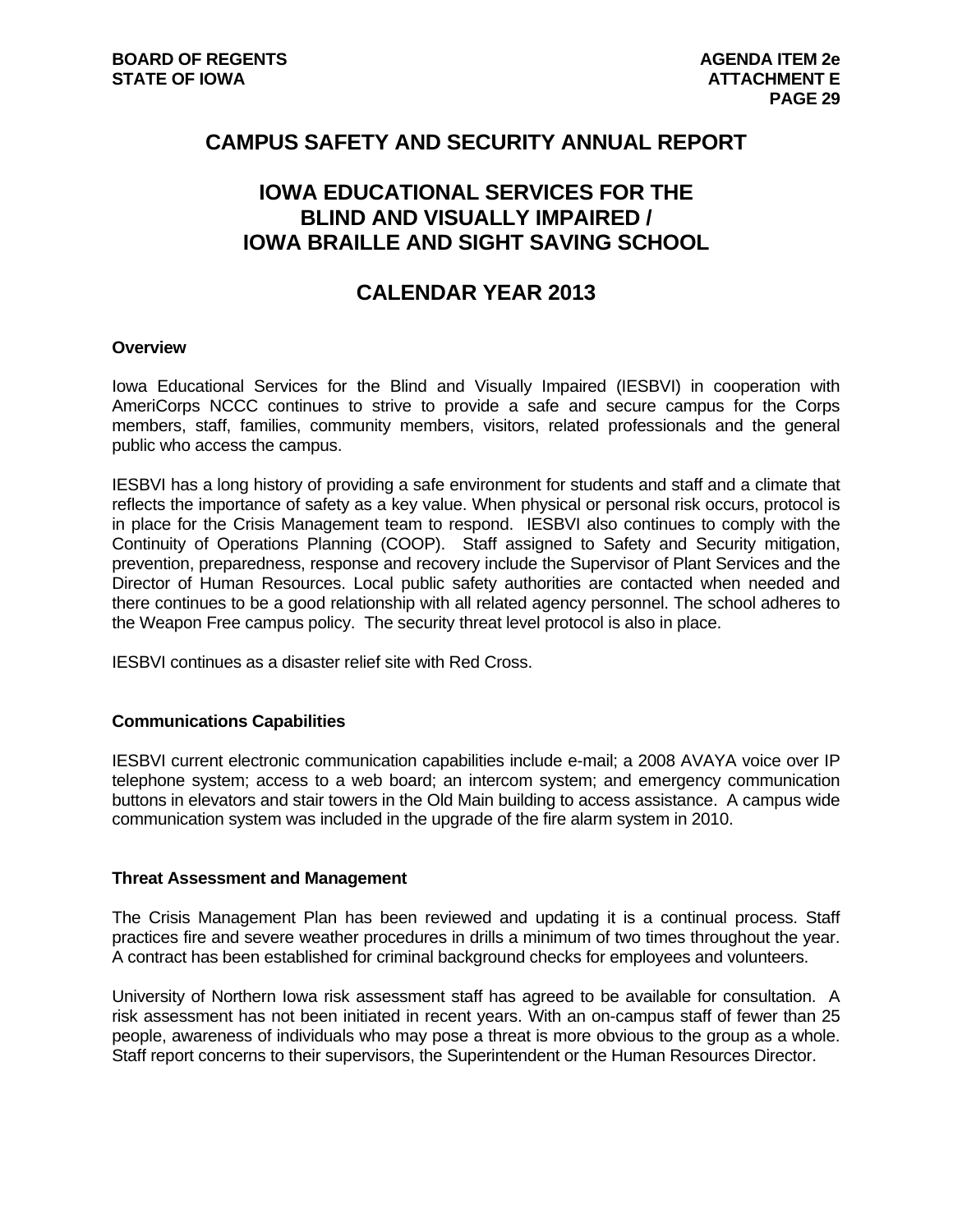## **CAMPUS SAFETY AND SECURITY ANNUAL REPORT**

## **IOWA EDUCATIONAL SERVICES FOR THE BLIND AND VISUALLY IMPAIRED / IOWA BRAILLE AND SIGHT SAVING SCHOOL**

## **CALENDAR YEAR 2013**

#### **Overview**

Iowa Educational Services for the Blind and Visually Impaired (IESBVI) in cooperation with AmeriCorps NCCC continues to strive to provide a safe and secure campus for the Corps members, staff, families, community members, visitors, related professionals and the general public who access the campus.

IESBVI has a long history of providing a safe environment for students and staff and a climate that reflects the importance of safety as a key value. When physical or personal risk occurs, protocol is in place for the Crisis Management team to respond. IESBVI also continues to comply with the Continuity of Operations Planning (COOP). Staff assigned to Safety and Security mitigation, prevention, preparedness, response and recovery include the Supervisor of Plant Services and the Director of Human Resources. Local public safety authorities are contacted when needed and there continues to be a good relationship with all related agency personnel. The school adheres to the Weapon Free campus policy. The security threat level protocol is also in place.

IESBVI continues as a disaster relief site with Red Cross.

#### **Communications Capabilities**

IESBVI current electronic communication capabilities include e-mail; a 2008 AVAYA voice over IP telephone system; access to a web board; an intercom system; and emergency communication buttons in elevators and stair towers in the Old Main building to access assistance. A campus wide communication system was included in the upgrade of the fire alarm system in 2010.

#### **Threat Assessment and Management**

The Crisis Management Plan has been reviewed and updating it is a continual process. Staff practices fire and severe weather procedures in drills a minimum of two times throughout the year. A contract has been established for criminal background checks for employees and volunteers.

University of Northern Iowa risk assessment staff has agreed to be available for consultation. A risk assessment has not been initiated in recent years. With an on-campus staff of fewer than 25 people, awareness of individuals who may pose a threat is more obvious to the group as a whole. Staff report concerns to their supervisors, the Superintendent or the Human Resources Director.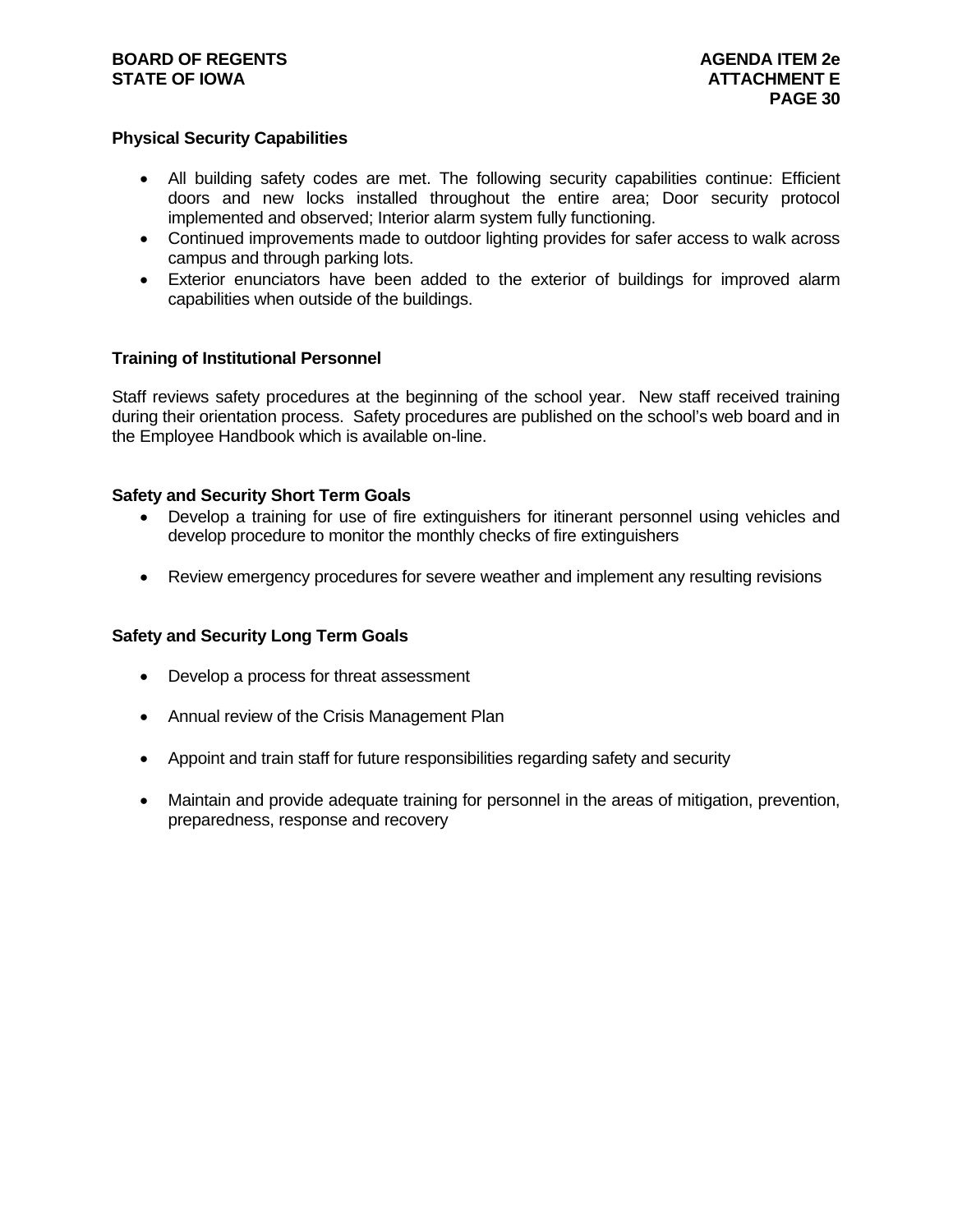#### **BOARD OF REGENTS AGENUS AGENDA ITEM 2e STATE OF IOWA** AND **ATTACHMENT E**

#### **Physical Security Capabilities**

- All building safety codes are met. The following security capabilities continue: Efficient doors and new locks installed throughout the entire area; Door security protocol implemented and observed; Interior alarm system fully functioning.
- Continued improvements made to outdoor lighting provides for safer access to walk across campus and through parking lots.
- Exterior enunciators have been added to the exterior of buildings for improved alarm capabilities when outside of the buildings.

#### **Training of Institutional Personnel**

Staff reviews safety procedures at the beginning of the school year. New staff received training during their orientation process. Safety procedures are published on the school's web board and in the Employee Handbook which is available on-line.

#### **Safety and Security Short Term Goals**

- Develop a training for use of fire extinguishers for itinerant personnel using vehicles and develop procedure to monitor the monthly checks of fire extinguishers
- Review emergency procedures for severe weather and implement any resulting revisions

#### **Safety and Security Long Term Goals**

- Develop a process for threat assessment
- Annual review of the Crisis Management Plan
- Appoint and train staff for future responsibilities regarding safety and security
- Maintain and provide adequate training for personnel in the areas of mitigation, prevention, preparedness, response and recovery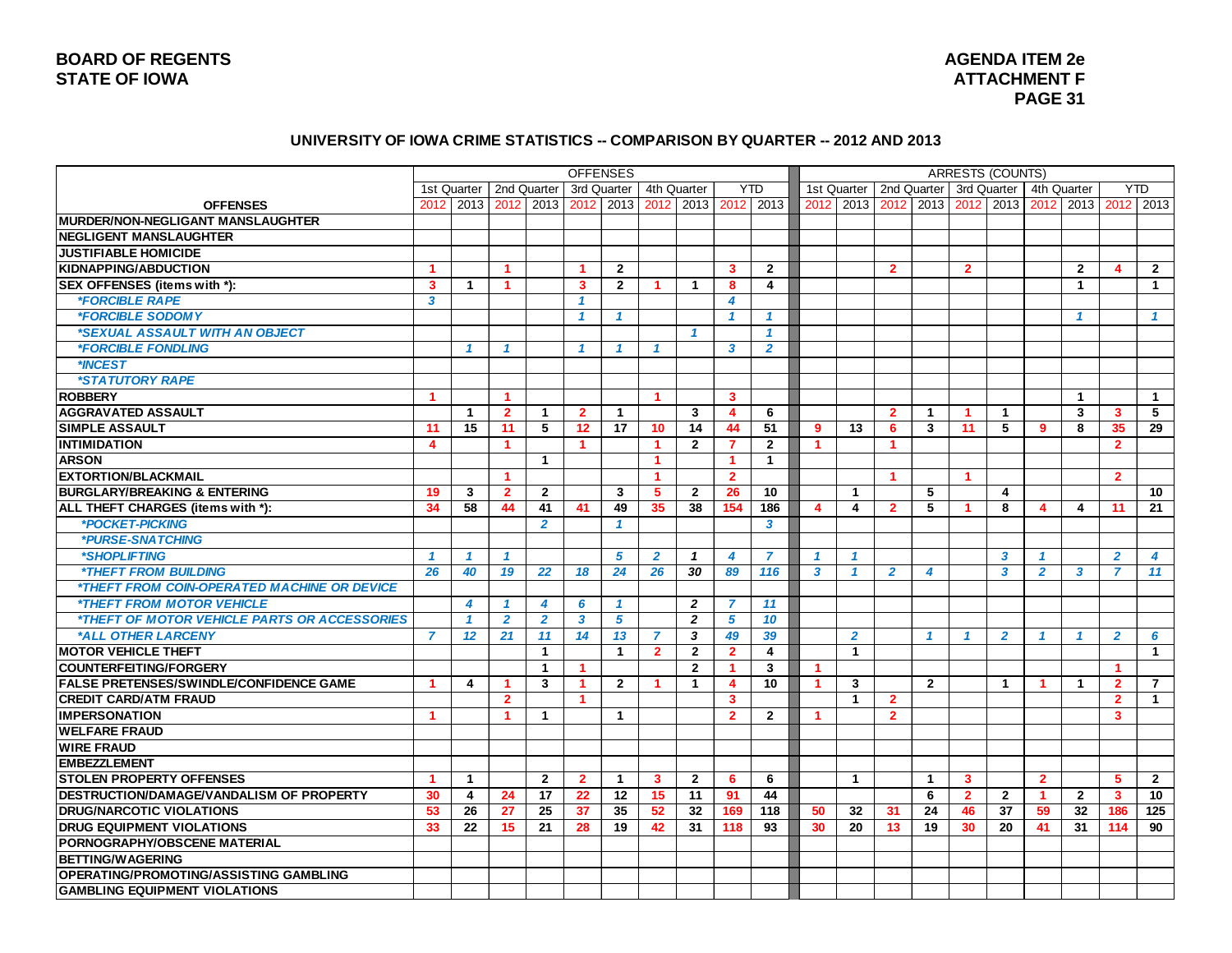#### **UNIVERSITY OF IOWA CRIME STATISTICS -- COMPARISON BY QUARTER -- 2012 AND 2013**

|                                                            |                         |                |                      |                |                         | <b>OFFENSES</b>         |                      |                      |                         |                |                      |                |                      |                | <b>ARRESTS (COUNTS)</b> |                      |                      |                      |                         |                |
|------------------------------------------------------------|-------------------------|----------------|----------------------|----------------|-------------------------|-------------------------|----------------------|----------------------|-------------------------|----------------|----------------------|----------------|----------------------|----------------|-------------------------|----------------------|----------------------|----------------------|-------------------------|----------------|
|                                                            |                         | 1st Quarter    |                      | 2nd Quarter    |                         | 3rd Quarter             |                      | 4th Quarter          |                         | <b>YTD</b>     |                      | 1st Quarter    | 2nd Quarter          |                |                         | 3rd Quarter          |                      | 4th Quarter          |                         | <b>YTD</b>     |
| <b>OFFENSES</b>                                            | 2012                    | 2013           | 2012                 | 2013           | 2012                    | 2013                    | 2012                 | 2013                 | 2012                    | 2013           | 2012                 | 2013           | 2012                 | 2013           | 2012                    | 2013                 | 2012                 | 2013                 | 2012                    | 2013           |
| <b>IMURDER/NON-NEGLIGANT MANSLAUGHTER</b>                  |                         |                |                      |                |                         |                         |                      |                      |                         |                |                      |                |                      |                |                         |                      |                      |                      |                         |                |
| <b>NEGLIGENT MANSLAUGHTER</b>                              |                         |                |                      |                |                         |                         |                      |                      |                         |                |                      |                |                      |                |                         |                      |                      |                      |                         |                |
| <b>JUSTIFIABLE HOMICIDE</b>                                |                         |                |                      |                |                         |                         |                      |                      |                         |                |                      |                |                      |                |                         |                      |                      |                      |                         |                |
| <b>KIDNAPPING/ABDUCTION</b>                                | $\blacktriangleleft$    |                | $\blacktriangleleft$ |                | $\blacktriangleleft$    | $\overline{2}$          |                      |                      | 3                       | $\mathbf{2}$   |                      |                | $\overline{2}$       |                | $\overline{2}$          |                      |                      | $\overline{2}$       | $\overline{\mathbf{A}}$ | $\overline{2}$ |
| SEX OFFENSES (items with *):                               | 3                       | $\mathbf 1$    | $\blacktriangleleft$ |                | 3                       | $\mathbf{2}$            | 1                    | $\mathbf 1$          | 8                       | 4              |                      |                |                      |                |                         |                      |                      | $\blacktriangleleft$ |                         | $\mathbf{1}$   |
| <i><b>*FORCIBLE RAPE</b></i>                               | 3                       |                |                      |                | $\mathbf{f}$            |                         |                      |                      | 4                       |                |                      |                |                      |                |                         |                      |                      |                      |                         |                |
| *FORCIBLE SODOMY                                           |                         |                |                      |                | $\mathcal I$            | 1                       |                      |                      | $\mathbf{1}$            | 1              |                      |                |                      |                |                         |                      |                      | $\mathcal I$         |                         | $\mathbf{1}$   |
| *SEXUAL ASSAULT WITH AN OBJECT                             |                         |                |                      |                |                         |                         |                      | 1                    |                         | 1              |                      |                |                      |                |                         |                      |                      |                      |                         |                |
| <i><b>*FORCIBLE FONDLING</b></i>                           |                         | $\overline{1}$ | $\mathbf{1}$         |                | $\mathbf{1}$            | $\mathbf{1}$            | $\mathbf{1}$         |                      | 3                       | $\overline{2}$ |                      |                |                      |                |                         |                      |                      |                      |                         |                |
| *INCEST                                                    |                         |                |                      |                |                         |                         |                      |                      |                         |                |                      |                |                      |                |                         |                      |                      |                      |                         |                |
| <i><b>*STATUTORY RAPE</b></i>                              |                         |                |                      |                |                         |                         |                      |                      |                         |                |                      |                |                      |                |                         |                      |                      |                      |                         |                |
| <b>ROBBERY</b>                                             | $\blacktriangleleft$    |                | $\blacktriangleleft$ |                |                         |                         | $\blacktriangleleft$ |                      | 3                       |                |                      |                |                      |                |                         |                      |                      | $\mathbf{1}$         |                         | $\mathbf{1}$   |
| <b>AGGRAVATED ASSAULT</b>                                  |                         | $\overline{1}$ | $\overline{2}$       | 1              | $\overline{2}$          | $\mathbf 1$             |                      | 3                    | $\overline{\mathbf{4}}$ | 6              |                      |                | $\overline{2}$       | $\mathbf{1}$   | -1                      | $\blacktriangleleft$ |                      | 3                    | 3                       | 5              |
| <b>SIMPLE ASSAULT</b>                                      | 11                      | 15             | 11                   | 5              | 12                      | 17                      | 10                   | $\overline{14}$      | 44                      | 51             | 9                    | 13             | 6                    | 3              | 11                      | 5                    | 9                    | 8                    | 35                      | 29             |
| <b>INTIMIDATION</b>                                        | $\overline{\mathbf{4}}$ |                | $\blacktriangleleft$ |                | $\blacktriangleleft$    |                         | $\blacktriangleleft$ | $\mathbf{2}$         | $\overline{7}$          | $\mathbf{2}$   | $\blacktriangleleft$ |                | $\blacktriangleleft$ |                |                         |                      |                      |                      | $\overline{2}$          |                |
| <b>ARSON</b>                                               |                         |                |                      | $\mathbf 1$    |                         |                         | $\blacktriangleleft$ |                      | $\blacktriangleleft$    | $\mathbf{1}$   |                      |                |                      |                |                         |                      |                      |                      |                         |                |
| <b>EXTORTION/BLACKMAIL</b>                                 |                         |                | $\mathbf{1}$         |                |                         |                         | $\blacktriangleleft$ |                      | $\overline{2}$          |                |                      |                | $\blacktriangleleft$ |                | $\blacktriangleleft$    |                      |                      |                      | $\overline{2}$          |                |
| <b>BURGLARY/BREAKING &amp; ENTERING</b>                    | 19                      | 3              | $\mathbf{2}$         | $\overline{2}$ |                         | 3                       | 5                    | $\mathbf{2}$         | 26                      | 10             |                      | $\overline{1}$ |                      | 5              |                         | 4                    |                      |                      |                         | 10             |
| ALL THEFT CHARGES (items with *):                          | 34                      | 58             | 44                   | 41             | 41                      | 49                      | 35                   | 38                   | 154                     | 186            | 4                    | 4              | $\overline{2}$       | 5              | -1                      | 8                    | 4                    | 4                    | 11                      | 21             |
| *POCKET-PICKING                                            |                         |                |                      | $\overline{2}$ |                         | $\overline{\mathbf{1}}$ |                      |                      |                         | 3              |                      |                |                      |                |                         |                      |                      |                      |                         |                |
| *PURSE-SNATCHING                                           |                         |                |                      |                |                         |                         |                      |                      |                         |                |                      |                |                      |                |                         |                      |                      |                      |                         |                |
| *SHOPLIFTING                                               | $\mathcal I$            | -1             | $\mathbf{1}$         |                |                         | 5                       | $\overline{2}$       | $\mathbf{1}$         | $\overline{\mathbf{4}}$ | $\overline{7}$ | $\mathbf{1}$         | $\mathbf{1}$   |                      |                |                         | 3                    | $\mathbf{1}$         |                      | $\overline{2}$          | 4              |
| <i><b>*THEFT FROM BUILDING</b></i>                         | 26                      | 40             | 19                   | 22             | 18                      | 24                      | 26                   | 30                   | 89                      | 116            | $\mathbf{3}$         | $\mathbf{1}$   | $\overline{2}$       | 4              |                         | 3                    | $\overline{2}$       | 3                    | $\overline{7}$          | 11             |
| <i><b>*THEFT FROM COIN-OPERATED MACHINE OR DEVICE</b></i>  |                         |                |                      |                |                         |                         |                      |                      |                         |                |                      |                |                      |                |                         |                      |                      |                      |                         |                |
| *THEFT FROM MOTOR VEHICLE                                  |                         | 4              | $\mathbf{1}$         | 4              | 6                       | 1                       |                      | $\overline{2}$       | $\overline{7}$          | 11             |                      |                |                      |                |                         |                      |                      |                      |                         |                |
| <i><b>*THEFT OF MOTOR VEHICLE PARTS OR ACCESSORIES</b></i> |                         | $\mathbf{1}$   | $\overline{2}$       | $\overline{2}$ | $\overline{\mathbf{3}}$ | $\overline{5}$          |                      | $\overline{2}$       | 5                       | 10             |                      |                |                      |                |                         |                      |                      |                      |                         |                |
| *ALL OTHER LARCENY                                         | $\overline{7}$          | 12             | 21                   | 11             | 14                      | 13                      | $\overline{7}$       | 3                    | 49                      | 39             |                      | $\overline{2}$ |                      | $\mathcal I$   | $\mathcal I$            | $\overline{2}$       | $\mathbf{1}$         | $\mathbf{1}$         | $\overline{2}$          | 6              |
| <b>MOTOR VEHICLE THEFT</b>                                 |                         |                |                      | $\mathbf{1}$   |                         | 1                       | $\overline{2}$       | $\mathbf{2}$         | $\overline{2}$          | 4              |                      | $\mathbf{1}$   |                      |                |                         |                      |                      |                      |                         | $\mathbf{1}$   |
| <b>COUNTERFEITING/FORGERY</b>                              |                         |                |                      | $\mathbf{1}$   | 1                       |                         |                      | $\mathbf{2}$         | $\blacktriangleleft$    | 3              | -1                   |                |                      |                |                         |                      |                      |                      | -1                      |                |
| <b>FALSE PRETENSES/SWINDLE/CONFIDENCE GAME</b>             | -1                      | 4              | $\mathbf{1}$         | 3              | $\blacktriangleleft$    | $\mathbf{2}$            | $\blacktriangleleft$ | $\blacktriangleleft$ | 4                       | 10             | $\blacktriangleleft$ | 3              |                      | $\overline{2}$ |                         | $\mathbf{1}$         | $\blacktriangleleft$ | $\mathbf{1}$         | $\overline{2}$          | $\overline{7}$ |
| <b>CREDIT CARD/ATM FRAUD</b>                               |                         |                | $\overline{2}$       |                | 1                       |                         |                      |                      | $\overline{\mathbf{3}}$ |                |                      | $\mathbf{1}$   | $\overline{2}$       |                |                         |                      |                      |                      | $\overline{2}$          | $\mathbf{1}$   |
| <b>IMPERSONATION</b>                                       | $\blacktriangleleft$    |                | $\blacktriangleleft$ | $\mathbf{1}$   |                         | $\mathbf{1}$            |                      |                      | $\overline{2}$          | $\mathbf{2}$   | $\blacktriangleleft$ |                | $\overline{2}$       |                |                         |                      |                      |                      | 3                       |                |
| <b>WELFARE FRAUD</b>                                       |                         |                |                      |                |                         |                         |                      |                      |                         |                |                      |                |                      |                |                         |                      |                      |                      |                         |                |
| <b>WIRE FRAUD</b>                                          |                         |                |                      |                |                         |                         |                      |                      |                         |                |                      |                |                      |                |                         |                      |                      |                      |                         |                |
| <b>EMBEZZLEMENT</b>                                        |                         |                |                      |                |                         |                         |                      |                      |                         |                |                      |                |                      |                |                         |                      |                      |                      |                         |                |
| <b>STOLEN PROPERTY OFFENSES</b>                            | $\mathbf 1$             | -1             |                      | $\overline{2}$ | $\mathbf{2}$            | $\mathbf{1}$            | 3                    | $\mathbf{2}$         | 6                       | 6              |                      | $\overline{1}$ |                      | $\mathbf 1$    | 3                       |                      | $\mathbf{2}$         |                      | 5                       | $\mathbf{2}$   |
| DESTRUCTION/DAMAGE/VANDALISM OF PROPERTY                   | 30                      | 4              | 24                   | 17             | 22                      | 12                      | 15                   | 11                   | 91                      | 44             |                      |                |                      | 6              | $\overline{2}$          | $\overline{2}$       | $\blacktriangleleft$ | $\overline{2}$       | 3                       | 10             |
| <b>DRUG/NARCOTIC VIOLATIONS</b>                            | 53                      | 26             | 27                   | 25             | 37                      | 35                      | 52                   | 32                   | 169                     | 118            | 50                   | 32             | 31                   | 24             | 46                      | 37                   | 59                   | 32                   | 186                     | 125            |
| <b>DRUG EQUIPMENT VIOLATIONS</b>                           | 33                      | 22             | 15                   | 21             | 28                      | 19                      | 42                   | 31                   | 118                     | 93             | 30                   | 20             | 13                   | 19             | 30                      | 20                   | 41                   | 31                   | 114                     | 90             |
| <b>PORNOGRAPHY/OBSCENE MATERIAL</b>                        |                         |                |                      |                |                         |                         |                      |                      |                         |                |                      |                |                      |                |                         |                      |                      |                      |                         |                |
| <b>BETTING/WAGERING</b>                                    |                         |                |                      |                |                         |                         |                      |                      |                         |                |                      |                |                      |                |                         |                      |                      |                      |                         |                |
| OPERATING/PROMOTING/ASSISTING GAMBLING                     |                         |                |                      |                |                         |                         |                      |                      |                         |                |                      |                |                      |                |                         |                      |                      |                      |                         |                |
| <b>GAMBLING EQUIPMENT VIOLATIONS</b>                       |                         |                |                      |                |                         |                         |                      |                      |                         |                |                      |                |                      |                |                         |                      |                      |                      |                         |                |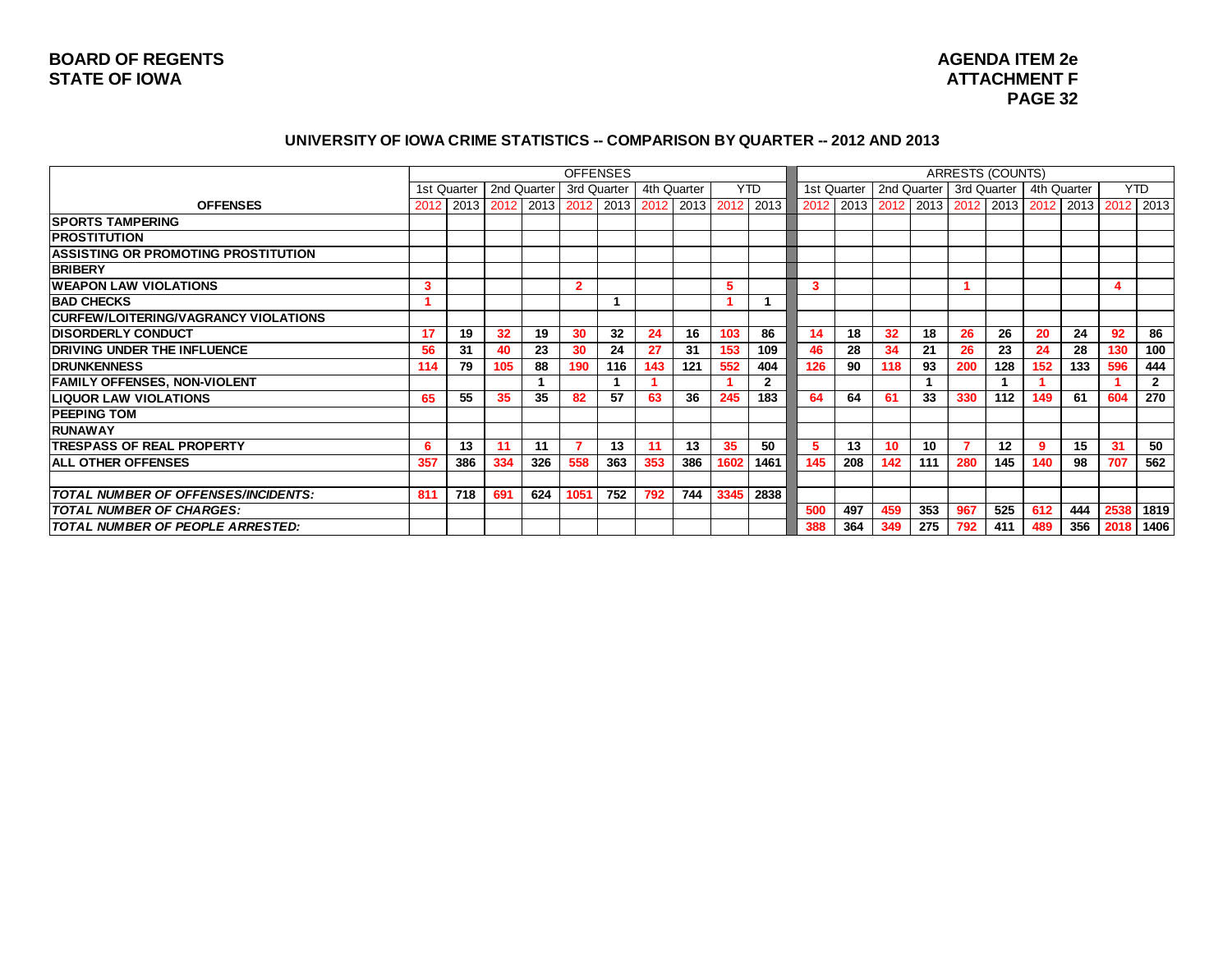# **AGENDA ITEM 2e PAGE 32**

#### **UNIVERSITY OF IOWA CRIME STATISTICS -- COMPARISON BY QUARTER -- 2012 AND 2013**

|                                            |      |               |                 |                |                | <b>OFFENSES</b> |     |             |      |                |      |             |     |     | <b>ARRESTS (COUNTS)</b>                 |     |             |     |      |                |
|--------------------------------------------|------|---------------|-----------------|----------------|----------------|-----------------|-----|-------------|------|----------------|------|-------------|-----|-----|-----------------------------------------|-----|-------------|-----|------|----------------|
|                                            |      | 1st Quarter I |                 | 2nd Quarter    |                | 3rd Quarter     |     | 4th Quarter |      | <b>YTD</b>     |      | 1st Quarter |     |     | 2nd Quarter   3rd Quarter               |     | 4th Quarter |     |      | <b>YTD</b>     |
| <b>OFFENSES</b>                            | 2012 |               |                 | 2013 2012 2013 |                | 2012 2013       |     | 2012 2013   |      | 2012 2013      | 2012 | 2013 2012   |     |     | 2013   2012   2013   2012   2013   2012 |     |             |     |      | 2013           |
| <b>ISPORTS TAMPERING</b>                   |      |               |                 |                |                |                 |     |             |      |                |      |             |     |     |                                         |     |             |     |      |                |
| <b>PROSTITUTION</b>                        |      |               |                 |                |                |                 |     |             |      |                |      |             |     |     |                                         |     |             |     |      |                |
| <b>ASSISTING OR PROMOTING PROSTITUTION</b> |      |               |                 |                |                |                 |     |             |      |                |      |             |     |     |                                         |     |             |     |      |                |
| <b>BRIBERY</b>                             |      |               |                 |                |                |                 |     |             |      |                |      |             |     |     |                                         |     |             |     |      |                |
| <b>WEAPON LAW VIOLATIONS</b>               | 3    |               |                 |                | $\overline{2}$ |                 |     |             | 5    |                | 3    |             |     |     |                                         |     |             |     |      |                |
| <b>BAD CHECKS</b>                          |      |               |                 |                |                |                 |     |             |      |                |      |             |     |     |                                         |     |             |     |      |                |
| CURFEW/LOITERING/VAGRANCY VIOLATIONS       |      |               |                 |                |                |                 |     |             |      |                |      |             |     |     |                                         |     |             |     |      |                |
| <b>DISORDERLY CONDUCT</b>                  | 17   | 19            | 32 <sup>2</sup> | 19             | 30             | 32              | 24  | 16          | 103  | 86             | 14   | 18          | 32  | 18  | 26                                      | 26  | 20          | 24  | 92   | 86             |
| DRIVING UNDER THE INFLUENCE                | 56   | 31            | 40              | 23             | 30             | 24              | 27  | 31          | 153  | 109            | 46   | 28          | 34  | 21  | 26                                      | 23  | 24          | 28  | 130  | 100            |
| <b>IDRUNKENNESS</b>                        | 114  | 79            | 105             | 88             | 190            | 116             | 143 | 121         | 552  | 404            | 126  | 90          | 118 | 93  | 200                                     | 128 | 152         | 133 | 596  | 444            |
| <b>FAMILY OFFENSES, NON-VIOLENT</b>        |      |               |                 |                |                |                 |     |             |      | $\overline{2}$ |      |             |     |     |                                         |     |             |     |      | $\overline{2}$ |
| <b>LIQUOR LAW VIOLATIONS</b>               | 65   | 55            | 35              | 35             | 82             | 57              | 63  | 36          | 245  | 183            | 64   | 64          | 61  | 33  | 330                                     | 112 | 149         | 61  | 604  | 270            |
| <b>PEEPING TOM</b>                         |      |               |                 |                |                |                 |     |             |      |                |      |             |     |     |                                         |     |             |     |      |                |
| <b>RUNAWAY</b>                             |      |               |                 |                |                |                 |     |             |      |                |      |             |     |     |                                         |     |             |     |      |                |
| <b>TRESPASS OF REAL PROPERTY</b>           | 6    | 13            | 11              | 11             | 7              | 13              | 11  | 13          | 35   | 50             | 5.   | 13          | 10  | 10  |                                         | 12  | -9          | 15  | 31   | 50             |
| <b>ALL OTHER OFFENSES</b>                  | 357  | 386           | 334             | 326            | 558            | 363             | 353 | 386         | 1602 | 1461           | 145  | 208         | 142 | 111 | 280                                     | 145 | 140         | 98  | 707  | 562            |
|                                            |      |               |                 |                |                |                 |     |             |      |                |      |             |     |     |                                         |     |             |     |      |                |
| TOTAL NUMBER OF OFFENSES/INCIDENTS:        | 811  | 718           | 691             | 624            | 1051           | 752             | 792 | 744         | 3345 | 2838           |      |             |     |     |                                         |     |             |     |      |                |
| <b>TOTAL NUMBER OF CHARGES:</b>            |      |               |                 |                |                |                 |     |             |      |                | 500  | 497         | 459 | 353 | 967                                     | 525 | 612         | 444 | 2538 | 1819           |
| TOTAL NUMBER OF PEOPLE ARRESTED:           |      |               |                 |                |                |                 |     |             |      |                | 388  | 364         | 349 | 275 | 792                                     | 411 | 489         | 356 | 2018 | 1406           |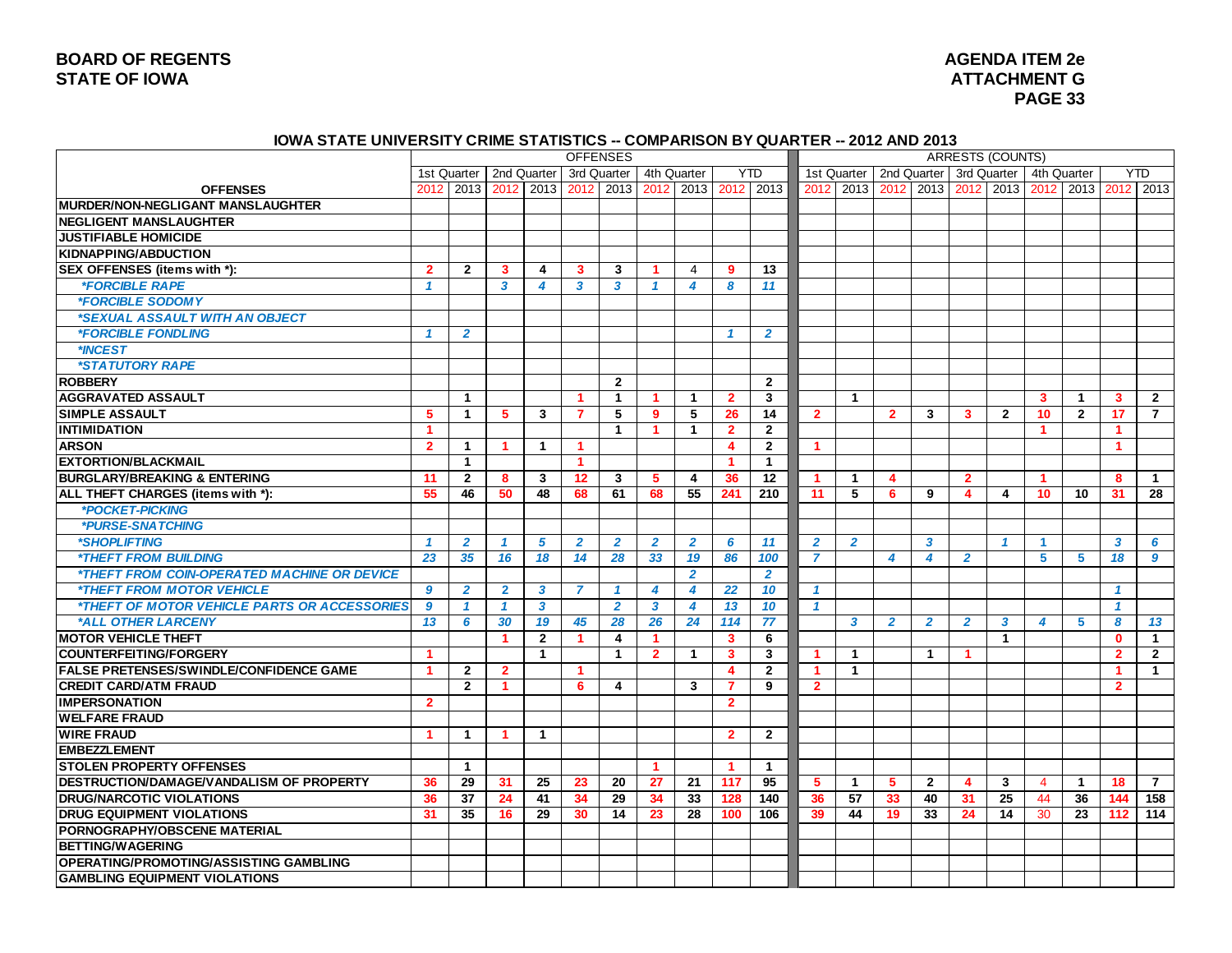### **BOARD OF REGENTS STATE OF IOWA ATTACHMENT G**

# **AGENDA ITEM 2e PAGE 33**

#### **IOWA STATE UNIVERSITY CRIME STATISTICS -- COMPARISON BY QUARTER -- 2012 AND 2013**

|                                                            |                      |                      |                         |                      | <b>OFFENSES</b>      |                |                      |                         |                         |                   |                      |                         |                         |                         | ARRESTS (COUNTS) |                |                      |                |                      |                |
|------------------------------------------------------------|----------------------|----------------------|-------------------------|----------------------|----------------------|----------------|----------------------|-------------------------|-------------------------|-------------------|----------------------|-------------------------|-------------------------|-------------------------|------------------|----------------|----------------------|----------------|----------------------|----------------|
|                                                            |                      | 1st Quarter          | 2nd Quarter             |                      |                      | 3rd Quarter    | 4th Quarter          |                         |                         | YTD               | 1st Quarter          |                         |                         | 2nd Quarter             |                  | 3rd Quarter    |                      | 4th Quarter    |                      | <b>YTD</b>     |
| <b>OFFENSES</b>                                            | 2012                 | 2013                 |                         | 2012 2013            | 2012                 | 2013           |                      | 2012 2013               |                         | 2012 2013         | 2012                 | 2013                    | 2012                    | 2013                    | 2012             |                | 2013 2012            |                | 2013 2012            | 2013           |
| <b>MURDER/NON-NEGLIGANT MANSLAUGHTER</b>                   |                      |                      |                         |                      |                      |                |                      |                         |                         |                   |                      |                         |                         |                         |                  |                |                      |                |                      |                |
| <b>NEGLIGENT MANSLAUGHTER</b>                              |                      |                      |                         |                      |                      |                |                      |                         |                         |                   |                      |                         |                         |                         |                  |                |                      |                |                      |                |
| <b>JUSTIFIABLE HOMICIDE</b>                                |                      |                      |                         |                      |                      |                |                      |                         |                         |                   |                      |                         |                         |                         |                  |                |                      |                |                      |                |
| KIDNAPPING/ABDUCTION                                       |                      |                      |                         |                      |                      |                |                      |                         |                         |                   |                      |                         |                         |                         |                  |                |                      |                |                      |                |
| SEX OFFENSES (items with *):                               | $\overline{2}$       | $\overline{2}$       | 3                       | 4                    | 3                    | 3              | -1                   | 4                       | 9                       | 13                |                      |                         |                         |                         |                  |                |                      |                |                      |                |
| <i><b>*FORCIBLE RAPE</b></i>                               | $\mathbf{1}$         |                      | $\overline{\mathbf{3}}$ | $\boldsymbol{4}$     | 3                    | 3              | $\mathbf{1}$         | 4                       | 8                       | 11                |                      |                         |                         |                         |                  |                |                      |                |                      |                |
| *FORCIBLE SODOMY                                           |                      |                      |                         |                      |                      |                |                      |                         |                         |                   |                      |                         |                         |                         |                  |                |                      |                |                      |                |
| *SEXUAL ASSAULT WITH AN OBJECT                             |                      |                      |                         |                      |                      |                |                      |                         |                         |                   |                      |                         |                         |                         |                  |                |                      |                |                      |                |
| <i><b>*FORCIBLE FONDLING</b></i>                           | $\mathbf{1}$         | $\overline{2}$       |                         |                      |                      |                |                      |                         | $\mathbf{1}$            | $\overline{2}$    |                      |                         |                         |                         |                  |                |                      |                |                      |                |
| *INCEST                                                    |                      |                      |                         |                      |                      |                |                      |                         |                         |                   |                      |                         |                         |                         |                  |                |                      |                |                      |                |
| *STATUTORY RAPE                                            |                      |                      |                         |                      |                      |                |                      |                         |                         |                   |                      |                         |                         |                         |                  |                |                      |                |                      |                |
| <b>ROBBERY</b>                                             |                      |                      |                         |                      |                      | $\mathbf{2}$   |                      |                         |                         | $\mathbf{2}$      |                      |                         |                         |                         |                  |                |                      |                |                      |                |
| <b>AGGRAVATED ASSAULT</b>                                  |                      | $\mathbf{1}$         |                         |                      | 1                    | $\mathbf{1}$   | $\blacktriangleleft$ | $\mathbf 1$             | $\overline{2}$          | 3                 |                      | $\mathbf{1}$            |                         |                         |                  |                | 3                    | $\overline{1}$ | 3                    | $\overline{2}$ |
| <b>SIMPLE ASSAULT</b>                                      | 5                    | 1                    | 5                       | 3                    | $\overline{7}$       | 5              | $\overline{9}$       | 5                       | 26                      | 14                | $\overline{2}$       |                         | $\overline{2}$          | 3                       | 3                | $\mathbf{2}$   | 10                   | $\overline{2}$ | 17                   | $\overline{7}$ |
| <b>INTIMIDATION</b>                                        | 1                    |                      |                         |                      |                      | $\mathbf{1}$   | $\blacktriangleleft$ | $\mathbf{1}$            | $\overline{2}$          | $\mathbf{2}$      |                      |                         |                         |                         |                  |                | $\blacktriangleleft$ |                | $\mathbf{1}$         |                |
| <b>ARSON</b>                                               | $\overline{2}$       | $\blacktriangleleft$ | $\blacktriangleleft$    | $\blacktriangleleft$ | 1                    |                |                      |                         | 4                       | $\mathbf{2}$      | $\blacktriangleleft$ |                         |                         |                         |                  |                |                      |                | $\blacktriangleleft$ |                |
| <b>EXTORTION/BLACKMAIL</b>                                 |                      | $\mathbf{1}$         |                         |                      | 1                    |                |                      |                         | 1                       | $\mathbf{1}$      |                      |                         |                         |                         |                  |                |                      |                |                      |                |
| <b>BURGLARY/BREAKING &amp; ENTERING</b>                    | 11                   | $\overline{2}$       | 8                       | 3                    | 12                   | 3              | 5                    | $\overline{\mathbf{4}}$ | 36                      | $12 \overline{ }$ | -1                   | $\mathbf{1}$            | $\overline{\mathbf{A}}$ |                         | $\overline{2}$   |                | $\blacktriangleleft$ |                | 8                    | $\overline{1}$ |
| ALL THEFT CHARGES (items with *):                          | 55                   | 46                   | 50                      | 48                   | 68                   | 61             | 68                   | 55                      | 241                     | 210               | 11                   | 5                       | 6                       | 9                       | 4                | 4              | 10                   | 10             | 31                   | 28             |
| *POCKET-PICKING                                            |                      |                      |                         |                      |                      |                |                      |                         |                         |                   |                      |                         |                         |                         |                  |                |                      |                |                      |                |
| *PURSE-SNATCHING                                           |                      |                      |                         |                      |                      |                |                      |                         |                         |                   |                      |                         |                         |                         |                  |                |                      |                |                      |                |
| *SHOPLIFTING                                               | $\mathbf{1}$         | $\overline{2}$       | $\mathbf{1}$            | 5                    | $\overline{2}$       | $\overline{2}$ | $\overline{2}$       | $\overline{2}$          | 6                       | 11                | $\overline{2}$       | $\overline{2}$          |                         | 3                       |                  | $\mathbf{1}$   | $\blacktriangleleft$ |                | 3                    | 6              |
| <i><b>*THEFT FROM BUILDING</b></i>                         | 23                   | 35                   | 16                      | 18                   | 14                   | 28             | 33                   | 19                      | 86                      | 100               | $\overline{7}$       |                         | 4                       | 4                       | $\overline{2}$   |                | 5                    | 5              | 18                   | 9              |
| *THEFT FROM COIN-OPERATED MACHINE OR DEVICE                |                      |                      |                         |                      |                      |                |                      | $\overline{2}$          |                         | $\overline{2}$    |                      |                         |                         |                         |                  |                |                      |                |                      |                |
| *THEFT FROM MOTOR VEHICLE                                  | 9                    | 2                    | $\mathbf{2}$            | 3                    | $\overline{7}$       |                | 4                    | 4                       | 22                      | 10                | -1                   |                         |                         |                         |                  |                |                      |                | 1                    |                |
| <i><b>*THEFT OF MOTOR VEHICLE PARTS OR ACCESSORIES</b></i> | 9                    | $\mathbf{1}$         | $\mathbf{1}$            | $\boldsymbol{3}$     |                      | $\overline{2}$ | $\mathbf{3}$         | 4                       | 13                      | 10                | $\mathbf{1}$         |                         |                         |                         |                  |                |                      |                | $\mathbf{1}$         |                |
| *ALL OTHER LARCENY                                         | 13                   | 6                    | 30                      | 19                   | 45                   | 28             | 26                   | 24                      | 114                     | 77                |                      | $\overline{\mathbf{3}}$ | $\overline{2}$          | $\overline{2}$          | $\overline{2}$   | 3              | 4                    | 5              | 8                    | 13             |
| <b>MOTOR VEHICLE THEFT</b>                                 |                      |                      | $\blacktriangleleft$    | $\overline{2}$       | $\blacktriangleleft$ | 4              | $\blacktriangleleft$ |                         | 3                       | 6                 |                      |                         |                         |                         |                  | $\overline{1}$ |                      |                | $\mathbf{0}$         | $\overline{1}$ |
| <b>COUNTERFEITING/FORGERY</b>                              | $\blacktriangleleft$ |                      |                         | $\blacktriangleleft$ |                      | $\mathbf{1}$   | $\overline{2}$       | $\mathbf{1}$            | $\overline{\mathbf{3}}$ | 3                 |                      | $\overline{1}$          |                         | $\overline{\mathbf{1}}$ | -1               |                |                      |                | $\overline{2}$       | $\overline{2}$ |
| <b>FALSE PRETENSES/SWINDLE/CONFIDENCE GAME</b>             | $\blacktriangleleft$ | $\overline{2}$       | $\mathbf{2}$            |                      | 1                    |                |                      |                         | 4                       | $\mathbf{2}$      | -1                   | $\mathbf 1$             |                         |                         |                  |                |                      |                | 1                    | $\mathbf{1}$   |
| <b>CREDIT CARD/ATM FRAUD</b>                               |                      | $\overline{2}$       | -1                      |                      | 6                    | 4              |                      | $\mathbf{3}$            | 7                       | 9                 | $\overline{2}$       |                         |                         |                         |                  |                |                      |                | $\overline{2}$       |                |
| <b>IMPERSONATION</b>                                       | $\mathbf{2}$         |                      |                         |                      |                      |                |                      |                         | $\overline{2}$          |                   |                      |                         |                         |                         |                  |                |                      |                |                      |                |
| <b>WELFARE FRAUD</b>                                       |                      |                      |                         |                      |                      |                |                      |                         |                         |                   |                      |                         |                         |                         |                  |                |                      |                |                      |                |
| <b>WIRE FRAUD</b>                                          | $\blacktriangleleft$ | $\mathbf 1$          | $\blacktriangleleft$    | $\mathbf{1}$         |                      |                |                      |                         | $\mathbf{2}$            | $\overline{2}$    |                      |                         |                         |                         |                  |                |                      |                |                      |                |
| <b>EMBEZZLEMENT</b>                                        |                      |                      |                         |                      |                      |                |                      |                         |                         |                   |                      |                         |                         |                         |                  |                |                      |                |                      |                |
| <b>STOLEN PROPERTY OFFENSES</b>                            |                      | $\mathbf 1$          |                         |                      |                      |                | -1                   |                         | -1.                     | $\mathbf 1$       |                      |                         |                         |                         |                  |                |                      |                |                      |                |
| DESTRUCTION/DAMAGE/VANDALISM OF PROPERTY                   | 36                   | 29                   | 31                      | 25                   | 23                   | 20             | 27                   | 21                      | 117                     | 95                | 5                    | $\overline{1}$          | 5                       | $\overline{2}$          | 4                | 3              | 4                    | $\overline{1}$ | 18                   | $\overline{7}$ |
| <b>DRUG/NARCOTIC VIOLATIONS</b>                            | 36                   | 37                   | 24                      | 41                   | 34                   | 29             | 34                   | 33                      | 128                     | 140               | 36                   | 57                      | 33                      | 40                      | 31               | 25             | 44                   | 36             | 144                  | 158            |
| <b>DRUG EQUIPMENT VIOLATIONS</b>                           | 31                   | 35                   | 16                      | 29                   | 30                   | 14             | 23                   | 28                      | 100                     | 106               | 39                   | 44                      | 19                      | 33                      | 24               | 14             | 30                   | 23             | 112                  | 114            |
| <b>PORNOGRAPHY/OBSCENE MATERIAL</b>                        |                      |                      |                         |                      |                      |                |                      |                         |                         |                   |                      |                         |                         |                         |                  |                |                      |                |                      |                |
| <b>BETTING/WAGERING</b>                                    |                      |                      |                         |                      |                      |                |                      |                         |                         |                   |                      |                         |                         |                         |                  |                |                      |                |                      |                |
| OPERATING/PROMOTING/ASSISTING GAMBLING                     |                      |                      |                         |                      |                      |                |                      |                         |                         |                   |                      |                         |                         |                         |                  |                |                      |                |                      |                |
| <b>GAMBLING EQUIPMENT VIOLATIONS</b>                       |                      |                      |                         |                      |                      |                |                      |                         |                         |                   |                      |                         |                         |                         |                  |                |                      |                |                      |                |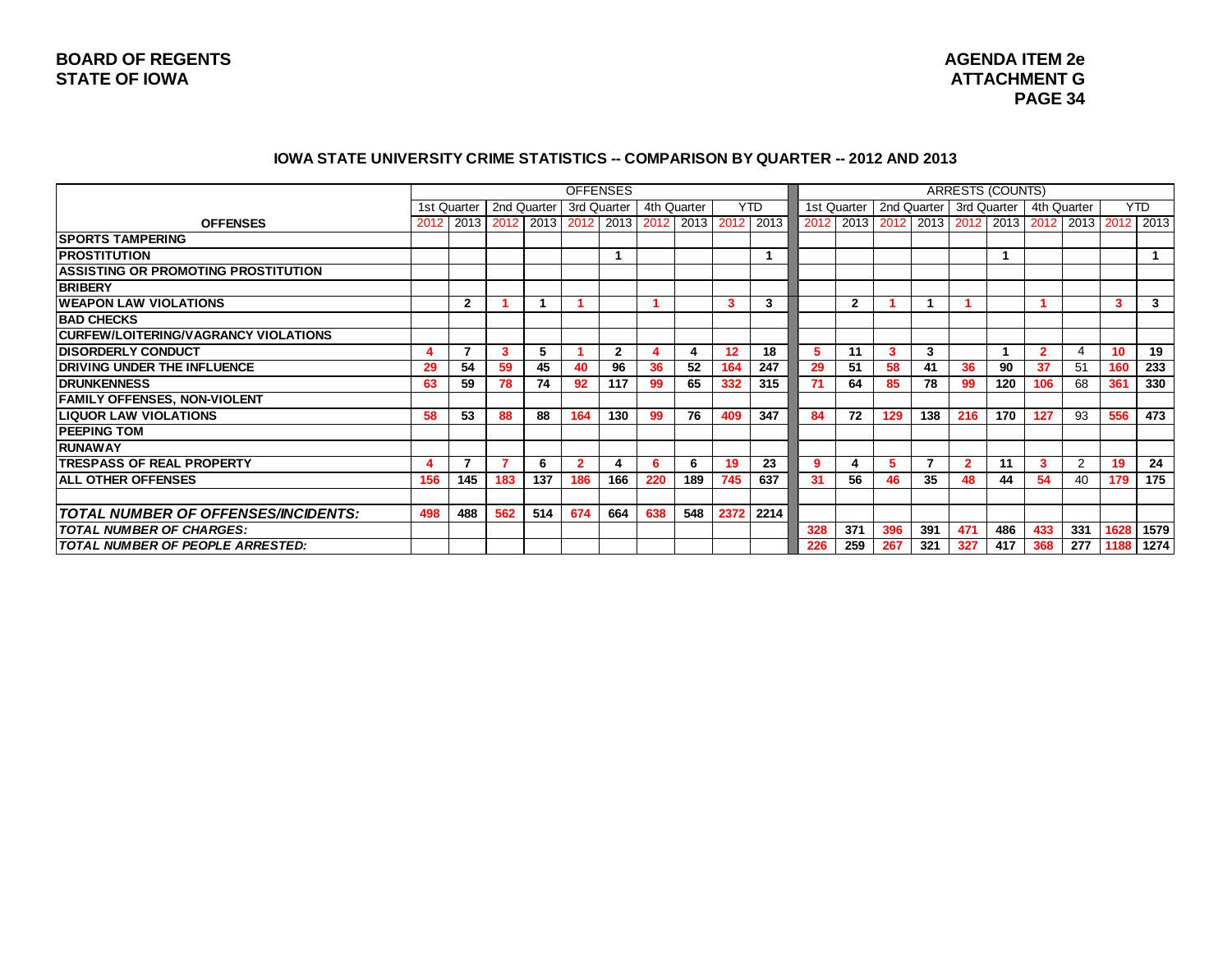#### **IOWA STATE UNIVERSITY CRIME STATISTICS -- COMPARISON BY QUARTER -- 2012 AND 2013**

|                                            |      |              |             |     | <b>OFFENSES</b> |              |             |     |                                                       |            |      |              |                                                       |     |                | <b>ARRESTS (COUNTS)</b> |             |                |      |            |
|--------------------------------------------|------|--------------|-------------|-----|-----------------|--------------|-------------|-----|-------------------------------------------------------|------------|------|--------------|-------------------------------------------------------|-----|----------------|-------------------------|-------------|----------------|------|------------|
|                                            |      | 1st Quarter  | 2nd Quarter |     | 3rd Quarter     |              | 4th Quarter |     |                                                       | <b>YTD</b> |      | 1st Quarter  | 2nd Quarter                                           |     |                | 3rd Quarter             | 4th Quarter |                |      | <b>YTD</b> |
| <b>OFFENSES</b>                            | 2012 |              |             |     |                 |              |             |     | 2013   2012   2013   2012   2013   2012   2013   2012 | 2013       | 2012 |              | 2013   2012   2013   2012   2013   2012   2013   2012 |     |                |                         |             |                |      | 2013       |
| <b>SPORTS TAMPERING</b>                    |      |              |             |     |                 |              |             |     |                                                       |            |      |              |                                                       |     |                |                         |             |                |      |            |
| <b>IPROSTITUTION</b>                       |      |              |             |     |                 |              |             |     |                                                       |            |      |              |                                                       |     |                |                         |             |                |      |            |
| <b>ASSISTING OR PROMOTING PROSTITUTION</b> |      |              |             |     |                 |              |             |     |                                                       |            |      |              |                                                       |     |                |                         |             |                |      |            |
| <b>BRIBERY</b>                             |      |              |             |     |                 |              |             |     |                                                       |            |      |              |                                                       |     |                |                         |             |                |      |            |
| <b>WEAPON LAW VIOLATIONS</b>               |      | $\mathbf{2}$ |             |     |                 |              |             |     | 3                                                     | 3          |      | $\mathbf{2}$ |                                                       |     |                |                         |             |                | з    | 3          |
| <b>BAD CHECKS</b>                          |      |              |             |     |                 |              |             |     |                                                       |            |      |              |                                                       |     |                |                         |             |                |      |            |
| CURFEW/LOITERING/VAGRANCY VIOLATIONS       |      |              |             |     |                 |              |             |     |                                                       |            |      |              |                                                       |     |                |                         |             |                |      |            |
| <b>DISORDERLY CONDUCT</b>                  |      |              | 3           | 5   |                 | $\mathbf{2}$ |             | Δ   | 12                                                    | 18         | 5    | 11           | з                                                     | 3   |                |                         |             |                | 10   | 19         |
| <b>DRIVING UNDER THE INFLUENCE</b>         | 29   | 54           | 59          | 45  | 40              | 96           | 36          | 52  | 164                                                   | 247        | 29   | 51           | 58                                                    | 41  | 36             | 90                      | 37          | 51             | 160  | 233        |
| <b>IDRUNKENNESS</b>                        | 63   | 59           | 78          | 74  | 92              | 117          | 99          | 65  | 332                                                   | 315        | 71   | 64           | 85                                                    | 78  | 99             | 120                     | 106         | 68             | 361  | 330        |
| <b>FAMILY OFFENSES, NON-VIOLENT</b>        |      |              |             |     |                 |              |             |     |                                                       |            |      |              |                                                       |     |                |                         |             |                |      |            |
| <b>LIQUOR LAW VIOLATIONS</b>               | 58   | 53           | 88          | 88  | 164             | 130          | 99          | 76  | 409                                                   | 347        | 84   | 72           | 129                                                   | 138 | 216            | 170                     | 127         | 93             | 556  | 473        |
| <b>PEEPING TOM</b>                         |      |              |             |     |                 |              |             |     |                                                       |            |      |              |                                                       |     |                |                         |             |                |      |            |
| IRUNAWAY                                   |      |              |             |     |                 |              |             |     |                                                       |            |      |              |                                                       |     |                |                         |             |                |      |            |
| <b>ITRESPASS OF REAL PROPERTY</b>          |      | 7            |             | 6   | $\overline{2}$  | 4            | 6           | 6   | 19                                                    | 23         | 9    | 4            | 5.                                                    |     | $\overline{2}$ | 11                      | 3           | $\overline{2}$ | 19   | 24         |
| <b>ALL OTHER OFFENSES</b>                  | 156  | 145          | 183         | 137 | 186             | 166          | 220         | 189 | 745                                                   | 637        | 31   | 56           | 46                                                    | 35  | 48             | 44                      | 54          | 40             | 179  | 175        |
|                                            |      |              |             |     |                 |              |             |     |                                                       |            |      |              |                                                       |     |                |                         |             |                |      |            |
| <b>TOTAL NUMBER OF OFFENSES/INCIDENTS:</b> | 498  | 488          | 562         | 514 | 674             | 664          | 638         | 548 | 2372                                                  | 2214       |      |              |                                                       |     |                |                         |             |                |      |            |
| <b>TOTAL NUMBER OF CHARGES:</b>            |      |              |             |     |                 |              |             |     |                                                       |            | 328  | 371          | 396                                                   | 391 | 471            | 486                     | 433         | 331            | 1628 | 1579       |
| TOTAL NUMBER OF PEOPLE ARRESTED:           |      |              |             |     |                 |              |             |     |                                                       |            | 226  | 259          | 267                                                   | 321 | 327            | 417                     | 368         | 277            | 1188 | 1274       |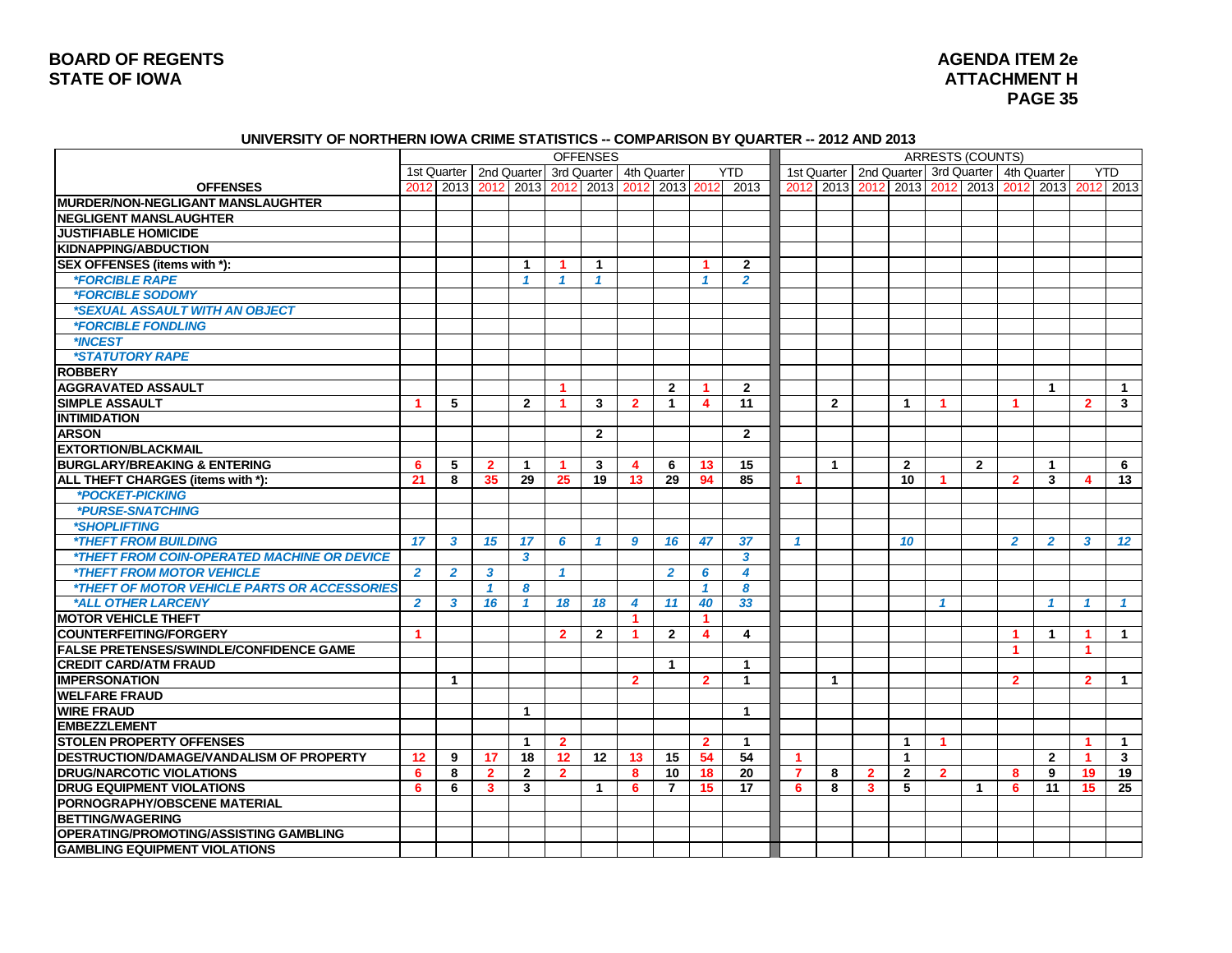### **BOARD OF REGENTS STATE OF IOWA ATTACHMENT H**

# **AGENDA ITEM 2e PAGE 35**

#### **UNIVERSITY OF NORTHERN IOWA CRIME STATISTICS -- COMPARISON BY QUARTER -- 2012 AND 2013**

|                                                           |                      |                           |              |                         |                      | <b>OFFENSES</b> |                           |                |                  |                         |                |                |              |                                                       |                | <b>ARRESTS (COUNTS)</b> |                      |                |                      |                         |
|-----------------------------------------------------------|----------------------|---------------------------|--------------|-------------------------|----------------------|-----------------|---------------------------|----------------|------------------|-------------------------|----------------|----------------|--------------|-------------------------------------------------------|----------------|-------------------------|----------------------|----------------|----------------------|-------------------------|
|                                                           |                      | 1st Quarter   2nd Quarter |              |                         |                      |                 | 3rd Quarter   4th Quarter |                |                  | <b>YTD</b>              |                |                |              | 1st Quarter   2nd Quarter   3rd Quarter   4th Quarter |                |                         |                      |                |                      | <b>YTD</b>              |
| <b>OFFENSES</b>                                           |                      | 2012 2013 2012            |              | 2013                    | 2012                 | 2013            | 2012                      | 2013 2012      |                  | 2013                    |                | 2012 2013      | 2012         | 2013                                                  |                | 2012 2013 2012          |                      |                |                      | 2013 2012 2013          |
| <b>IMURDER/NON-NEGLIGANT MANSLAUGHTER</b>                 |                      |                           |              |                         |                      |                 |                           |                |                  |                         |                |                |              |                                                       |                |                         |                      |                |                      |                         |
| <b>NEGLIGENT MANSLAUGHTER</b>                             |                      |                           |              |                         |                      |                 |                           |                |                  |                         |                |                |              |                                                       |                |                         |                      |                |                      |                         |
| <b>JUSTIFIABLE HOMICIDE</b>                               |                      |                           |              |                         |                      |                 |                           |                |                  |                         |                |                |              |                                                       |                |                         |                      |                |                      |                         |
| <b>KIDNAPPING/ABDUCTION</b>                               |                      |                           |              |                         |                      |                 |                           |                |                  |                         |                |                |              |                                                       |                |                         |                      |                |                      |                         |
| SEX OFFENSES (items with *):                              |                      |                           |              | $\mathbf{1}$            | -1                   | $\mathbf{1}$    |                           |                | -1               | $\mathbf{2}$            |                |                |              |                                                       |                |                         |                      |                |                      |                         |
| <i><b>*FORCIBLE RAPE</b></i>                              |                      |                           |              | $\mathbf{1}$            | 1                    | $\mathcal I$    |                           |                | $\mathbf{1}$     | $\overline{2}$          |                |                |              |                                                       |                |                         |                      |                |                      |                         |
| <i><b>*FORCIBLE SODOMY</b></i>                            |                      |                           |              |                         |                      |                 |                           |                |                  |                         |                |                |              |                                                       |                |                         |                      |                |                      |                         |
| *SEXUAL ASSAULT WITH AN OBJECT                            |                      |                           |              |                         |                      |                 |                           |                |                  |                         |                |                |              |                                                       |                |                         |                      |                |                      |                         |
| <i><b>*FORCIBLE FONDLING</b></i>                          |                      |                           |              |                         |                      |                 |                           |                |                  |                         |                |                |              |                                                       |                |                         |                      |                |                      |                         |
| *INCEST                                                   |                      |                           |              |                         |                      |                 |                           |                |                  |                         |                |                |              |                                                       |                |                         |                      |                |                      |                         |
| *STATUTORY RAPE                                           |                      |                           |              |                         |                      |                 |                           |                |                  |                         |                |                |              |                                                       |                |                         |                      |                |                      |                         |
| <b>ROBBERY</b>                                            |                      |                           |              |                         |                      |                 |                           |                |                  |                         |                |                |              |                                                       |                |                         |                      |                |                      |                         |
| <b>AGGRAVATED ASSAULT</b>                                 |                      |                           |              |                         | $\blacktriangleleft$ |                 |                           | $\overline{2}$ | -1               | $\mathbf{2}$            |                |                |              |                                                       |                |                         |                      | 1              |                      | $\overline{1}$          |
| <b>SIMPLE ASSAULT</b>                                     | $\blacktriangleleft$ | 5                         |              | $\overline{2}$          | $\blacktriangleleft$ | 3               | $\overline{2}$            | $\overline{1}$ | $\boldsymbol{4}$ | 11                      |                | $\overline{2}$ |              | $\blacktriangleleft$                                  | -1             |                         | $\blacktriangleleft$ |                | $\overline{2}$       | $\mathbf{3}$            |
| <b>INTIMIDATION</b>                                       |                      |                           |              |                         |                      |                 |                           |                |                  |                         |                |                |              |                                                       |                |                         |                      |                |                      |                         |
| <b>ARSON</b>                                              |                      |                           |              |                         |                      | $\overline{2}$  |                           |                |                  | $\overline{2}$          |                |                |              |                                                       |                |                         |                      |                |                      |                         |
| <b>EXTORTION/BLACKMAIL</b>                                |                      |                           |              |                         |                      |                 |                           |                |                  |                         |                |                |              |                                                       |                |                         |                      |                |                      |                         |
| <b>BURGLARY/BREAKING &amp; ENTERING</b>                   | 6                    | 5                         | $\mathbf{2}$ | $\mathbf{1}$            | $\blacktriangleleft$ | 3               | $\overline{4}$            | 6              | 13               | 15                      |                | $\mathbf{1}$   |              | $\overline{2}$                                        |                | $\overline{2}$          |                      | 1              |                      | 6                       |
| ALL THEFT CHARGES (items with *):                         | 21                   | 8                         | 35           | 29                      | 25                   | 19              | 13                        | 29             | 94               | 85                      | 1              |                |              | 10                                                    |                |                         | $\overline{2}$       | 3              | 4                    | 13                      |
| *POCKET-PICKING                                           |                      |                           |              |                         |                      |                 |                           |                |                  |                         |                |                |              |                                                       |                |                         |                      |                |                      |                         |
| *PURSE-SNATCHING                                          |                      |                           |              |                         |                      |                 |                           |                |                  |                         |                |                |              |                                                       |                |                         |                      |                |                      |                         |
| *SHOPLIFTING                                              |                      |                           |              |                         |                      |                 |                           |                |                  |                         |                |                |              |                                                       |                |                         |                      |                |                      |                         |
| <b><i>*THEFT FROM BUILDING</i></b>                        | 17                   | 3                         | 15           | 17                      | 6                    | -1              | $\boldsymbol{9}$          | 16             | 47               | 37                      | 1              |                |              | 10                                                    |                |                         | $\overline{2}$       | $\overline{2}$ | $\mathbf{3}$         | 12                      |
| <i><b>*THEFT FROM COIN-OPERATED MACHINE OR DEVICE</b></i> |                      |                           |              | $\overline{\mathbf{3}}$ |                      |                 |                           |                |                  | $\overline{\mathbf{3}}$ |                |                |              |                                                       |                |                         |                      |                |                      |                         |
| <i><b>*THEFT FROM MOTOR VEHICLE</b></i>                   | $\overline{2}$       | $\overline{2}$            | 3            |                         | $\mathbf{1}$         |                 |                           | $\overline{2}$ | 6                | $\boldsymbol{4}$        |                |                |              |                                                       |                |                         |                      |                |                      |                         |
| *THEFT OF MOTOR VEHICLE PARTS OR ACCESSORIES              |                      |                           | $\mathbf{1}$ | 8                       |                      |                 |                           |                | $\mathbf{1}$     | 8                       |                |                |              |                                                       |                |                         |                      |                |                      |                         |
| *ALL OTHER LARCENY                                        | $\overline{2}$       | 3                         | 16           | $\mathbf{1}$            | 18                   | 18              | 4                         | 11             | 40               | 33                      |                |                |              |                                                       | 1              |                         |                      |                |                      | $\overline{\mathbf{1}}$ |
| <b>MOTOR VEHICLE THEFT</b>                                |                      |                           |              |                         |                      |                 | -1                        |                | 1                |                         |                |                |              |                                                       |                |                         |                      |                |                      |                         |
| <b>COUNTERFEITING/FORGERY</b>                             | 1                    |                           |              |                         | $\overline{2}$       | $\overline{2}$  | 1                         | $\overline{2}$ | 4                | 4                       |                |                |              |                                                       |                |                         | -1                   | 1              | 1                    | $\mathbf{1}$            |
| <b>FALSE PRETENSES/SWINDLE/CONFIDENCE GAME</b>            |                      |                           |              |                         |                      |                 |                           |                |                  |                         |                |                |              |                                                       |                |                         | $\blacktriangleleft$ |                | $\blacktriangleleft$ |                         |
| <b>CREDIT CARD/ATM FRAUD</b>                              |                      |                           |              |                         |                      |                 |                           | $\overline{1}$ |                  | $\mathbf{1}$            |                |                |              |                                                       |                |                         |                      |                |                      |                         |
| <b>IMPERSONATION</b>                                      |                      | $\mathbf{1}$              |              |                         |                      |                 | $\overline{2}$            |                | $\overline{2}$   | $\mathbf{1}$            |                | $\mathbf{1}$   |              |                                                       |                |                         | $\overline{2}$       |                | $\overline{2}$       | $\overline{1}$          |
| <b>WELFARE FRAUD</b>                                      |                      |                           |              |                         |                      |                 |                           |                |                  |                         |                |                |              |                                                       |                |                         |                      |                |                      |                         |
| <b>WIRE FRAUD</b>                                         |                      |                           |              | $\mathbf{1}$            |                      |                 |                           |                |                  | $\mathbf{1}$            |                |                |              |                                                       |                |                         |                      |                |                      |                         |
| <b>EMBEZZLEMENT</b>                                       |                      |                           |              |                         |                      |                 |                           |                |                  |                         |                |                |              |                                                       |                |                         |                      |                |                      |                         |
| <b>STOLEN PROPERTY OFFENSES</b>                           |                      |                           |              | $\mathbf{1}$            | $\overline{2}$       |                 |                           |                | $\mathbf{2}$     | $\mathbf{1}$            |                |                |              | $\mathbf 1$                                           | 1              |                         |                      |                | 1                    | $\mathbf{1}$            |
| DESTRUCTION/DAMAGE/VANDALISM OF PROPERTY                  | 12                   | 9                         | 17           | 18                      | 12                   | 12              | 13                        | 15             | 54               | 54                      | -1.            |                |              | $\mathbf{1}$                                          |                |                         |                      | $\mathbf{2}$   | -1                   | $\mathbf{3}$            |
| <b>DRUG/NARCOTIC VIOLATIONS</b>                           | 6                    | 8                         | $\mathbf{2}$ | $\overline{2}$          | $\overline{2}$       |                 | 8                         | 10             | 18               | $\overline{20}$         | $\overline{7}$ | 8              | $\mathbf{2}$ | $\overline{2}$                                        | $\overline{2}$ |                         | 8                    | 9              | 19                   | 19                      |
| <b>DRUG EQUIPMENT VIOLATIONS</b>                          | 6                    | 6                         | 3            | 3                       |                      | $\mathbf{1}$    | 6                         | $\overline{7}$ | 15               | $\overline{17}$         | 6              | 8              | $\mathbf{3}$ | 5                                                     |                | $\mathbf{1}$            | 6                    | 11             | 15                   | $\overline{25}$         |
| PORNOGRAPHY/OBSCENE MATERIAL                              |                      |                           |              |                         |                      |                 |                           |                |                  |                         |                |                |              |                                                       |                |                         |                      |                |                      |                         |
| <b>BETTING/WAGERING</b>                                   |                      |                           |              |                         |                      |                 |                           |                |                  |                         |                |                |              |                                                       |                |                         |                      |                |                      |                         |
| <b>OPERATING/PROMOTING/ASSISTING GAMBLING</b>             |                      |                           |              |                         |                      |                 |                           |                |                  |                         |                |                |              |                                                       |                |                         |                      |                |                      |                         |
| <b>GAMBLING EQUIPMENT VIOLATIONS</b>                      |                      |                           |              |                         |                      |                 |                           |                |                  |                         |                |                |              |                                                       |                |                         |                      |                |                      |                         |